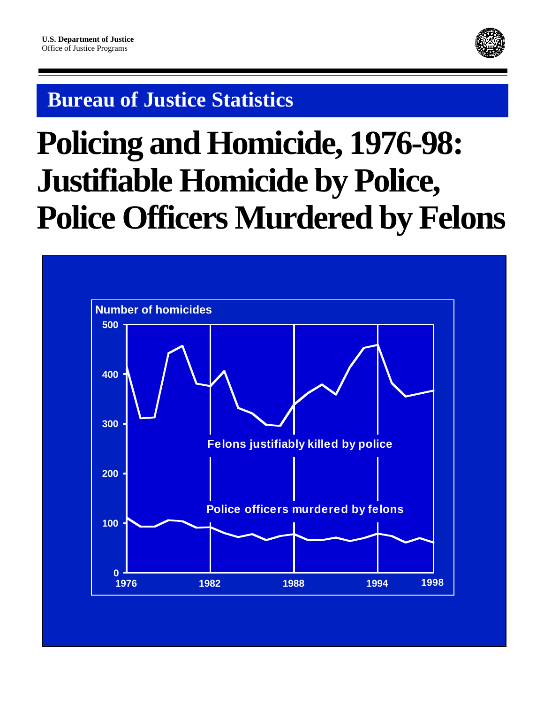

# **Bureau of Justice Statistics**

# **Policing and Homicide, 1976-98: Justifiable Homicide by Police, Police Officers Murdered by Felons**

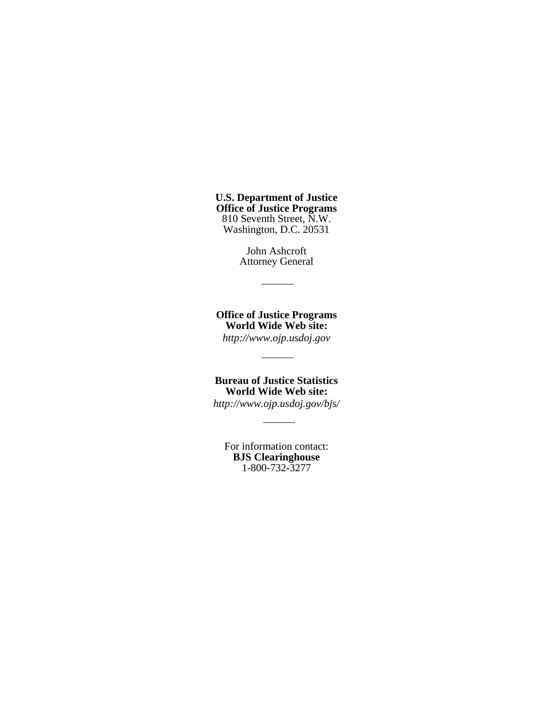**U.S. Department of Justice Office of Justice Programs** 810 Seventh Street, N.W. Washington, D.C. 20531

> John Ashcroft Attorney General

**Office of Justice Programs World Wide Web site:** *http://www.ojp.usdoj.gov*

**Bureau of Justice Statistics World Wide Web site:**

*http://www.ojp.usdoj.gov/bjs/*

For information contact: **BJS Clearinghouse** 1-800-732-3277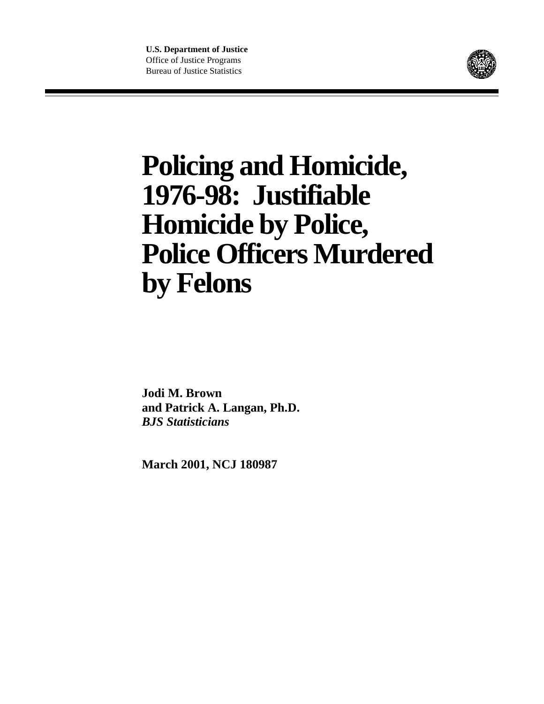

# **Policing and Homicide, 1976-98: Justifiable Homicide by Police, Police Officers Murdered by Felons**

**Jodi M. Brown and Patrick A. Langan, Ph.D.** *BJS Statisticians*

**March 2001, NCJ 180987**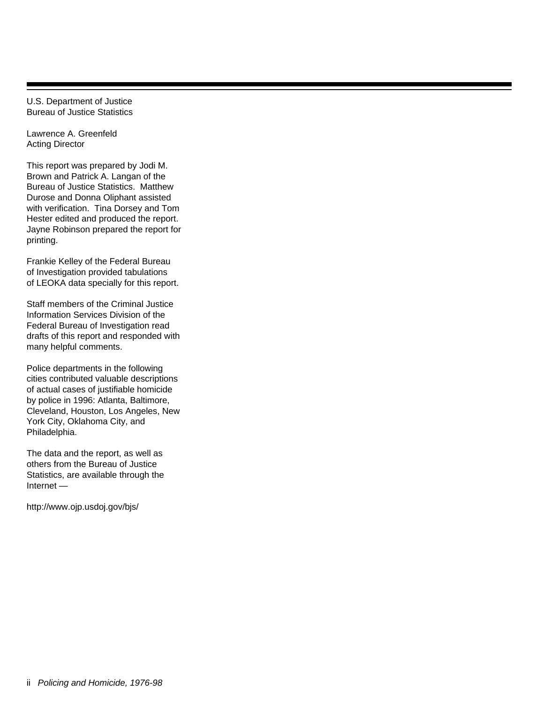U.S. Department of Justice Bureau of Justice Statistics

Lawrence A. Greenfeld Acting Director

This report was prepared by Jodi M. Brown and Patrick A. Langan of the Bureau of Justice Statistics. Matthew Durose and Donna Oliphant assisted with verification. Tina Dorsey and Tom Hester edited and produced the report. Jayne Robinson prepared the report for printing.

Frankie Kelley of the Federal Bureau of Investigation provided tabulations of LEOKA data specially for this report.

Staff members of the Criminal Justice Information Services Division of the Federal Bureau of Investigation read drafts of this report and responded with many helpful comments.

Police departments in the following cities contributed valuable descriptions of actual cases of justifiable homicide by police in 1996: Atlanta, Baltimore, Cleveland, Houston, Los Angeles, New York City, Oklahoma City, and Philadelphia.

The data and the report, as well as others from the Bureau of Justice Statistics, are available through the Internet —

http://www.ojp.usdoj.gov/bjs/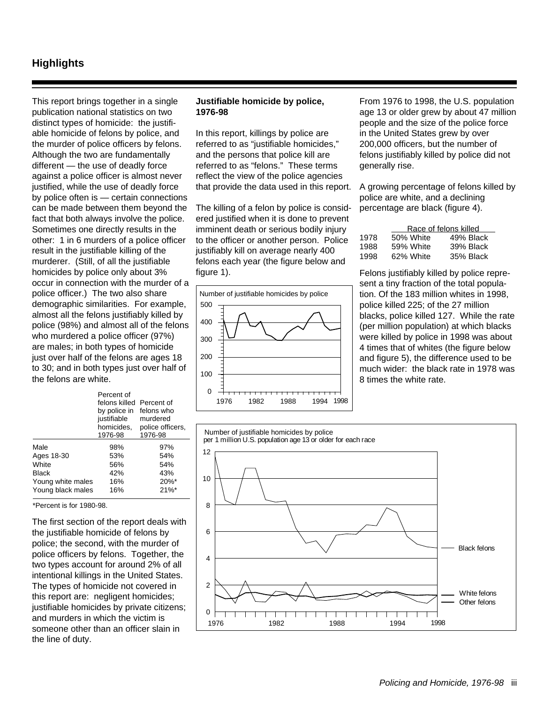### **Highlights**

This report brings together in a single publication national statistics on two distinct types of homicide: the justifiable homicide of felons by police, and the murder of police officers by felons. Although the two are fundamentally different — the use of deadly force against a police officer is almost never justified, while the use of deadly force by police often is — certain connections can be made between them beyond the fact that both always involve the police. Sometimes one directly results in the other: 1 in 6 murders of a police officer result in the justifiable killing of the murderer. (Still, of all the justifiable homicides by police only about 3% occur in connection with the murder of a police officer.) The two also share demographic similarities. For example, almost all the felons justifiably killed by police (98%) and almost all of the felons who murdered a police officer (97%) are males; in both types of homicide just over half of the felons are ages 18 to 30; and in both types just over half of the felons are white.

|                   | Percent of<br>felons killed Percent of<br>by police in<br>justifiable<br>homicides,<br>1976-98 | felons who<br>murdered<br>police officers.<br>1976-98 |
|-------------------|------------------------------------------------------------------------------------------------|-------------------------------------------------------|
| Male              | 98%                                                                                            | 97%                                                   |
| Ages 18-30        | 53%                                                                                            | 54%                                                   |
| White             | 56%                                                                                            | 54%                                                   |
| <b>Black</b>      | 42%                                                                                            | 43%                                                   |
| Young white males | 16%                                                                                            | 20%*                                                  |
| Young black males | 16%                                                                                            | 21%                                                   |

\*Percent is for 1980-98.

The first section of the report deals with the justifiable homicide of felons by police; the second, with the murder of police officers by felons. Together, the two types account for around 2% of all intentional killings in the United States. The types of homicide not covered in this report are: negligent homicides; justifiable homicides by private citizens; and murders in which the victim is someone other than an officer slain in the line of duty.

#### **Justifiable homicide by police, 1976-98**

In this report, killings by police are referred to as "justifiable homicides," and the persons that police kill are referred to as "felons." These terms reflect the view of the police agencies that provide the data used in this report.

The killing of a felon by police is considered justified when it is done to prevent imminent death or serious bodily injury to the officer or another person. Police justifiably kill on average nearly 400 felons each year (the figure below and figure 1).



From 1976 to 1998, the U.S. population age 13 or older grew by about 47 million people and the size of the police force in the United States grew by over 200,000 officers, but the number of felons justifiably killed by police did not generally rise.

A growing percentage of felons killed by police are white, and a declining percentage are black (figure 4).

|      |           | Race of felons killed |  |  |  |  |  |  |
|------|-----------|-----------------------|--|--|--|--|--|--|
| 1978 | 50% White | 49% Black             |  |  |  |  |  |  |
| 1988 | 59% White | 39% Black             |  |  |  |  |  |  |
| 1998 | 62% White | 35% Black             |  |  |  |  |  |  |

Felons justifiably killed by police represent a tiny fraction of the total population. Of the 183 million whites in 1998, police killed 225; of the 27 million blacks, police killed 127. While the rate (per million population) at which blacks were killed by police in 1998 was about 4 times that of whites (the figure below and figure 5), the difference used to be much wider: the black rate in 1978 was 8 times the white rate.

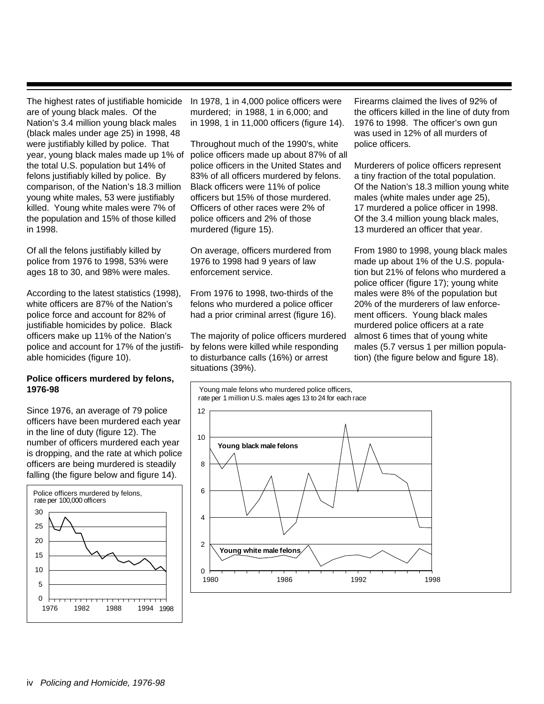The highest rates of justifiable homicide are of young black males. Of the Nation's 3.4 million young black males (black males under age 25) in 1998, 48 were justifiably killed by police. That year, young black males made up 1% of the total U.S. population but 14% of felons justifiably killed by police. By comparison, of the Nation's 18.3 million young white males, 53 were justifiably killed. Young white males were 7% of the population and 15% of those killed in 1998.

Of all the felons justifiably killed by police from 1976 to 1998, 53% were ages 18 to 30, and 98% were males.

According to the latest statistics (1998), white officers are 87% of the Nation's police force and account for 82% of justifiable homicides by police. Black officers make up 11% of the Nation's police and account for 17% of the justifiable homicides (figure 10).

#### **Police officers murdered by felons, 1976-98**

Since 1976, an average of 79 police officers have been murdered each year in the line of duty (figure 12). The number of officers murdered each year is dropping, and the rate at which police officers are being murdered is steadily falling (the figure below and figure 14).



In 1978, 1 in 4,000 police officers were murdered; in 1988, 1 in 6,000; and in 1998, 1 in 11,000 officers (figure 14).

Throughout much of the 1990's, white police officers made up about 87% of all police officers in the United States and 83% of all officers murdered by felons. Black officers were 11% of police officers but 15% of those murdered. Officers of other races were 2% of police officers and 2% of those murdered (figure 15).

On average, officers murdered from 1976 to 1998 had 9 years of law enforcement service.

From 1976 to 1998, two-thirds of the felons who murdered a police officer had a prior criminal arrest (figure 16).

The majority of police officers murdered by felons were killed while responding to disturbance calls (16%) or arrest situations (39%).

Firearms claimed the lives of 92% of the officers killed in the line of duty from 1976 to 1998. The officer's own gun was used in 12% of all murders of police officers.

Murderers of police officers represent a tiny fraction of the total population. Of the Nation's 18.3 million young white males (white males under age 25), 17 murdered a police officer in 1998. Of the 3.4 million young black males, 13 murdered an officer that year.

From 1980 to 1998, young black males made up about 1% of the U.S. population but 21% of felons who murdered a police officer (figure 17); young white males were 8% of the population but 20% of the murderers of law enforcement officers. Young black males murdered police officers at a rate almost 6 times that of young white males (5.7 versus 1 per million population) (the figure below and figure 18).

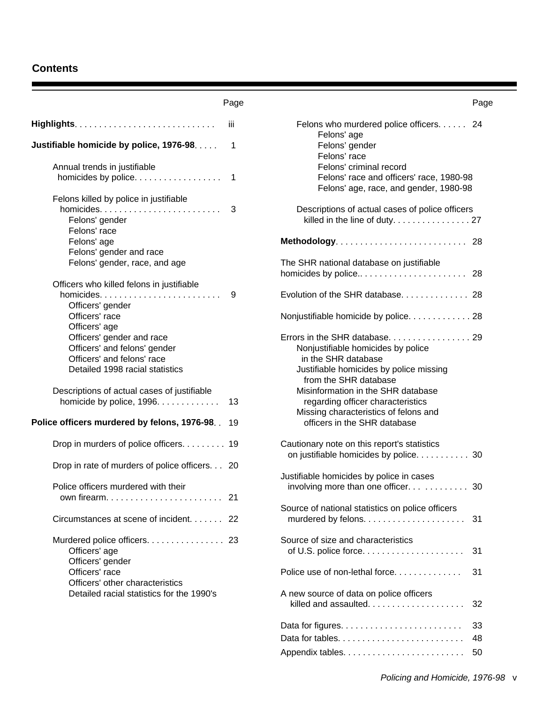### **Contents**

|                                                | Page        | Page                                                                               |
|------------------------------------------------|-------------|------------------------------------------------------------------------------------|
|                                                | -iii        | Felons who murdered police officers. 24                                            |
| Justifiable homicide by police, 1976-98.       | $\mathbf 1$ | Felons' age<br>Felons' gender                                                      |
| Annual trends in justifiable                   |             | Felons' race<br>Felons' criminal record                                            |
|                                                |             | Felons' race and officers' race, 1980-98<br>Felons' age, race, and gender, 1980-98 |
| Felons killed by police in justifiable         |             |                                                                                    |
| Felons' gender<br>Felons' race                 | 3           | Descriptions of actual cases of police officers                                    |
| Felons' age                                    |             |                                                                                    |
| Felons' gender and race                        |             |                                                                                    |
| Felons' gender, race, and age                  |             | The SHR national database on justifiable                                           |
|                                                |             |                                                                                    |
| Officers who killed felons in justifiable      |             |                                                                                    |
| Officers' gender                               | -9          | Evolution of the SHR database 28                                                   |
| Officers' race                                 |             | Nonjustifiable homicide by police. 28                                              |
| Officers' age                                  |             |                                                                                    |
| Officers' gender and race                      |             |                                                                                    |
| Officers' and felons' gender                   |             | Nonjustifiable homicides by police                                                 |
| Officers' and felons' race                     |             | in the SHR database                                                                |
| Detailed 1998 racial statistics                |             | Justifiable homicides by police missing                                            |
|                                                |             | from the SHR database                                                              |
| Descriptions of actual cases of justifiable    |             | Misinformation in the SHR database                                                 |
| homicide by police, 1996.                      | 13          | regarding officer characteristics                                                  |
|                                                |             | Missing characteristics of felons and                                              |
| Police officers murdered by felons, 1976-98. . | 19          | officers in the SHR database                                                       |
| Drop in murders of police officers 19          |             | Cautionary note on this report's statistics                                        |
|                                                |             | on justifiable homicides by police. 30                                             |
| Drop in rate of murders of police officers 20  |             |                                                                                    |
|                                                |             | Justifiable homicides by police in cases                                           |
| Police officers murdered with their            |             |                                                                                    |
|                                                |             |                                                                                    |
|                                                |             | Source of national statistics on police officers                                   |
| Circumstances at scene of incident. 22         |             | 31                                                                                 |
|                                                |             | Source of size and characteristics                                                 |
| Officers' age                                  |             | 31                                                                                 |
| Officers' gender                               |             |                                                                                    |
| Officers' race                                 |             | Police use of non-lethal force<br>31                                               |
| Officers' other characteristics                |             |                                                                                    |
| Detailed racial statistics for the 1990's      |             | A new source of data on police officers                                            |
|                                                |             | killed and assaulted<br>32                                                         |
|                                                |             |                                                                                    |
|                                                |             | 33                                                                                 |

Data for tables. . . . . . . . . . . . . . . . . . . . . . . . . . 48 Appendix tables. . . . . . . . . . . . . . . . . . . . . . . . . 50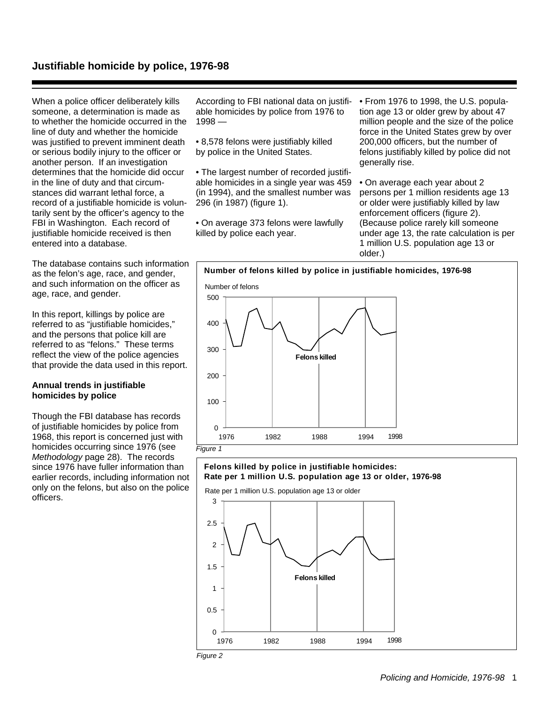#### **Justifiable homicide by police, 1976-98**

When a police officer deliberately kills someone, a determination is made as to whether the homicide occurred in the line of duty and whether the homicide was justified to prevent imminent death or serious bodily injury to the officer or another person. If an investigation determines that the homicide did occur in the line of duty and that circumstances did warrant lethal force, a record of a justifiable homicide is voluntarily sent by the officer's agency to the FBI in Washington. Each record of justifiable homicide received is then entered into a database.

The database contains such information as the felon's age, race, and gender, and such information on the officer as age, race, and gender.

In this report, killings by police are referred to as "justifiable homicides," and the persons that police kill are referred to as "felons." These terms reflect the view of the police agencies that provide the data used in this report.

#### **Annual trends in justifiable homicides by police**

Though the FBI database has records of justifiable homicides by police from 1968, this report is concerned just with homicides occurring since 1976 (see Methodology page 28). The records since 1976 have fuller information than earlier records, including information not only on the felons, but also on the police officers.

According to FBI national data on justifiable homicides by police from 1976 to  $1998 -$ 

- 8,578 felons were justifiably killed by police in the United States.
- The largest number of recorded justifiable homicides in a single year was 459 (in 1994), and the smallest number was 296 (in 1987) (figure 1).
- On average 373 felons were lawfully killed by police each year.

• From 1976 to 1998, the U.S. population age 13 or older grew by about 47 million people and the size of the police force in the United States grew by over 200,000 officers, but the number of felons justifiably killed by police did not generally rise.

• On average each year about 2 persons per 1 million residents age 13 or older were justifiably killed by law enforcement officers (figure 2). (Because police rarely kill someone under age 13, the rate calculation is per 1 million U.S. population age 13 or older.)



## 3 Rate per 1 million U.S. population age 13 or older **Felons killed by police in justifiable homicides: Rate per 1 million U.S. population age 13 or older, 1976-98**



Figure 2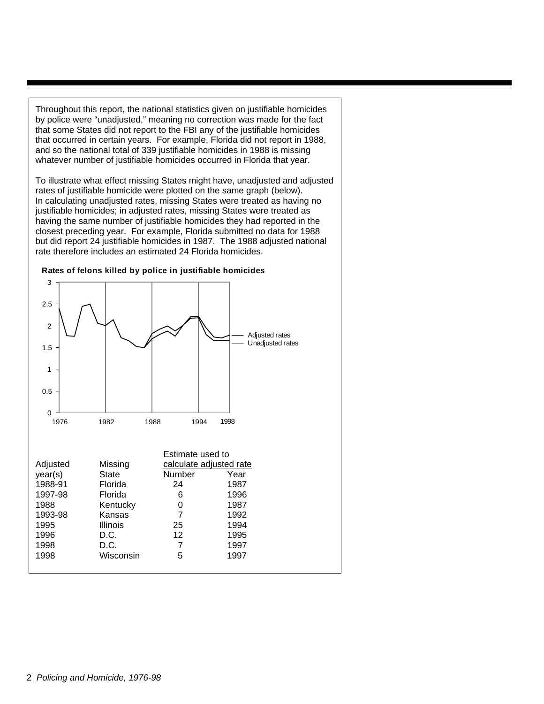Throughout this report, the national statistics given on justifiable homicides by police were "unadjusted," meaning no correction was made for the fact that some States did not report to the FBI any of the justifiable homicides that occurred in certain years. For example, Florida did not report in 1988, and so the national total of 339 justifiable homicides in 1988 is missing whatever number of justifiable homicides occurred in Florida that year.

To illustrate what effect missing States might have, unadjusted and adjusted rates of justifiable homicide were plotted on the same graph (below). In calculating unadjusted rates, missing States were treated as having no justifiable homicides; in adjusted rates, missing States were treated as having the same number of justifiable homicides they had reported in the closest preceding year. For example, Florida submitted no data for 1988 but did report 24 justifiable homicides in 1987. The 1988 adjusted national rate therefore includes an estimated 24 Florida homicides.



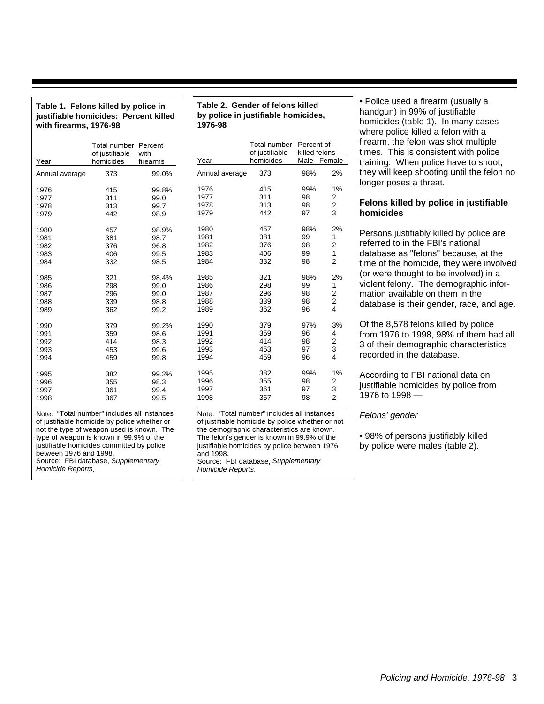| justifiable homicides: Percent killed<br>with firearms, 1976-98                                                                          | by polic<br>1976-98                                        |                  |                                       |
|------------------------------------------------------------------------------------------------------------------------------------------|------------------------------------------------------------|------------------|---------------------------------------|
| Year                                                                                                                                     | <b>Total number Percent</b><br>of justifiable<br>homicides | with<br>firearms | Year                                  |
| Annual average                                                                                                                           | 373                                                        | 99.0%            | Annual av                             |
|                                                                                                                                          |                                                            |                  |                                       |
| 1976                                                                                                                                     | 415                                                        | 99.8%            | 1976                                  |
| 1977                                                                                                                                     | 311                                                        | 99.0             | 1977                                  |
| 1978                                                                                                                                     | 313                                                        | 99.7             | 1978                                  |
| 1979                                                                                                                                     | 442                                                        | 98.9             | 1979                                  |
| 1980                                                                                                                                     | 457                                                        | 98.9%            | 1980                                  |
| 1981                                                                                                                                     | 381                                                        | 98.7             | 1981                                  |
| 1982                                                                                                                                     | 376                                                        | 96.8             | 1982                                  |
| 1983                                                                                                                                     | 406                                                        | 99.5             | 1983                                  |
| 1984                                                                                                                                     | 332                                                        | 98.5             | 1984                                  |
| 1985                                                                                                                                     | 321                                                        | 98.4%            | 1985                                  |
| 1986                                                                                                                                     | 298                                                        | 99.0             | 1986                                  |
| 1987                                                                                                                                     | 296                                                        | 99.0             | 1987                                  |
| 1988                                                                                                                                     | 339                                                        | 98.8             | 1988                                  |
| 1989                                                                                                                                     | 362                                                        | 99.2             | 1989                                  |
| 1990                                                                                                                                     | 379                                                        | 99.2%            | 1990                                  |
| 1991                                                                                                                                     | 359                                                        | 98.6             | 1991                                  |
| 1992                                                                                                                                     | 414                                                        | 98.3             | 1992                                  |
| 1993                                                                                                                                     | 453                                                        | 99.6             | 1993                                  |
| 1994                                                                                                                                     | 459                                                        | 99.8             | 1994                                  |
| 1995                                                                                                                                     | 382                                                        | 99.2%            | 1995                                  |
| 1996                                                                                                                                     | 355                                                        | 98.3             | 1996                                  |
| 1997                                                                                                                                     | 361                                                        | 99.4             | 1997                                  |
| 1998                                                                                                                                     | 367                                                        | 99.5             | 1998                                  |
| Note: "Total number" includes all instances<br>of justifiable homicide by police whether or<br>not the type of weapon used is known. The |                                                            |                  | Note: "To<br>of justifial<br>nmah adt |

**Table 1. Felons killed by police in**

| Note: "Total number" includes all instances  |
|----------------------------------------------|
| of justifiable homicide by police whether or |
| not the type of weapon used is known. The    |
| type of weapon is known in 99.9% of the      |
| justifiable homicides committed by police    |
| between 1976 and 1998.                       |
|                                              |
| Source: FBI database, Supplementary          |
| Homicide Reports.                            |

**Table 2. Gender of felons killed by police in justifiable homicides,**

| Year                                 | Total number<br>of justifiable<br>homicides | Percent of<br>killed felons<br>Male Female |                                                           |
|--------------------------------------|---------------------------------------------|--------------------------------------------|-----------------------------------------------------------|
| Annual average                       | 373                                         | 98%                                        | 2%                                                        |
| 1976<br>1977<br>1978<br>1979         | 415<br>311<br>313<br>442                    | 99%<br>98<br>98<br>97                      | 1%<br>2<br>2<br>3                                         |
| 1980<br>1981<br>1982<br>1983<br>1984 | 457<br>381<br>376<br>406<br>332             | 98%<br>99<br>98<br>99<br>98                | 2%<br>1<br>$\overline{\mathbf{c}}$<br>1<br>$\overline{2}$ |
| 1985<br>1986<br>1987<br>1988<br>1989 | 321<br>298<br>296<br>339<br>362             | 98%<br>99<br>98<br>98<br>96                | 2%<br>1<br>2<br>$\overline{\mathbf{c}}$<br>4              |
| 1990<br>1991<br>1992<br>1993<br>1994 | 379<br>359<br>414<br>453<br>459             | 97%<br>96<br>98<br>97<br>96                | 3%<br>4<br>$\overline{2}$<br>3<br>4                       |
| 1995<br>1996<br>1997<br>1998         | 382<br>355<br>361<br>367                    | 99%<br>98<br>97<br>98                      | 1%<br>2<br>3<br>$\overline{2}$                            |

otal number" includes all instances ble homicide by police whether or not graphic characteristics are known. The felon's gender is known in 99.9% of the justifiable homicides by police between 1976 *.*<br>and 1998. Source: FBI database, Supplementary Homicide Reports.

• Police used a firearm (usually a handgun) in 99% of justifiable homicides (table 1). In many cases where police killed a felon with a firearm, the felon was shot multiple times. This is consistent with police training. When police have to shoot, they will keep shooting until the felon no longer poses a threat.

#### **Felons killed by police in justifiable homicides**

Persons justifiably killed by police are referred to in the FBI's national database as "felons" because, at the time of the homicide, they were involved (or were thought to be involved) in a violent felony. The demographic information available on them in the database is their gender, race, and age.

Of the 8,578 felons killed by police from 1976 to 1998, 98% of them had all 3 of their demographic characteristics recorded in the database.

According to FBI national data on justifiable homicides by police from 1976 to 1998 —

Felons' gender

• 98% of persons justifiably killed by police were males (table 2).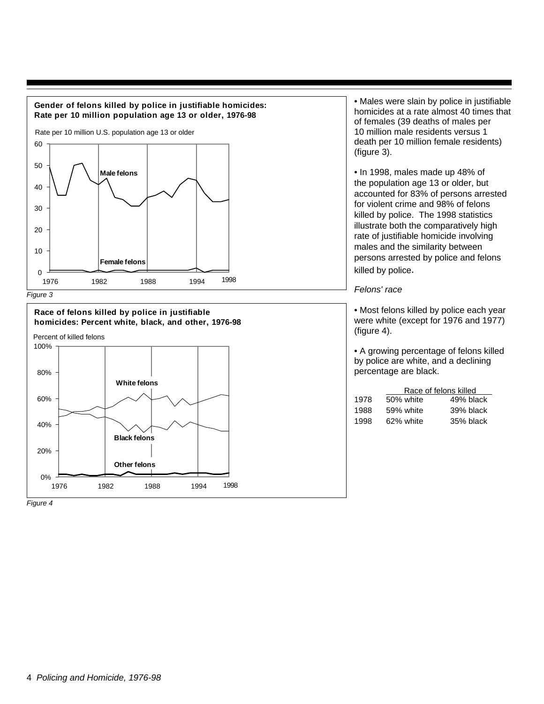

**Gender of felons killed by police in justifiable homicides:**



Figure 4

• Males were slain by police in justifiable homicides at a rate almost 40 times that of females (39 deaths of males per 10 million male residents versus 1 death per 10 million female residents) (figure 3).

• In 1998, males made up 48% of the population age 13 or older, but accounted for 83% of persons arrested for violent crime and 98% of felons killed by police. The 1998 statistics illustrate both the comparatively high rate of justifiable homicide involving males and the similarity between persons arrested by police and felons killed by police.

#### Felons' race

• Most felons killed by police each year were white (except for 1976 and 1977) (figure 4).

• A growing percentage of felons killed by police are white, and a declining percentage are black.

|      |           | Race of felons killed |  |  |  |  |
|------|-----------|-----------------------|--|--|--|--|
| 1978 | 50% white | 49% black             |  |  |  |  |
| 1988 | 59% white | 39% black             |  |  |  |  |
| 1998 | 62% white | 35% black             |  |  |  |  |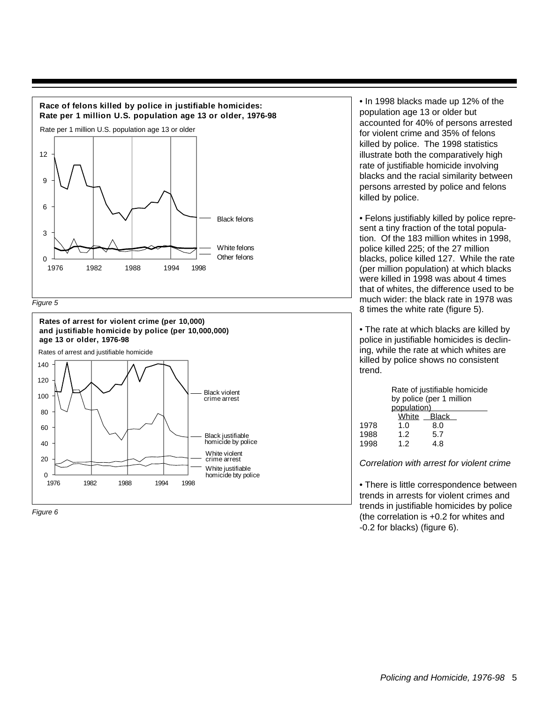







• In 1998 blacks made up 12% of the population age 13 or older but accounted for 40% of persons arrested for violent crime and 35% of felons killed by police. The 1998 statistics illustrate both the comparatively high rate of justifiable homicide involving blacks and the racial similarity between persons arrested by police and felons killed by police.

• Felons justifiably killed by police represent a tiny fraction of the total population. Of the 183 million whites in 1998, police killed 225; of the 27 million blacks, police killed 127. While the rate (per million population) at which blacks were killed in 1998 was about 4 times that of whites, the difference used to be much wider: the black rate in 1978 was 8 times the white rate (figure 5).

• The rate at which blacks are killed by police in justifiable homicides is declining, while the rate at which whites are killed by police shows no consistent trend.

|      | Rate of justifiable homicide |     |  |  |  |  |
|------|------------------------------|-----|--|--|--|--|
|      | by police (per 1 million     |     |  |  |  |  |
|      | population)                  |     |  |  |  |  |
|      | White Black                  |     |  |  |  |  |
| 1978 | 1. $\Omega$                  | 8.0 |  |  |  |  |
| 1988 | 1.2 <sub>2</sub>             | 5.7 |  |  |  |  |
| 1998 | 12                           | 48  |  |  |  |  |

Correlation with arrest for violent crime

• There is little correspondence between trends in arrests for violent crimes and trends in justifiable homicides by police (the correlation is +0.2 for whites and -0.2 for blacks) (figure 6).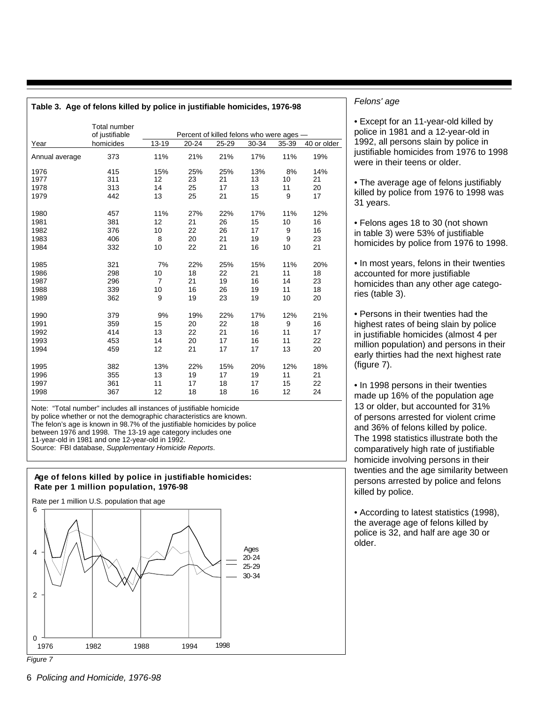| Table 3. Age of felons killed by police in justifiable homicides, 1976-98 |                                       |                      |                                          |          |           |           |             |
|---------------------------------------------------------------------------|---------------------------------------|----------------------|------------------------------------------|----------|-----------|-----------|-------------|
|                                                                           | <b>Total number</b><br>of justifiable |                      | Percent of killed felons who were ages - |          |           |           |             |
| Year                                                                      | homicides                             | 13-19                | $20 - 24$                                | 25-29    | 30-34     | 35-39     | 40 or older |
| Annual average                                                            | 373                                   | 11%                  | 21%                                      | 21%      | 17%       | 11%       | 19%         |
| 1976                                                                      | 415                                   | 15%                  | 25%                                      | 25%      | 13%       | 8%        | 14%         |
| 1977                                                                      | 311                                   | 12                   | 23                                       | 21       | 13        | 10        | 21          |
| 1978                                                                      | 313                                   | 14                   | 25                                       | 17       | 13        | 11        | 20          |
| 1979                                                                      | 442                                   | 13                   | 25                                       | 21       | 15        | 9         | 17          |
| 1980                                                                      | 457                                   | 11%                  | 27%                                      | 22%      | 17%       | 11%       | 12%         |
| 1981                                                                      | 381                                   | 12                   | 21                                       | 26       | 15        | 10        | 16          |
| 1982                                                                      | 376                                   | 10                   | 22                                       | 26       | 17        | 9         | 16          |
| 1983                                                                      | 406                                   | 8                    | 20                                       | 21       | 19        | 9         | 23          |
| 1984                                                                      | 332                                   | 10                   | 22                                       | 21       | 16        | 10        | 21          |
|                                                                           |                                       |                      |                                          |          |           |           |             |
| 1985<br>1986                                                              | 321<br>298                            | 7%                   | 22%<br>18                                | 25%      | 15%<br>21 | 11%<br>11 | 20%<br>18   |
| 1987                                                                      | 296                                   | 10<br>$\overline{7}$ | 21                                       | 22<br>19 | 16        | 14        | 23          |
| 1988                                                                      | 339                                   | 10                   | 16                                       | 26       | 19        | 11        | 18          |
| 1989                                                                      | 362                                   | 9                    | 19                                       | 23       | 19        | 10        | 20          |
|                                                                           |                                       |                      |                                          |          |           |           |             |
| 1990                                                                      | 379                                   | 9%                   | 19%                                      | 22%      | 17%       | 12%       | 21%         |
| 1991                                                                      | 359                                   | 15                   | 20                                       | 22       | 18        | 9         | 16          |
| 1992                                                                      | 414                                   | 13                   | 22                                       | 21       | 16        | 11        | 17          |
| 1993                                                                      | 453                                   | 14                   | 20                                       | 17       | 16        | 11        | 22          |
| 1994                                                                      | 459                                   | 12                   | 21                                       | 17       | 17        | 13        | 20          |
| 1995                                                                      | 382                                   | 13%                  | 22%                                      | 15%      | 20%       | 12%       | 18%         |
| 1996                                                                      | 355                                   | 13                   | 19                                       | 17       | 19        | 11        | 21          |
| 1997                                                                      | 361                                   | 11                   | 17                                       | 18       | 17        | 15        | 22          |
| 1998                                                                      | 367                                   | 12                   | 18                                       | 18       | 16        | 12        | 24          |
|                                                                           |                                       |                      |                                          |          |           |           |             |

Note: "Total number" includes all instances of justifiable homicide by police whether or not the demographic characteristics are known. The felon's age is known in 98.7% of the justifiable homicides by police between 1976 and 1998. The 13-19 age category includes one 11-year-old in 1981 and one 12-year-old in 1992. Source: FBI database, Supplementary Homicide Reports.

#### **Age of felons killed by police in justifiable homicides: Rate per 1 million population, 1976-98**

Rate per 1 million U.S. population that age



#### Felons' age

• Except for an 11-year-old killed by police in 1981 and a 12-year-old in 1992, all persons slain by police in justifiable homicides from 1976 to 1998 were in their teens or older.

• The average age of felons justifiably killed by police from 1976 to 1998 was 31 years.

• Felons ages 18 to 30 (not shown in table 3) were 53% of justifiable homicides by police from 1976 to 1998.

• In most years, felons in their twenties accounted for more justifiable homicides than any other age categories (table 3).

• Persons in their twenties had the highest rates of being slain by police in justifiable homicides (almost 4 per million population) and persons in their early thirties had the next highest rate (figure 7).

• In 1998 persons in their twenties made up 16% of the population age 13 or older, but accounted for 31% of persons arrested for violent crime and 36% of felons killed by police. The 1998 statistics illustrate both the comparatively high rate of justifiable homicide involving persons in their twenties and the age similarity between persons arrested by police and felons killed by police.

• According to latest statistics (1998), the average age of felons killed by police is 32, and half are age 30 or older.

Figure 7

6 Policing and Homicide, 1976-98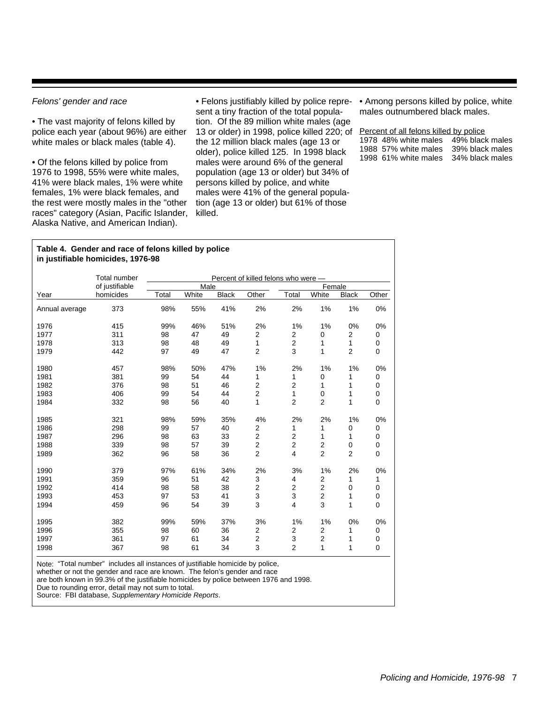#### Felons' gender and race

• The vast majority of felons killed by police each year (about 96%) are either white males or black males (table 4).

• Of the felons killed by police from 1976 to 1998, 55% were white males, 41% were black males, 1% were white females, 1% were black females, and the rest were mostly males in the "other races" category (Asian, Pacific Islander, Alaska Native, and American Indian).

• Felons justifiably killed by police represent a tiny fraction of the total population. Of the 89 million white males (age 13 or older) in 1998, police killed 220; of Percent of all felons killed by police the 12 million black males (age 13 or older), police killed 125. In 1998 black males were around 6% of the general population (age 13 or older) but 34% of persons killed by police, and white males were 41% of the general population (age 13 or older) but 61% of those killed.

• Among persons killed by police, white males outnumbered black males.

|  | 1978 48% white males 49% black males |
|--|--------------------------------------|
|  | 1988 57% white males 39% black males |
|  | 1998 61% white males 34% black males |

#### **Table 4. Gender and race of felons killed by police in justifiable homicides, 1976-98**

|                | Total number   |       |       |              | Percent of killed felons who were - |                |                |                |             |
|----------------|----------------|-------|-------|--------------|-------------------------------------|----------------|----------------|----------------|-------------|
|                | of justifiable |       | Male  |              |                                     |                | Female         |                |             |
| Year           | homicides      | Total | White | <b>Black</b> | Other                               | Total          | White          | <b>Black</b>   | Other       |
| Annual average | 373            | 98%   | 55%   | 41%          | 2%                                  | 2%             | 1%             | 1%             | 0%          |
| 1976           | 415            | 99%   | 46%   | 51%          | 2%                                  | 1%             | 1%             | 0%             | 0%          |
| 1977           | 311            | 98    | 47    | 49           | 2                                   | 2              | 0              | $\overline{2}$ | 0           |
| 1978           | 313            | 98    | 48    | 49           | 1                                   | $\overline{2}$ | 1              | $\mathbf{1}$   | 0           |
| 1979           | 442            | 97    | 49    | 47           | $\overline{2}$                      | 3              | 1              | $\overline{2}$ | 0           |
| 1980           | 457            | 98%   | 50%   | 47%          | 1%                                  | 2%             | 1%             | 1%             | 0%          |
| 1981           | 381            | 99    | 54    | 44           | 1                                   | 1              | 0              | 1              | 0           |
| 1982           | 376            | 98    | 51    | 46           | $\overline{2}$                      | 2              | 1              | 1              | 0           |
| 1983           | 406            | 99    | 54    | 44           | $\overline{2}$                      | 1              | 0              | 1              | 0           |
| 1984           | 332            | 98    | 56    | 40           | 1                                   | $\overline{2}$ | $\overline{2}$ | 1              | $\mathbf 0$ |
| 1985           | 321            | 98%   | 59%   | 35%          | 4%                                  | 2%             | 2%             | 1%             | 0%          |
| 1986           | 298            | 99    | 57    | 40           | 2                                   | 1              | 1              | 0              | 0           |
| 1987           | 296            | 98    | 63    | 33           | $\overline{2}$                      | 2              | 1              | 1              | 0           |
| 1988           | 339            | 98    | 57    | 39           | $\overline{2}$                      | $\overline{c}$ | $\overline{2}$ | $\mathbf 0$    | 0           |
| 1989           | 362            | 96    | 58    | 36           | $\overline{2}$                      | 4              | $\overline{2}$ | $\overline{2}$ | $\mathbf 0$ |
| 1990           | 379            | 97%   | 61%   | 34%          | 2%                                  | 3%             | 1%             | 2%             | 0%          |
| 1991           | 359            | 96    | 51    | 42           | 3                                   | 4              | 2              | 1              | 1           |
| 1992           | 414            | 98    | 58    | 38           | $\overline{2}$                      | $\overline{2}$ | $\overline{2}$ | 0              | 0           |
| 1993           | 453            | 97    | 53    | 41           | 3                                   | 3              | 2              | 1              | 0           |
| 1994           | 459            | 96    | 54    | 39           | 3                                   | 4              | 3              | 1              | $\mathbf 0$ |
| 1995           | 382            | 99%   | 59%   | 37%          | 3%                                  | 1%             | 1%             | 0%             | 0%          |
| 1996           | 355            | 98    | 60    | 36           | $\overline{2}$                      | 2              | 2              | 1              | 0           |
| 1997           | 361            | 97    | 61    | 34           | $\overline{2}$                      | 3              | 2              | 1              | 0           |
| 1998           | 367            | 98    | 61    | 34           | 3                                   | $\overline{2}$ | 1              | 1              | $\mathbf 0$ |

Note: "Total number" includes all instances of justifiable homicide by police,

whether or not the gender and race are known. The felon's gender and race

are both known in 99.3% of the justifiable homicides by police between 1976 and 1998.

Due to rounding error, detail may not sum to total.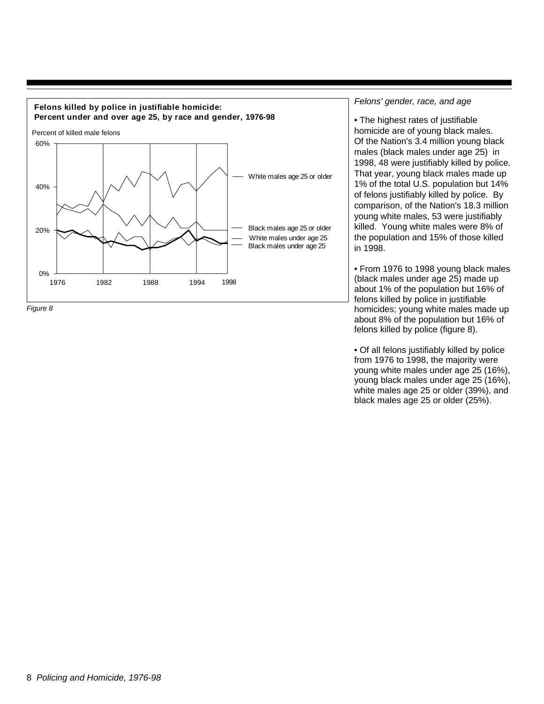



#### Felons' gender, race, and age

• The highest rates of justifiable homicide are of young black males. Of the Nation's 3.4 million young black males (black males under age 25) in 1998, 48 were justifiably killed by police. That year, young black males made up 1% of the total U.S. population but 14% of felons justifiably killed by police. By comparison, of the Nation's 18.3 million young white males, 53 were justifiably killed. Young white males were 8% of the population and 15% of those killed in 1998.

• From 1976 to 1998 young black males (black males under age 25) made up about 1% of the population but 16% of felons killed by police in justifiable homicides; young white males made up about 8% of the population but 16% of felons killed by police (figure 8).

• Of all felons justifiably killed by police from 1976 to 1998, the majority were young white males under age 25 (16%), young black males under age 25 (16%), white males age 25 or older (39%), and black males age 25 or older (25%).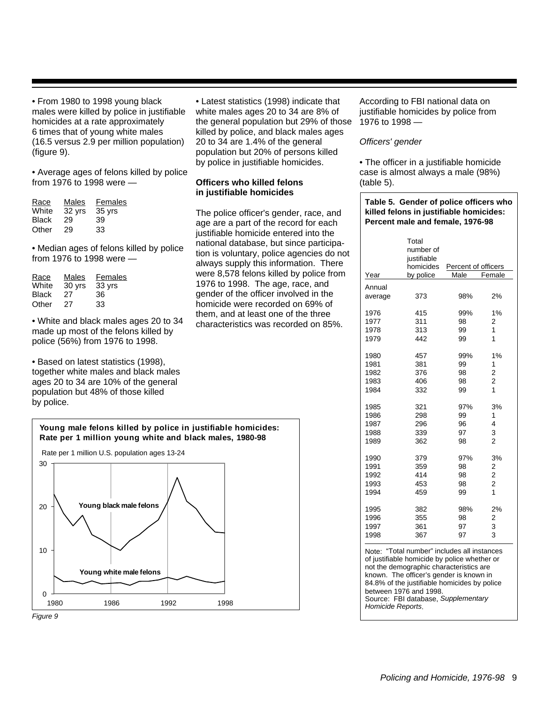• From 1980 to 1998 young black males were killed by police in justifiable homicides at a rate approximately 6 times that of young white males (16.5 versus 2.9 per million population) (figure 9).

• Average ages of felons killed by police from 1976 to 1998 were —

| Race         | Males  | Females |
|--------------|--------|---------|
| White        | 32 yrs | 35 yrs  |
| <b>Black</b> | 29     | 39      |
| Other        | 29     | 33      |

• Median ages of felons killed by police from 1976 to 1998 were —

| Race         | Males  | Females |
|--------------|--------|---------|
| White        | 30 yrs | 33 yrs  |
| <b>Black</b> | 27     | 36      |
| Other        | 27     | 33      |

• White and black males ages 20 to 34 made up most of the felons killed by police (56%) from 1976 to 1998.

• Based on latest statistics (1998), together white males and black males ages 20 to 34 are 10% of the general population but 48% of those killed by police.



Figure 9

• Latest statistics (1998) indicate that white males ages 20 to 34 are 8% of the general population but 29% of those killed by police, and black males ages 20 to 34 are 1.4% of the general population but 20% of persons killed by police in justifiable homicides.

#### **Officers who killed felons in justifiable homicides**

The police officer's gender, race, and age are a part of the record for each justifiable homicide entered into the national database, but since participation is voluntary, police agencies do not always supply this information. There were 8,578 felons killed by police from 1976 to 1998. The age, race, and gender of the officer involved in the homicide were recorded on 69% of them, and at least one of the three characteristics was recorded on 85%.

According to FBI national data on justifiable homicides by police from 1976 to 1998 —

#### Officers' gender

• The officer in a justifiable homicide case is almost always a male (98%) (table 5).

#### **Table 5. Gender of police officers who killed felons in justifiable homicides: Percent male and female, 1976-98**

| Annual<br>373<br>98%<br>2%<br>1%<br>415<br>99%<br>1977<br>311<br>98<br>2<br>1<br>313<br>99<br>1<br>442<br>99<br>1%<br>457<br>99%<br>381<br>99<br>1<br>2<br>98<br>376<br>$\overline{\mathbf{c}}$<br>406<br>98<br>$\overline{1}$<br>332<br>99<br>321<br>97%<br>3%<br>298<br>99<br>1<br>296<br>96<br>4<br>3<br>339<br>97<br>$\overline{2}$<br>362<br>98<br>97%<br>3%<br>379<br>359<br>98<br>$\frac{2}{2}$<br>414<br>98<br>$\overline{c}$<br>453<br>98<br>$\overline{1}$<br>459<br>99<br>2%<br>98%<br>382<br>355<br>2<br>98<br>3<br>361<br>97<br>3<br>97<br>367 | Year    | Total<br>number of<br>justifiable<br>homicides<br>by police | Percent of officers<br>Male | Female |
|-------------------------------------------------------------------------------------------------------------------------------------------------------------------------------------------------------------------------------------------------------------------------------------------------------------------------------------------------------------------------------------------------------------------------------------------------------------------------------------------------------------------------------------------------------------|---------|-------------------------------------------------------------|-----------------------------|--------|
|                                                                                                                                                                                                                                                                                                                                                                                                                                                                                                                                                             |         |                                                             |                             |        |
|                                                                                                                                                                                                                                                                                                                                                                                                                                                                                                                                                             | average |                                                             |                             |        |
|                                                                                                                                                                                                                                                                                                                                                                                                                                                                                                                                                             | 1976    |                                                             |                             |        |
|                                                                                                                                                                                                                                                                                                                                                                                                                                                                                                                                                             |         |                                                             |                             |        |
|                                                                                                                                                                                                                                                                                                                                                                                                                                                                                                                                                             | 1978    |                                                             |                             |        |
|                                                                                                                                                                                                                                                                                                                                                                                                                                                                                                                                                             | 1979    |                                                             |                             |        |
|                                                                                                                                                                                                                                                                                                                                                                                                                                                                                                                                                             | 1980    |                                                             |                             |        |
|                                                                                                                                                                                                                                                                                                                                                                                                                                                                                                                                                             | 1981    |                                                             |                             |        |
|                                                                                                                                                                                                                                                                                                                                                                                                                                                                                                                                                             | 1982    |                                                             |                             |        |
|                                                                                                                                                                                                                                                                                                                                                                                                                                                                                                                                                             | 1983    |                                                             |                             |        |
|                                                                                                                                                                                                                                                                                                                                                                                                                                                                                                                                                             | 1984    |                                                             |                             |        |
|                                                                                                                                                                                                                                                                                                                                                                                                                                                                                                                                                             | 1985    |                                                             |                             |        |
|                                                                                                                                                                                                                                                                                                                                                                                                                                                                                                                                                             | 1986    |                                                             |                             |        |
|                                                                                                                                                                                                                                                                                                                                                                                                                                                                                                                                                             | 1987    |                                                             |                             |        |
|                                                                                                                                                                                                                                                                                                                                                                                                                                                                                                                                                             | 1988    |                                                             |                             |        |
|                                                                                                                                                                                                                                                                                                                                                                                                                                                                                                                                                             | 1989    |                                                             |                             |        |
|                                                                                                                                                                                                                                                                                                                                                                                                                                                                                                                                                             | 1990    |                                                             |                             |        |
|                                                                                                                                                                                                                                                                                                                                                                                                                                                                                                                                                             | 1991    |                                                             |                             |        |
|                                                                                                                                                                                                                                                                                                                                                                                                                                                                                                                                                             | 1992    |                                                             |                             |        |
|                                                                                                                                                                                                                                                                                                                                                                                                                                                                                                                                                             | 1993    |                                                             |                             |        |
|                                                                                                                                                                                                                                                                                                                                                                                                                                                                                                                                                             | 1994    |                                                             |                             |        |
|                                                                                                                                                                                                                                                                                                                                                                                                                                                                                                                                                             | 1995    |                                                             |                             |        |
|                                                                                                                                                                                                                                                                                                                                                                                                                                                                                                                                                             | 1996    |                                                             |                             |        |
|                                                                                                                                                                                                                                                                                                                                                                                                                                                                                                                                                             | 1997    |                                                             |                             |        |
|                                                                                                                                                                                                                                                                                                                                                                                                                                                                                                                                                             | 1998    |                                                             |                             |        |

Note: "Total number" includes all instances of justifiable homicide by police whether or not the demographic characteristics are known. The officer's gender is known in 84.8% of the justifiable homicides by police between 1976 and 1998. Source: FBI database, Supplementary Homicide Reports.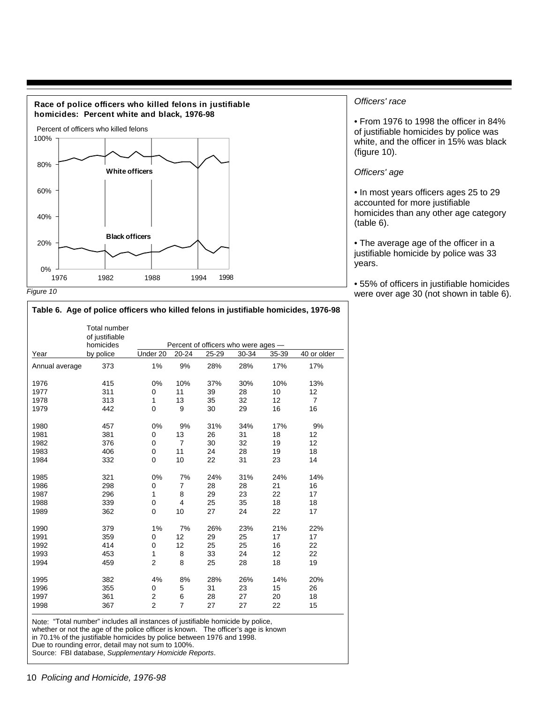

#### Officers' race

• From 1976 to 1998 the officer in 84% of justifiable homicides by police was white, and the officer in 15% was black (figure 10).

#### Officers' age

• In most years officers ages 25 to 29 accounted for more justifiable homicides than any other age category (table 6).

• The average age of the officer in a justifiable homicide by police was 33 years.

• 55% of officers in justifiable homicides were over age 30 (not shown in table 6).

|                | Total number<br>of justifiable<br>homicides |                |                |       | Percent of officers who were ages - |       |                |
|----------------|---------------------------------------------|----------------|----------------|-------|-------------------------------------|-------|----------------|
| Year           | by police                                   | Under 20       | 20-24          | 25-29 | 30-34                               | 35-39 | 40 or older    |
| Annual average | 373                                         | 1%             | 9%             | 28%   | 28%                                 | 17%   | 17%            |
| 1976           | 415                                         | 0%             | 10%            | 37%   | 30%                                 | 10%   | 13%            |
| 1977           | 311                                         | 0              | 11             | 39    | 28                                  | 10    | 12             |
| 1978           | 313                                         | $\mathbf{1}$   | 13             | 35    | 32                                  | 12    | $\overline{7}$ |
| 1979           | 442                                         | $\mathbf 0$    | 9              | 30    | 29                                  | 16    | 16             |
| 1980           | 457                                         | 0%             | 9%             | 31%   | 34%                                 | 17%   | 9%             |
| 1981           | 381                                         | 0              | 13             | 26    | 31                                  | 18    | 12             |
| 1982           | 376                                         | 0              | $\overline{7}$ | 30    | 32                                  | 19    | 12             |
| 1983           | 406                                         | 0              | 11             | 24    | 28                                  | 19    | 18             |
| 1984           | 332                                         | 0              | 10             | 22    | 31                                  | 23    | 14             |
| 1985           | 321                                         | 0%             | 7%             | 24%   | 31%                                 | 24%   | 14%            |
| 1986           | 298                                         | 0              | 7              | 28    | 28                                  | 21    | 16             |
| 1987           | 296                                         | $\mathbf{1}$   | 8              | 29    | 23                                  | 22    | 17             |
| 1988           | 339                                         | $\mathbf 0$    | $\overline{4}$ | 25    | 35                                  | 18    | 18             |
| 1989           | 362                                         | $\mathbf 0$    | 10             | 27    | 24                                  | 22    | 17             |
| 1990           | 379                                         | 1%             | 7%             | 26%   | 23%                                 | 21%   | 22%            |
| 1991           | 359                                         | 0              | 12             | 29    | 25                                  | 17    | 17             |
| 1992           | 414                                         | 0              | 12             | 25    | 25                                  | 16    | 22             |
| 1993           | 453                                         | $\mathbf{1}$   | 8              | 33    | 24                                  | 12    | 22             |
| 1994           | 459                                         | $\overline{2}$ | 8              | 25    | 28                                  | 18    | 19             |
| 1995           | 382                                         | 4%             | 8%             | 28%   | 26%                                 | 14%   | 20%            |
| 1996           | 355                                         | 0              | 5              | 31    | 23                                  | 15    | 26             |
| 1997           | 361                                         | 2              | 6              | 28    | 27                                  | 20    | 18             |
| 1998           | 367                                         | $\overline{2}$ | $\overline{7}$ | 27    | 27                                  | 22    | 15             |

**Table 6. Age of police officers who killed felons in justifiable homicides, 1976-98**

Note: "Total number" includes all instances of justifiable homicide by police,

whether or not the age of the police officer is known. The officer's age is known

in 70.1% of the justifiable homicides by police between 1976 and 1998.

Due to rounding error, detail may not sum to 100%.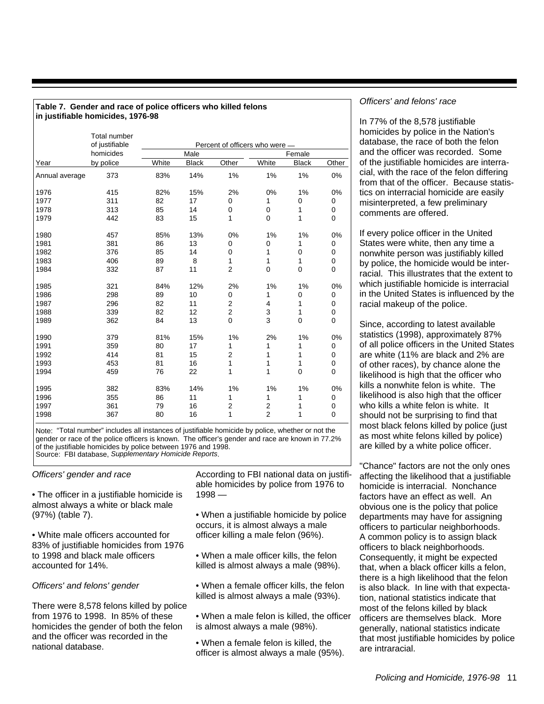|                | <b>Total number</b><br>of justifiable | Percent of officers who were - |              |                |                |              |             |  |
|----------------|---------------------------------------|--------------------------------|--------------|----------------|----------------|--------------|-------------|--|
|                | homicides                             |                                | Male         |                |                | Female       |             |  |
| Year           | by police                             | White                          | <b>Black</b> | Other          | White          | <b>Black</b> | Other       |  |
| Annual average | 373                                   | 83%                            | 14%          | 1%             | 1%             | 1%           | 0%          |  |
| 1976           | 415                                   | 82%                            | 15%          | 2%             | 0%             | 1%           | 0%          |  |
| 1977           | 311                                   | 82                             | 17           | 0              | 1              | 0            | 0           |  |
| 1978           | 313                                   | 85                             | 14           | 0              | 0              | 1            | 0           |  |
| 1979           | 442                                   | 83                             | 15           | 1              | 0              | 1            | $\mathbf 0$ |  |
| 1980           | 457                                   | 85%                            | 13%          | 0%             | 1%             | 1%           | 0%          |  |
| 1981           | 381                                   | 86                             | 13           | 0              | 0              | 1            | 0           |  |
| 1982           | 376                                   | 85                             | 14           | 0              | 1              | 0            | 0           |  |
| 1983           | 406                                   | 89                             | 8            | 1              | 1              | 1            | 0           |  |
| 1984           | 332                                   | 87                             | 11           | $\overline{2}$ | 0              | $\mathbf 0$  | $\mathbf 0$ |  |
| 1985           | 321                                   | 84%                            | 12%          | 2%             | 1%             | 1%           | 0%          |  |
| 1986           | 298                                   | 89                             | 10           | 0              | 1              | 0            | 0           |  |
| 1987           | 296                                   | 82                             | 11           | $\overline{2}$ | 4              | 1            | 0           |  |
| 1988           | 339                                   | 82                             | 12           | $\overline{c}$ | 3              | 1            | 0           |  |
| 1989           | 362                                   | 84                             | 13           | 0              | 3              | $\mathbf 0$  | $\mathbf 0$ |  |
| 1990           | 379                                   | 81%                            | 15%          | 1%             | 2%             | 1%           | 0%          |  |
| 1991           | 359                                   | 80                             | 17           | 1              | 1              | 1            | 0           |  |
| 1992           | 414                                   | 81                             | 15           | 2              | 1              | 1            | 0           |  |
| 1993           | 453                                   | 81                             | 16           | 1              | 1              | 1            | 0           |  |
| 1994           | 459                                   | 76                             | 22           | 1              | 1              | $\mathbf 0$  | $\mathbf 0$ |  |
| 1995           | 382                                   | 83%                            | 14%          | 1%             | 1%             | 1%           | 0%          |  |
| 1996           | 355                                   | 86                             | 11           | 1              | 1              | 1            | 0           |  |
| 1997           | 361                                   | 79                             | 16           | $\overline{2}$ | $\overline{2}$ | 1            | 0           |  |
| 1998           | 367                                   | 80                             | 16           | 1              | $\overline{2}$ | 1            | $\mathbf 0$ |  |

#### **Table 7. Gender and race of police officers who killed felons in justifiable homicides, 1976-98**

Note: "Total number" includes all instances of justifiable homicide by police, whether or not the gender or race of the police officers is known. The officer's gender and race are known in 77.2% of the justifiable homicides by police between 1976 and 1998. Source: FBI database, Supplementary Homicide Reports.

#### Officers' gender and race

• The officer in a justifiable homicide is almost always a white or black male (97%) (table 7).

• White male officers accounted for 83% of justifiable homicides from 1976 to 1998 and black male officers accounted for 14%.

Officers' and felons' gender

There were 8,578 felons killed by police from 1976 to 1998. In 85% of these homicides the gender of both the felon and the officer was recorded in the national database.

According to FBI national data on justifiable homicides by police from 1976 to 1998 —

• When a justifiable homicide by police occurs, it is almost always a male officer killing a male felon (96%).

• When a male officer kills, the felon killed is almost always a male (98%).

• When a female officer kills, the felon killed is almost always a male (93%).

• When a male felon is killed, the officer is almost always a male (98%).

• When a female felon is killed, the officer is almost always a male (95%).

#### Officers' and felons' race

In 77% of the 8,578 justifiable homicides by police in the Nation's database, the race of both the felon and the officer was recorded. Some of the justifiable homicides are interracial, with the race of the felon differing from that of the officer. Because statistics on interracial homicide are easily misinterpreted, a few preliminary comments are offered.

If every police officer in the United States were white, then any time a nonwhite person was justifiably killed by police, the homicide would be interracial. This illustrates that the extent to which justifiable homicide is interracial in the United States is influenced by the racial makeup of the police.

Since, according to latest available statistics (1998), approximately 87% of all police officers in the United States are white (11% are black and 2% are of other races), by chance alone the likelihood is high that the officer who kills a nonwhite felon is white. The likelihood is also high that the officer who kills a white felon is white. It should not be surprising to find that most black felons killed by police (just as most white felons killed by police) are killed by a white police officer.

"Chance" factors are not the only ones affecting the likelihood that a justifiable homicide is interracial. Nonchance factors have an effect as well. An obvious one is the policy that police departments may have for assigning officers to particular neighborhoods. A common policy is to assign black officers to black neighborhoods. Consequently, it might be expected that, when a black officer kills a felon, there is a high likelihood that the felon is also black. In line with that expectation, national statistics indicate that most of the felons killed by black officers are themselves black. More generally, national statistics indicate that most justifiable homicides by police are intraracial.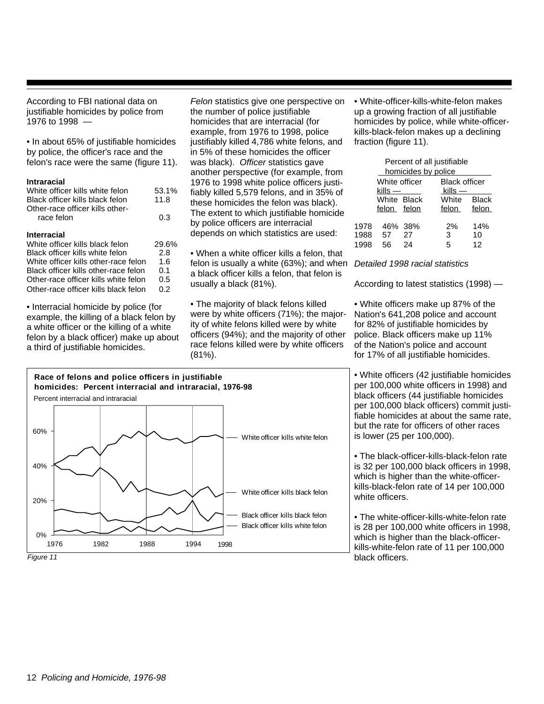According to FBI national data on justifiable homicides by police from 1976 to 1998 —

• In about 65% of justifiable homicides by police, the officer's race and the felon's race were the same (figure 11).

#### **Intraracial**

| White officer kills white felon      | 53.1% |
|--------------------------------------|-------|
| Black officer kills black felon      | 11.8  |
| Other-race officer kills other-      |       |
| race felon                           | 0.3   |
|                                      |       |
| <b>Interracial</b>                   |       |
| White officer kills black felon      | 29.6% |
| Black officer kills white felon      | 2.8   |
| White officer kills other-race felon | 1.6   |
| Black officer kills other-race felon | 0.1   |
| Other-race officer kills white felon | 0.5   |
| Other-race officer kills black felon | 0.2   |

• Interracial homicide by police (for example, the killing of a black felon by a white officer or the killing of a white felon by a black officer) make up about a third of justifiable homicides.

Felon statistics give one perspective on the number of police justifiable homicides that are interracial (for example, from 1976 to 1998, police justifiably killed 4,786 white felons, and in 5% of these homicides the officer was black). Officer statistics gave another perspective (for example, from 1976 to 1998 white police officers justifiably killed 5,579 felons, and in 35% of these homicides the felon was black). The extent to which justifiable homicide by police officers are interracial depends on which statistics are used:

• When a white officer kills a felon, that felon is usually a white (63%); and when a black officer kills a felon, that felon is usually a black (81%).

• The majority of black felons killed were by white officers (71%); the majority of white felons killed were by white officers (94%); and the majority of other race felons killed were by white officers (81%).

• White-officer-kills-white-felon makes up a growing fraction of all justifiable homicides by police, while white-officerkills-black-felon makes up a declining fraction (figure 11).

|      | Percent of all justifiable |                     |                      |              |  |  |
|------|----------------------------|---------------------|----------------------|--------------|--|--|
|      |                            | homicides by police |                      |              |  |  |
|      | White officer              |                     | <b>Black officer</b> |              |  |  |
|      | $k$ ills —                 |                     | $k$ ills —           |              |  |  |
|      | White Black                |                     | White                | <b>Black</b> |  |  |
|      | felon felon                |                     | felon                | felon        |  |  |
| 1978 |                            | 46% 38%             | 2%                   | 14%          |  |  |
| 1988 | 57                         | 27                  | 3                    | 10           |  |  |
| 1998 | 56                         | 24                  | 5.                   | 12           |  |  |

Detailed 1998 racial statistics

According to latest statistics (1998) —

• White officers make up 87% of the Nation's 641,208 police and account for 82% of justifiable homicides by police. Black officers make up 11% of the Nation's police and account for 17% of all justifiable homicides.

• White officers (42 justifiable homicides per 100,000 white officers in 1998) and black officers (44 justifiable homicides per 100,000 black officers) commit justifiable homicides at about the same rate, but the rate for officers of other races is lower (25 per 100,000).

• The black-officer-kills-black-felon rate is 32 per 100,000 black officers in 1998, which is higher than the white-officerkills-black-felon rate of 14 per 100,000 white officers.

• The white-officer-kills-white-felon rate is 28 per 100,000 white officers in 1998, which is higher than the black-officerkills-white-felon rate of 11 per 100,000 black officers.

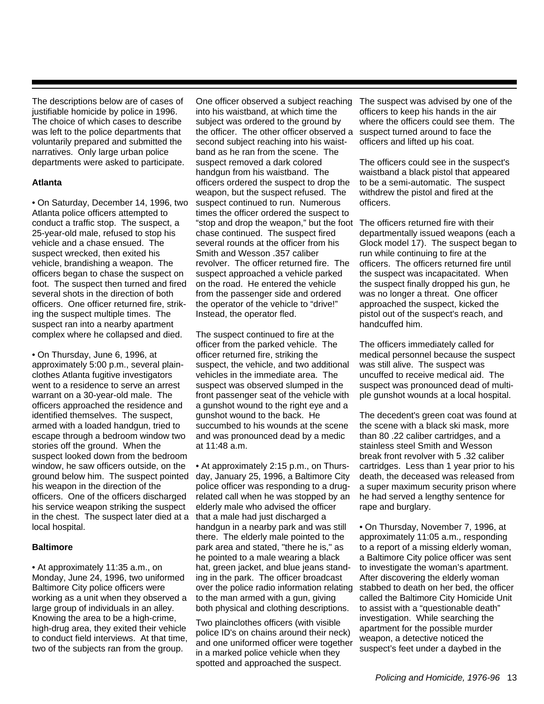The descriptions below are of cases of justifiable homicide by police in 1996. The choice of which cases to describe was left to the police departments that voluntarily prepared and submitted the narratives. Only large urban police departments were asked to participate.

#### **Atlanta**

• On Saturday, December 14, 1996, two Atlanta police officers attempted to conduct a traffic stop. The suspect, a 25-year-old male, refused to stop his vehicle and a chase ensued. The suspect wrecked, then exited his vehicle, brandishing a weapon. The officers began to chase the suspect on foot. The suspect then turned and fired several shots in the direction of both officers. One officer returned fire, striking the suspect multiple times. The suspect ran into a nearby apartment complex where he collapsed and died.

• On Thursday, June 6, 1996, at approximately 5:00 p.m., several plainclothes Atlanta fugitive investigators went to a residence to serve an arrest warrant on a 30-year-old male. The officers approached the residence and identified themselves. The suspect, armed with a loaded handgun, tried to escape through a bedroom window two stories off the ground. When the suspect looked down from the bedroom window, he saw officers outside, on the ground below him. The suspect pointed his weapon in the direction of the officers. One of the officers discharged his service weapon striking the suspect in the chest. The suspect later died at a local hospital.

#### **Baltimore**

• At approximately 11:35 a.m., on Monday, June 24, 1996, two uniformed Baltimore City police officers were working as a unit when they observed a large group of individuals in an alley. Knowing the area to be a high-crime, high-drug area, they exited their vehicle to conduct field interviews. At that time, two of the subjects ran from the group.

One officer observed a subject reaching into his waistband, at which time the subject was ordered to the ground by the officer. The other officer observed a second subject reaching into his waistband as he ran from the scene. The suspect removed a dark colored handgun from his waistband. The officers ordered the suspect to drop the weapon, but the suspect refused. The suspect continued to run. Numerous times the officer ordered the suspect to "stop and drop the weapon," but the foot The officers returned fire with their chase continued. The suspect fired several rounds at the officer from his Smith and Wesson .357 caliber revolver. The officer returned fire. The suspect approached a vehicle parked on the road. He entered the vehicle from the passenger side and ordered the operator of the vehicle to "drive!" Instead, the operator fled.

The suspect continued to fire at the officer from the parked vehicle. The officer returned fire, striking the suspect, the vehicle, and two additional vehicles in the immediate area. The suspect was observed slumped in the front passenger seat of the vehicle with a gunshot wound to the right eye and a gunshot wound to the back. He succumbed to his wounds at the scene and was pronounced dead by a medic at 11:48 a.m.

• At approximately 2:15 p.m., on Thursday, January 25, 1996, a Baltimore City police officer was responding to a drugrelated call when he was stopped by an elderly male who advised the officer that a male had just discharged a handgun in a nearby park and was still there. The elderly male pointed to the park area and stated, "there he is," as he pointed to a male wearing a black hat, green jacket, and blue jeans standing in the park. The officer broadcast over the police radio information relating to the man armed with a gun, giving both physical and clothing descriptions.

Two plainclothes officers (with visible police ID's on chains around their neck) and one uniformed officer were together in a marked police vehicle when they spotted and approached the suspect.

The suspect was advised by one of the officers to keep his hands in the air where the officers could see them. The suspect turned around to face the officers and lifted up his coat.

The officers could see in the suspect's waistband a black pistol that appeared to be a semi-automatic. The suspect withdrew the pistol and fired at the officers.

departmentally issued weapons (each a Glock model 17). The suspect began to run while continuing to fire at the officers. The officers returned fire until the suspect was incapacitated. When the suspect finally dropped his gun, he was no longer a threat. One officer approached the suspect, kicked the pistol out of the suspect's reach, and handcuffed him.

The officers immediately called for medical personnel because the suspect was still alive. The suspect was uncuffed to receive medical aid. The suspect was pronounced dead of multiple gunshot wounds at a local hospital.

The decedent's green coat was found at the scene with a black ski mask, more than 80 .22 caliber cartridges, and a stainless steel Smith and Wesson break front revolver with 5 .32 caliber cartridges. Less than 1 year prior to his death, the deceased was released from a super maximum security prison where he had served a lengthy sentence for rape and burglary.

• On Thursday, November 7, 1996, at approximately 11:05 a.m., responding to a report of a missing elderly woman, a Baltimore City police officer was sent to investigate the woman's apartment. After discovering the elderly woman stabbed to death on her bed, the officer called the Baltimore City Homicide Unit to assist with a "questionable death" investigation. While searching the apartment for the possible murder weapon, a detective noticed the suspect's feet under a daybed in the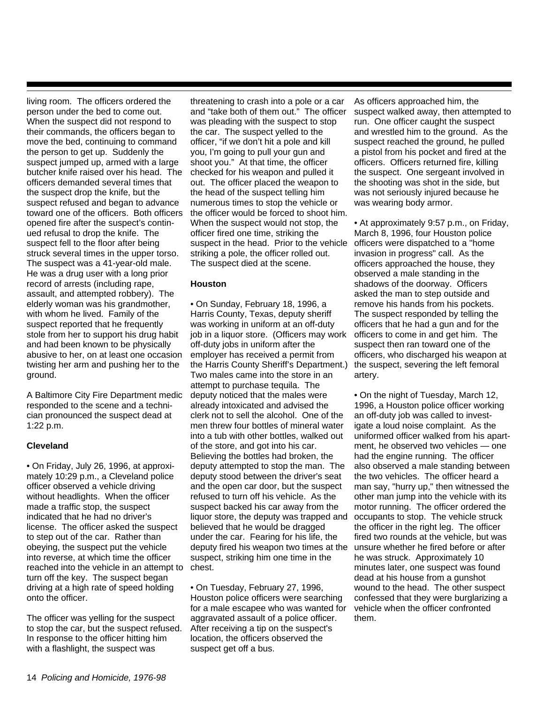living room. The officers ordered the person under the bed to come out. When the suspect did not respond to their commands, the officers began to move the bed, continuing to command the person to get up. Suddenly the suspect jumped up, armed with a large butcher knife raised over his head. The officers demanded several times that the suspect drop the knife, but the suspect refused and began to advance toward one of the officers. Both officers opened fire after the suspect's continued refusal to drop the knife. The suspect fell to the floor after being struck several times in the upper torso. The suspect was a 41-year-old male. He was a drug user with a long prior record of arrests (including rape, assault, and attempted robbery). The elderly woman was his grandmother, with whom he lived. Family of the suspect reported that he frequently stole from her to support his drug habit and had been known to be physically abusive to her, on at least one occasion twisting her arm and pushing her to the ground.

A Baltimore City Fire Department medic responded to the scene and a technician pronounced the suspect dead at 1:22 p.m.

#### **Cleveland**

• On Friday, July 26, 1996, at approximately 10:29 p.m., a Cleveland police officer observed a vehicle driving without headlights. When the officer made a traffic stop, the suspect indicated that he had no driver's license. The officer asked the suspect to step out of the car. Rather than obeying, the suspect put the vehicle into reverse, at which time the officer reached into the vehicle in an attempt to chest. turn off the key. The suspect began driving at a high rate of speed holding onto the officer.

The officer was yelling for the suspect to stop the car, but the suspect refused. In response to the officer hitting him with a flashlight, the suspect was

threatening to crash into a pole or a car and "take both of them out." The officer was pleading with the suspect to stop the car. The suspect yelled to the officer, "if we don't hit a pole and kill you, I'm going to pull your gun and shoot you." At that time, the officer checked for his weapon and pulled it out. The officer placed the weapon to the head of the suspect telling him numerous times to stop the vehicle or the officer would be forced to shoot him. When the suspect would not stop, the officer fired one time, striking the suspect in the head. Prior to the vehicle striking a pole, the officer rolled out. The suspect died at the scene.

#### **Houston**

• On Sunday, February 18, 1996, a Harris County, Texas, deputy sheriff was working in uniform at an off-duty job in a liquor store. (Officers may work off-duty jobs in uniform after the employer has received a permit from the Harris County Sheriff's Department.) Two males came into the store in an attempt to purchase tequila. The deputy noticed that the males were already intoxicated and advised the clerk not to sell the alcohol. One of the men threw four bottles of mineral water into a tub with other bottles, walked out of the store, and got into his car. Believing the bottles had broken, the deputy attempted to stop the man. The deputy stood between the driver's seat and the open car door, but the suspect refused to turn off his vehicle. As the suspect backed his car away from the liquor store, the deputy was trapped and believed that he would be dragged under the car. Fearing for his life, the deputy fired his weapon two times at the suspect, striking him one time in the

• On Tuesday, February 27, 1996, Houston police officers were searching for a male escapee who was wanted for aggravated assault of a police officer. After receiving a tip on the suspect's location, the officers observed the suspect get off a bus.

As officers approached him, the suspect walked away, then attempted to run. One officer caught the suspect and wrestled him to the ground. As the suspect reached the ground, he pulled a pistol from his pocket and fired at the officers. Officers returned fire, killing the suspect. One sergeant involved in the shooting was shot in the side, but was not seriously injured because he was wearing body armor.

• At approximately 9:57 p.m., on Friday, March 8, 1996, four Houston police officers were dispatched to a "home invasion in progress" call. As the officers approached the house, they observed a male standing in the shadows of the doorway. Officers asked the man to step outside and remove his hands from his pockets. The suspect responded by telling the officers that he had a gun and for the officers to come in and get him. The suspect then ran toward one of the officers, who discharged his weapon at the suspect, severing the left femoral artery.

• On the night of Tuesday, March 12, 1996, a Houston police officer working an off-duty job was called to investigate a loud noise complaint. As the uniformed officer walked from his apartment, he observed two vehicles — one had the engine running. The officer also observed a male standing between the two vehicles. The officer heard a man say, "hurry up," then witnessed the other man jump into the vehicle with its motor running. The officer ordered the occupants to stop. The vehicle struck the officer in the right leg. The officer fired two rounds at the vehicle, but was unsure whether he fired before or after he was struck. Approximately 10 minutes later, one suspect was found dead at his house from a gunshot wound to the head. The other suspect confessed that they were burglarizing a vehicle when the officer confronted them.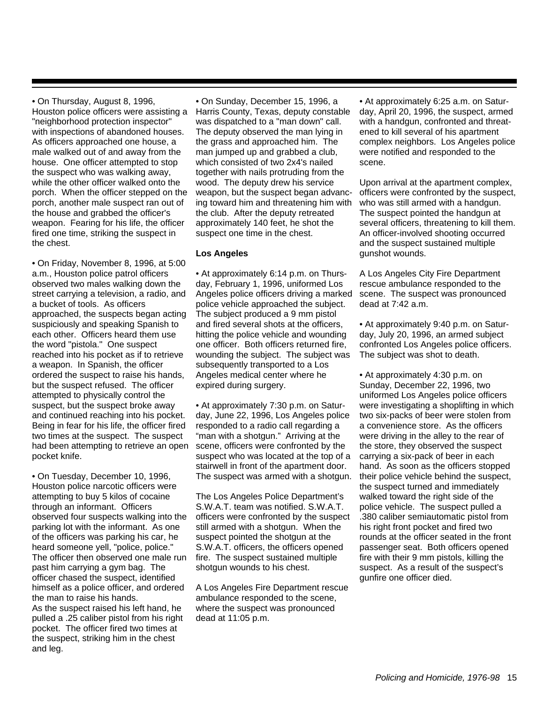• On Thursday, August 8, 1996, Houston police officers were assisting a "neighborhood protection inspector" with inspections of abandoned houses. As officers approached one house, a male walked out of and away from the house. One officer attempted to stop the suspect who was walking away, while the other officer walked onto the porch. When the officer stepped on the porch, another male suspect ran out of the house and grabbed the officer's weapon. Fearing for his life, the officer fired one time, striking the suspect in the chest.

• On Friday, November 8, 1996, at 5:00 a.m., Houston police patrol officers observed two males walking down the street carrying a television, a radio, and a bucket of tools. As officers approached, the suspects began acting suspiciously and speaking Spanish to each other. Officers heard them use the word "pistola." One suspect reached into his pocket as if to retrieve a weapon. In Spanish, the officer ordered the suspect to raise his hands, but the suspect refused. The officer attempted to physically control the suspect, but the suspect broke away and continued reaching into his pocket. Being in fear for his life, the officer fired two times at the suspect. The suspect had been attempting to retrieve an open pocket knife.

• On Tuesday, December 10, 1996, Houston police narcotic officers were attempting to buy 5 kilos of cocaine through an informant. Officers observed four suspects walking into the parking lot with the informant. As one of the officers was parking his car, he heard someone yell, "police, police." The officer then observed one male run past him carrying a gym bag. The officer chased the suspect, identified himself as a police officer, and ordered the man to raise his hands.

As the suspect raised his left hand, he pulled a .25 caliber pistol from his right pocket. The officer fired two times at the suspect, striking him in the chest and leg.

• On Sunday, December 15, 1996, a Harris County, Texas, deputy constable was dispatched to a "man down" call. The deputy observed the man lying in the grass and approached him. The man jumped up and grabbed a club, which consisted of two 2x4's nailed together with nails protruding from the wood. The deputy drew his service weapon, but the suspect began advancing toward him and threatening him with the club. After the deputy retreated approximately 140 feet, he shot the suspect one time in the chest.

#### **Los Angeles**

• At approximately 6:14 p.m. on Thursday, February 1, 1996, uniformed Los Angeles police officers driving a marked police vehicle approached the subject. The subject produced a 9 mm pistol and fired several shots at the officers, hitting the police vehicle and wounding one officer. Both officers returned fire, wounding the subject. The subject was subsequently transported to a Los Angeles medical center where he expired during surgery.

• At approximately 7:30 p.m. on Saturday, June 22, 1996, Los Angeles police responded to a radio call regarding a "man with a shotgun." Arriving at the scene, officers were confronted by the suspect who was located at the top of a stairwell in front of the apartment door. The suspect was armed with a shotgun.

The Los Angeles Police Department's S.W.A.T. team was notified. S.W.A.T. officers were confronted by the suspect still armed with a shotgun. When the suspect pointed the shotgun at the S.W.A.T. officers, the officers opened fire. The suspect sustained multiple shotgun wounds to his chest.

A Los Angeles Fire Department rescue ambulance responded to the scene, where the suspect was pronounced dead at 11:05 p.m.

• At approximately 6:25 a.m. on Saturday, April 20, 1996, the suspect, armed with a handgun, confronted and threatened to kill several of his apartment complex neighbors. Los Angeles police were notified and responded to the scene.

Upon arrival at the apartment complex, officers were confronted by the suspect, who was still armed with a handgun. The suspect pointed the handgun at several officers, threatening to kill them. An officer-involved shooting occurred and the suspect sustained multiple gunshot wounds.

A Los Angeles City Fire Department rescue ambulance responded to the scene. The suspect was pronounced dead at 7:42 a.m.

• At approximately 9:40 p.m. on Saturday, July 20, 1996, an armed subject confronted Los Angeles police officers. The subject was shot to death.

• At approximately 4:30 p.m. on Sunday, December 22, 1996, two uniformed Los Angeles police officers were investigating a shoplifting in which two six-packs of beer were stolen from a convenience store. As the officers were driving in the alley to the rear of the store, they observed the suspect carrying a six-pack of beer in each hand. As soon as the officers stopped their police vehicle behind the suspect, the suspect turned and immediately walked toward the right side of the police vehicle. The suspect pulled a .380 caliber semiautomatic pistol from his right front pocket and fired two rounds at the officer seated in the front passenger seat. Both officers opened fire with their 9 mm pistols, killing the suspect. As a result of the suspect's gunfire one officer died.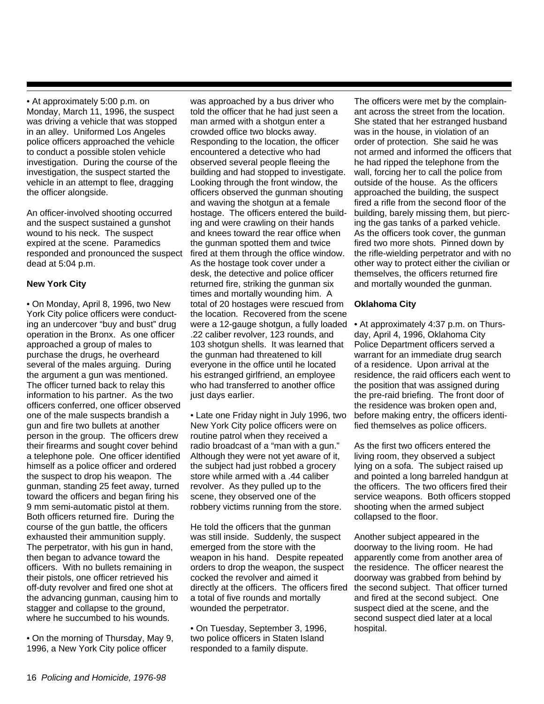• At approximately 5:00 p.m. on Monday, March 11, 1996, the suspect was driving a vehicle that was stopped in an alley. Uniformed Los Angeles police officers approached the vehicle to conduct a possible stolen vehicle investigation. During the course of the investigation, the suspect started the vehicle in an attempt to flee, dragging the officer alongside.

An officer-involved shooting occurred and the suspect sustained a gunshot wound to his neck. The suspect expired at the scene. Paramedics responded and pronounced the suspect dead at 5:04 p.m.

#### **New York City**

• On Monday, April 8, 1996, two New York City police officers were conducting an undercover "buy and bust" drug operation in the Bronx. As one officer approached a group of males to purchase the drugs, he overheard several of the males arguing. During the argument a gun was mentioned. The officer turned back to relay this information to his partner. As the two officers conferred, one officer observed one of the male suspects brandish a gun and fire two bullets at another person in the group. The officers drew their firearms and sought cover behind a telephone pole. One officer identified himself as a police officer and ordered the suspect to drop his weapon. The gunman, standing 25 feet away, turned toward the officers and began firing his 9 mm semi-automatic pistol at them. Both officers returned fire. During the course of the gun battle, the officers exhausted their ammunition supply. The perpetrator, with his gun in hand, then began to advance toward the officers. With no bullets remaining in their pistols, one officer retrieved his off-duty revolver and fired one shot at the advancing gunman, causing him to stagger and collapse to the ground, where he succumbed to his wounds.

• On the morning of Thursday, May 9, 1996, a New York City police officer

was approached by a bus driver who told the officer that he had just seen a man armed with a shotgun enter a crowded office two blocks away. Responding to the location, the officer encountered a detective who had observed several people fleeing the building and had stopped to investigate. Looking through the front window, the officers observed the gunman shouting and waving the shotgun at a female hostage. The officers entered the building and were crawling on their hands and knees toward the rear office when the gunman spotted them and twice fired at them through the office window. As the hostage took cover under a desk, the detective and police officer returned fire, striking the gunman six times and mortally wounding him. A total of 20 hostages were rescued from the location. Recovered from the scene were a 12-gauge shotgun, a fully loaded .22 caliber revolver, 123 rounds, and 103 shotgun shells. It was learned that the gunman had threatened to kill everyone in the office until he located his estranged girlfriend, an employee who had transferred to another office just days earlier.

• Late one Friday night in July 1996, two New York City police officers were on routine patrol when they received a radio broadcast of a "man with a gun." Although they were not yet aware of it, the subject had just robbed a grocery store while armed with a .44 caliber revolver. As they pulled up to the scene, they observed one of the robbery victims running from the store.

He told the officers that the gunman was still inside. Suddenly, the suspect emerged from the store with the weapon in his hand. Despite repeated orders to drop the weapon, the suspect cocked the revolver and aimed it directly at the officers. The officers fired a total of five rounds and mortally wounded the perpetrator.

• On Tuesday, September 3, 1996, two police officers in Staten Island responded to a family dispute.

The officers were met by the complainant across the street from the location. She stated that her estranged husband was in the house, in violation of an order of protection. She said he was not armed and informed the officers that he had ripped the telephone from the wall, forcing her to call the police from outside of the house. As the officers approached the building, the suspect fired a rifle from the second floor of the building, barely missing them, but piercing the gas tanks of a parked vehicle. As the officers took cover, the gunman fired two more shots. Pinned down by the rifle-wielding perpetrator and with no other way to protect either the civilian or themselves, the officers returned fire and mortally wounded the gunman.

#### **Oklahoma City**

• At approximately 4:37 p.m. on Thursday, April 4, 1996, Oklahoma City Police Department officers served a warrant for an immediate drug search of a residence. Upon arrival at the residence, the raid officers each went to the position that was assigned during the pre-raid briefing. The front door of the residence was broken open and, before making entry, the officers identified themselves as police officers.

As the first two officers entered the living room, they observed a subject lying on a sofa. The subject raised up and pointed a long barreled handgun at the officers. The two officers fired their service weapons. Both officers stopped shooting when the armed subject collapsed to the floor.

Another subject appeared in the doorway to the living room. He had apparently come from another area of the residence. The officer nearest the doorway was grabbed from behind by the second subject. That officer turned and fired at the second subject. One suspect died at the scene, and the second suspect died later at a local hospital.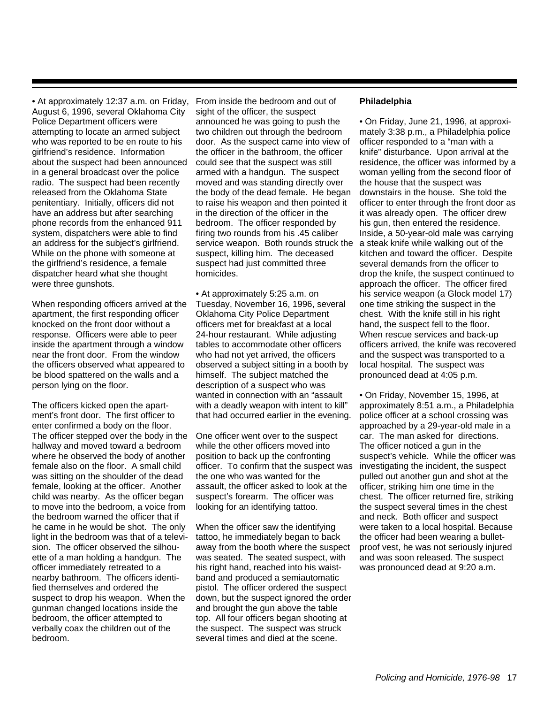• At approximately 12:37 a.m. on Friday, August 6, 1996, several Oklahoma City Police Department officers were attempting to locate an armed subject who was reported to be en route to his girlfriend's residence. Information about the suspect had been announced in a general broadcast over the police radio. The suspect had been recently released from the Oklahoma State penitentiary. Initially, officers did not have an address but after searching phone records from the enhanced 911 system, dispatchers were able to find an address for the subject's girlfriend. While on the phone with someone at the girlfriend's residence, a female dispatcher heard what she thought were three gunshots.

When responding officers arrived at the apartment, the first responding officer knocked on the front door without a response. Officers were able to peer inside the apartment through a window near the front door. From the window the officers observed what appeared to be blood spattered on the walls and a person lying on the floor.

The officers kicked open the apartment's front door. The first officer to enter confirmed a body on the floor. The officer stepped over the body in the hallway and moved toward a bedroom where he observed the body of another female also on the floor. A small child was sitting on the shoulder of the dead female, looking at the officer. Another child was nearby. As the officer began to move into the bedroom, a voice from the bedroom warned the officer that if he came in he would be shot. The only light in the bedroom was that of a television. The officer observed the silhouette of a man holding a handgun. The officer immediately retreated to a nearby bathroom. The officers identified themselves and ordered the suspect to drop his weapon. When the gunman changed locations inside the bedroom, the officer attempted to verbally coax the children out of the bedroom.

From inside the bedroom and out of sight of the officer, the suspect announced he was going to push the two children out through the bedroom door. As the suspect came into view of the officer in the bathroom, the officer could see that the suspect was still armed with a handgun. The suspect moved and was standing directly over the body of the dead female. He began to raise his weapon and then pointed it in the direction of the officer in the bedroom. The officer responded by firing two rounds from his .45 caliber service weapon. Both rounds struck the suspect, killing him. The deceased suspect had just committed three homicides.

• At approximately 5:25 a.m. on Tuesday, November 16, 1996, several Oklahoma City Police Department officers met for breakfast at a local 24-hour restaurant. While adjusting tables to accommodate other officers who had not yet arrived, the officers observed a subject sitting in a booth by himself. The subject matched the description of a suspect who was wanted in connection with an "assault with a deadly weapon with intent to kill" that had occurred earlier in the evening.

One officer went over to the suspect while the other officers moved into position to back up the confronting officer. To confirm that the suspect was the one who was wanted for the assault, the officer asked to look at the suspect's forearm. The officer was looking for an identifying tattoo.

When the officer saw the identifying tattoo, he immediately began to back away from the booth where the suspect was seated. The seated suspect, with his right hand, reached into his waistband and produced a semiautomatic pistol. The officer ordered the suspect down, but the suspect ignored the order and brought the gun above the table top. All four officers began shooting at the suspect. The suspect was struck several times and died at the scene.

#### **Philadelphia**

• On Friday, June 21, 1996, at approximately 3:38 p.m., a Philadelphia police officer responded to a "man with a knife" disturbance. Upon arrival at the residence, the officer was informed by a woman yelling from the second floor of the house that the suspect was downstairs in the house. She told the officer to enter through the front door as it was already open. The officer drew his gun, then entered the residence. Inside, a 50-year-old male was carrying a steak knife while walking out of the kitchen and toward the officer. Despite several demands from the officer to drop the knife, the suspect continued to approach the officer. The officer fired his service weapon (a Glock model 17) one time striking the suspect in the chest. With the knife still in his right hand, the suspect fell to the floor. When rescue services and back-up officers arrived, the knife was recovered and the suspect was transported to a local hospital. The suspect was pronounced dead at 4:05 p.m.

• On Friday, November 15, 1996, at approximately 8:51 a.m., a Philadelphia police officer at a school crossing was approached by a 29-year-old male in a car. The man asked for directions. The officer noticed a gun in the suspect's vehicle. While the officer was investigating the incident, the suspect pulled out another gun and shot at the officer, striking him one time in the chest. The officer returned fire, striking the suspect several times in the chest and neck. Both officer and suspect were taken to a local hospital. Because the officer had been wearing a bulletproof vest, he was not seriously injured and was soon released. The suspect was pronounced dead at 9:20 a.m.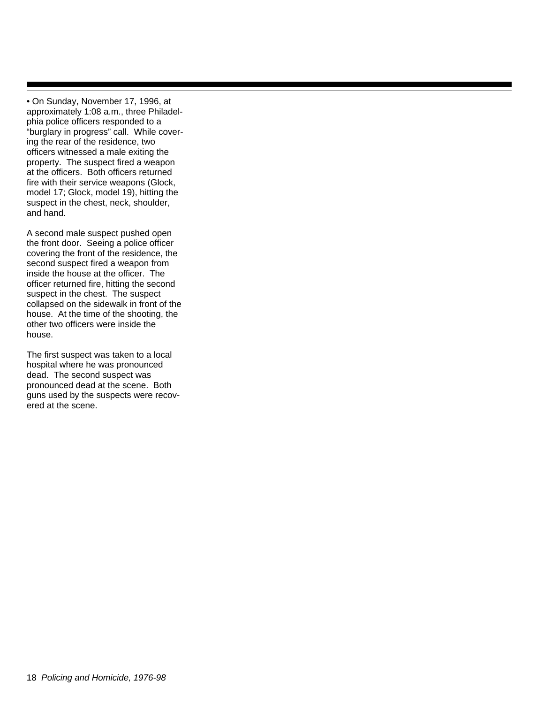• On Sunday, November 17, 1996, at approximately 1:08 a.m., three Philadelphia police officers responded to a "burglary in progress" call. While covering the rear of the residence, two officers witnessed a male exiting the property. The suspect fired a weapon at the officers. Both officers returned fire with their service weapons (Glock, model 17; Glock, model 19), hitting the suspect in the chest, neck, shoulder, and hand.

A second male suspect pushed open the front door. Seeing a police officer covering the front of the residence, the second suspect fired a weapon from inside the house at the officer. The officer returned fire, hitting the second suspect in the chest. The suspect collapsed on the sidewalk in front of the house. At the time of the shooting, the other two officers were inside the house.

The first suspect was taken to a local hospital where he was pronounced dead. The second suspect was pronounced dead at the scene. Both guns used by the suspects were recovered at the scene.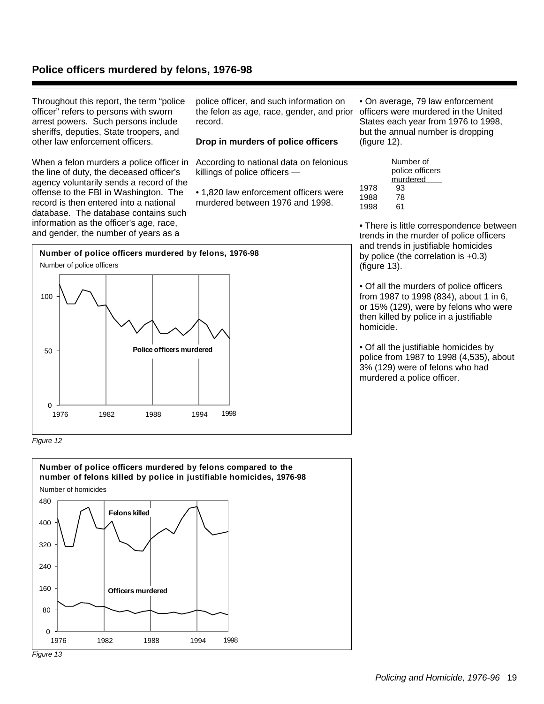### **Police officers murdered by felons, 1976-98**

Throughout this report, the term "police officer" refers to persons with sworn arrest powers. Such persons include sheriffs, deputies, State troopers, and other law enforcement officers.

When a felon murders a police officer in the line of duty, the deceased officer's agency voluntarily sends a record of the offense to the FBI in Washington. The record is then entered into a national database. The database contains such information as the officer's age, race, and gender, the number of years as a

police officer, and such information on the felon as age, race, gender, and prior record.

#### **Drop in murders of police officers**

According to national data on felonious killings of police officers —

• 1,820 law enforcement officers were murdered between 1976 and 1998.

• On average, 79 law enforcement officers were murdered in the United States each year from 1976 to 1998, but the annual number is dropping (figure 12).

|      | Number of                   |
|------|-----------------------------|
|      | police officers<br>murdered |
|      |                             |
| 1978 | 93                          |
| 1988 | 78                          |
| 1998 | 61                          |
|      |                             |

• There is little correspondence between trends in the murder of police officers and trends in justifiable homicides by police (the correlation is +0.3) (figure 13).

• Of all the murders of police officers from 1987 to 1998 (834), about 1 in 6, or 15% (129), were by felons who were then killed by police in a justifiable homicide.

• Of all the justifiable homicides by police from 1987 to 1998 (4,535), about 3% (129) were of felons who had murdered a police officer.



Figure 12



Policing and Homicide, 1976-96 19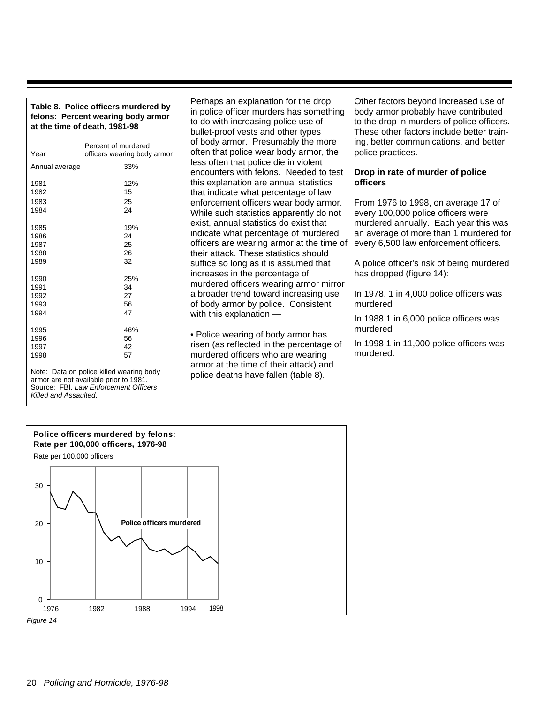#### **Table 8. Police officers murdered by felons: Percent wearing body armor at the time of death, 1981-98**

| Year           | Percent of murdered<br>officers wearing body armor |
|----------------|----------------------------------------------------|
|                |                                                    |
| Annual average | 33%                                                |
|                |                                                    |
| 1981           | 12%                                                |
| 1982           | 15                                                 |
| 1983           | 25                                                 |
| 1984           | 24                                                 |
|                |                                                    |
| 1985           | 19%                                                |
| 1986           | 24                                                 |
| 1987           | 25                                                 |
| 1988           | 26                                                 |
| 1989           | 32                                                 |
|                |                                                    |
| 1990           | 25%                                                |
| 1991           | 34                                                 |
| 1992           | 27                                                 |
| 1993           | 56                                                 |
| 1994           | 47                                                 |
|                |                                                    |
| 1995           | 46%                                                |
| 1996           | 56                                                 |
| 1997           | 42                                                 |
| 1998           | 57                                                 |
|                |                                                    |

Note: Data on police killed wearing body armor are not available prior to 1981. Source: FBI, Law Enforcement Officers Killed and Assaulted.

Perhaps an explanation for the drop in police officer murders has something to do with increasing police use of bullet-proof vests and other types of body armor. Presumably the more often that police wear body armor, the less often that police die in violent encounters with felons. Needed to test this explanation are annual statistics that indicate what percentage of law enforcement officers wear body armor. While such statistics apparently do not exist, annual statistics do exist that indicate what percentage of murdered officers are wearing armor at the time of their attack. These statistics should suffice so long as it is assumed that increases in the percentage of murdered officers wearing armor mirror a broader trend toward increasing use of body armor by police. Consistent with this explanation —

• Police wearing of body armor has risen (as reflected in the percentage of murdered officers who are wearing armor at the time of their attack) and police deaths have fallen (table 8).

Other factors beyond increased use of body armor probably have contributed to the drop in murders of police officers. These other factors include better training, better communications, and better police practices.

#### **Drop in rate of murder of police officers**

From 1976 to 1998, on average 17 of every 100,000 police officers were murdered annually. Each year this was an average of more than 1 murdered for every 6,500 law enforcement officers.

A police officer's risk of being murdered has dropped (figure 14):

In 1978, 1 in 4,000 police officers was murdered

In 1988 1 in 6,000 police officers was murdered

In 1998 1 in 11,000 police officers was murdered.



20 Policing and Homicide, 1976-98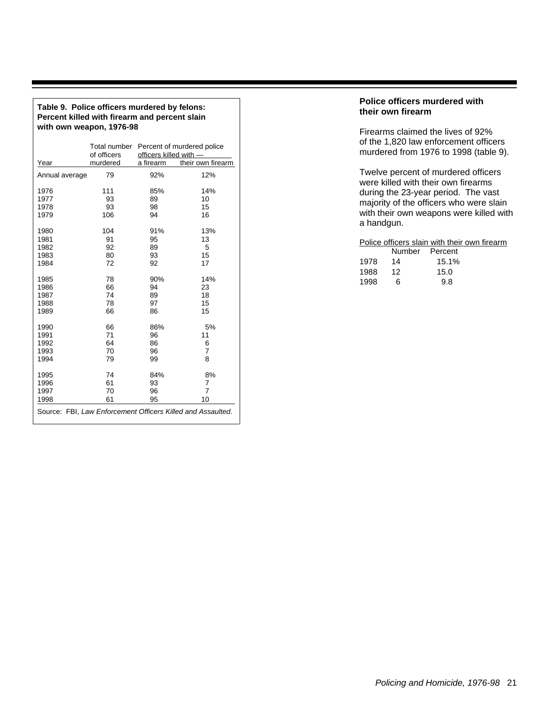| Table 9. Police officers murdered by felons:  |
|-----------------------------------------------|
| Percent killed with firearm and percent slain |
| with own weapon, 1976-98                      |

|                | Total number<br>of officers | officers killed with - | Percent of murdered police                                  |
|----------------|-----------------------------|------------------------|-------------------------------------------------------------|
| Year           | murdered                    | a firearm              | their own firearm                                           |
| Annual average | 79                          | 92%                    | 12%                                                         |
| 1976           | 111                         | 85%                    | 14%                                                         |
| 1977           | 93                          | 89                     | 10                                                          |
| 1978           | 93                          | 98                     | 15                                                          |
| 1979           | 106                         | 94                     | 16                                                          |
| 1980           | 104                         | 91%                    | 13%                                                         |
| 1981           | 91                          | 95                     | 13                                                          |
| 1982           | 92                          | 89                     | 5                                                           |
| 1983           | 80                          | 93                     | 15                                                          |
| 1984           | 72                          | 92                     | 17                                                          |
| 1985           | 78                          | 90%                    | 14%                                                         |
| 1986           | 66                          | 94                     | 23                                                          |
| 1987           | 74                          | 89                     | 18                                                          |
| 1988           | 78                          | 97                     | 15                                                          |
| 1989           | 66                          | 86                     | 15                                                          |
| 1990           | 66                          | 86%                    | 5%                                                          |
| 1991           | 71                          | 96                     | 11                                                          |
| 1992           | 64                          | 86                     | 6                                                           |
| 1993           | 70                          | 96                     | $\overline{7}$                                              |
| 1994           | 79                          | 99                     | 8                                                           |
| 1995           | 74                          | 84%                    | 8%                                                          |
| 1996           | 61                          | 93                     | 7                                                           |
| 1997           | 70                          | 96                     | $\overline{7}$                                              |
| 1998           | 61                          | 95                     | 10                                                          |
|                |                             |                        | Source: FBI, Law Enforcement Officers Killed and Assaulted. |

#### **Police officers murdered with their own firearm**

Firearms claimed the lives of 92% of the 1,820 law enforcement officers murdered from 1976 to 1998 (table 9).

Twelve percent of murdered officers were killed with their own firearms during the 23-year period. The vast majority of the officers who were slain with their own weapons were killed with a handgun.

#### Police officers slain with their own firearm

|      | Number | Percent |
|------|--------|---------|
| 1978 | 14     | 15.1%   |
| 1988 | 12     | 15.0    |
| 1998 | 6      | 9.8     |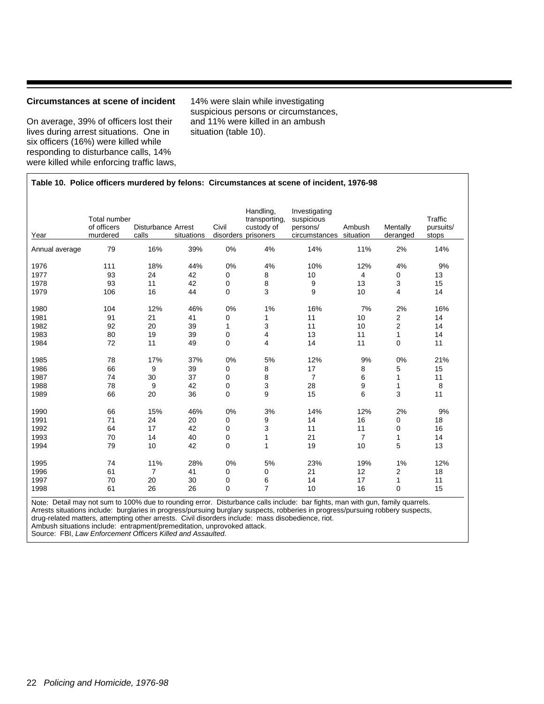#### **Circumstances at scene of incident**

On average, 39% of officers lost their lives during arrest situations. One in six officers (16%) were killed while responding to disturbance calls, 14% were killed while enforcing traffic laws, 14% were slain while investigating suspicious persons or circumstances, and 11% were killed in an ambush situation (table 10).

#### **Table 10. Police officers murdered by felons: Circumstances at scene of incident, 1976-98**

| Year           | <b>Total number</b><br>of officers<br>murdered | <b>Disturbance Arrest</b><br>calls | situations | Civil | Handling,<br>transporting,<br>custody of<br>disorders prisoners | Investigating<br>suspicious<br>persons/<br>circumstances | Ambush<br>situation | Mentally<br>deranged | Traffic<br>pursuits/<br>stops |
|----------------|------------------------------------------------|------------------------------------|------------|-------|-----------------------------------------------------------------|----------------------------------------------------------|---------------------|----------------------|-------------------------------|
| Annual average | 79                                             | 16%                                | 39%        | 0%    | 4%                                                              | 14%                                                      | 11%                 | 2%                   | 14%                           |
| 1976           | 111                                            | 18%                                | 44%        | 0%    | 4%                                                              | 10%                                                      | 12%                 | 4%                   | 9%                            |
| 1977           | 93                                             | 24                                 | 42         | 0     | 8                                                               | 10                                                       | 4                   | 0                    | 13                            |
| 1978           | 93                                             | 11                                 | 42         | 0     | 8                                                               | 9                                                        | 13                  | 3                    | 15                            |
| 1979           | 106                                            | 16                                 | 44         | 0     | 3                                                               | 9                                                        | 10                  | 4                    | 14                            |
| 1980           | 104                                            | 12%                                | 46%        | 0%    | 1%                                                              | 16%                                                      | 7%                  | 2%                   | 16%                           |
| 1981           | 91                                             | 21                                 | 41         | 0     | 1                                                               | 11                                                       | 10                  | 2                    | 14                            |
| 1982           | 92                                             | 20                                 | 39         | 1     | 3                                                               | 11                                                       | 10                  | $\overline{2}$       | 14                            |
| 1983           | 80                                             | 19                                 | 39         | 0     | 4                                                               | 13                                                       | 11                  | $\mathbf{1}$         | 14                            |
| 1984           | 72                                             | 11                                 | 49         | 0     | 4                                                               | 14                                                       | 11                  | 0                    | 11                            |
| 1985           | 78                                             | 17%                                | 37%        | 0%    | 5%                                                              | 12%                                                      | 9%                  | 0%                   | 21%                           |
| 1986           | 66                                             | 9                                  | 39         | 0     | 8                                                               | 17                                                       | 8                   | 5                    | 15                            |
| 1987           | 74                                             | 30                                 | 37         | 0     | 8                                                               | $\overline{7}$                                           | 6                   | $\mathbf{1}$         | 11                            |
| 1988           | 78                                             | 9                                  | 42         | 0     | 3                                                               | 28                                                       | 9                   | $\mathbf{1}$         | 8                             |
| 1989           | 66                                             | 20                                 | 36         | 0     | 9                                                               | 15                                                       | 6                   | 3                    | 11                            |
| 1990           | 66                                             | 15%                                | 46%        | 0%    | 3%                                                              | 14%                                                      | 12%                 | 2%                   | 9%                            |
| 1991           | 71                                             | 24                                 | 20         | 0     | 9                                                               | 14                                                       | 16                  | 0                    | 18                            |
| 1992           | 64                                             | 17                                 | 42         | 0     | 3                                                               | 11                                                       | 11                  | 0                    | 16                            |
| 1993           | 70                                             | 14                                 | 40         | 0     | $\mathbf{1}$                                                    | 21                                                       | $\overline{7}$      | 1                    | 14                            |
| 1994           | 79                                             | 10                                 | 42         | 0     | 1                                                               | 19                                                       | 10                  | 5                    | 13                            |
| 1995           | 74                                             | 11%                                | 28%        | 0%    | 5%                                                              | 23%                                                      | 19%                 | 1%                   | 12%                           |
| 1996           | 61                                             | $\overline{7}$                     | 41         | 0     | 0                                                               | 21                                                       | 12                  | 2                    | 18                            |
| 1997           | 70                                             | 20                                 | 30         | 0     | 6                                                               | 14                                                       | 17                  | $\mathbf{1}$         | 11                            |
| 1998           | 61                                             | 26                                 | 26         | 0     | $\overline{7}$                                                  | 10                                                       | 16                  | 0                    | 15                            |

Note: Detail may not sum to 100% due to rounding error. Disturbance calls include: bar fights, man with gun, family quarrels. Arrests situations include: burglaries in progress/pursuing burglary suspects, robberies in progress/pursuing robbery suspects, drug-related matters, attempting other arrests. Civil disorders include: mass disobedience, riot. Ambush situations include: entrapment/premeditation, unprovoked attack.

Source: FBI, Law Enforcement Officers Killed and Assaulted.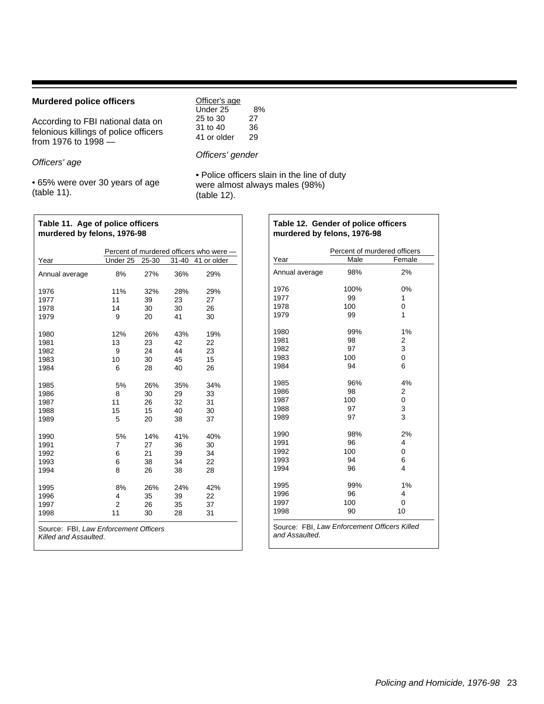#### **Murdered police officers**

| <b>Murdered police officers</b>                                                                   | Officer's age                                   |                      |  |
|---------------------------------------------------------------------------------------------------|-------------------------------------------------|----------------------|--|
| According to FBI national data on<br>felonious killings of police officers<br>from 1976 to 1998 - | Under 25<br>25 to 30<br>31 to 40<br>41 or older | 8%<br>27<br>36<br>29 |  |
|                                                                                                   | Officers' gender                                |                      |  |

Officers' age

• 65% were over 30 years of age (table 11).

• Police officers slain in the line of duty were almost always males (98%) (table 12).

| Table 11. Age of police officers<br>murdered by felons, 1976-98 |    |     |     |                                         |
|-----------------------------------------------------------------|----|-----|-----|-----------------------------------------|
|                                                                 |    |     |     | Percent of murdered officers who were — |
| Year                                                            |    |     |     | Under 25 25 30 31 40 41 or older        |
| Annual average                                                  | 8% | 27% | 36% | 29%                                     |

| 11%<br>32%<br>28%<br>1976<br>29%<br>11<br>27<br>1977<br>39<br>23<br>1978<br>14<br>30<br>30<br>26<br>9<br>1979<br>20<br>41<br>30<br>12%<br>26%<br>43%<br>19%<br>1980<br>13<br>23<br>42<br>1981<br>22<br>1982<br>9<br>24<br>44<br>23<br>10<br>15<br>1983<br>30<br>45<br>6<br>1984<br>28<br>40<br>26<br>5%<br>1985<br>26%<br>35%<br>34%<br>1986<br>8<br>30<br>29<br>33<br>11<br>32<br>1987<br>26<br>31<br>15<br>15<br>40<br>1988<br>30<br>5<br>1989<br>20<br>38<br>37<br>5%<br>14%<br>41%<br>40%<br>1990<br>7<br>1991<br>27<br>36<br>30<br>6<br>1992<br>21<br>39<br>34<br>1993<br>6<br>38<br>34<br>22<br>8<br>26<br>1994<br>38<br>28<br>8%<br>26%<br>24%<br>1995<br>42%<br>4<br>1996<br>35<br>39<br>22<br>2<br>1997<br>26<br>35<br>37<br>11<br>1998<br>30<br>28<br>31 | Annual average | 8% | 27% | 36% | 29% |  |
|--------------------------------------------------------------------------------------------------------------------------------------------------------------------------------------------------------------------------------------------------------------------------------------------------------------------------------------------------------------------------------------------------------------------------------------------------------------------------------------------------------------------------------------------------------------------------------------------------------------------------------------------------------------------------------------------------------------------------------------------------------------------|----------------|----|-----|-----|-----|--|
|                                                                                                                                                                                                                                                                                                                                                                                                                                                                                                                                                                                                                                                                                                                                                                    |                |    |     |     |     |  |
|                                                                                                                                                                                                                                                                                                                                                                                                                                                                                                                                                                                                                                                                                                                                                                    |                |    |     |     |     |  |
|                                                                                                                                                                                                                                                                                                                                                                                                                                                                                                                                                                                                                                                                                                                                                                    |                |    |     |     |     |  |
|                                                                                                                                                                                                                                                                                                                                                                                                                                                                                                                                                                                                                                                                                                                                                                    |                |    |     |     |     |  |
| Source: FRI Law Enforcement Officers                                                                                                                                                                                                                                                                                                                                                                                                                                                                                                                                                                                                                                                                                                                               |                |    |     |     |     |  |

Source: FBI, Law Enforcement Officers Killed and Assaulted.

|                | Percent of murdered officers |        |
|----------------|------------------------------|--------|
| Year           | Male                         | Female |
| Annual average | 98%                          | 2%     |
| 1976           | 100%                         | 0%     |
| 1977           | 99                           | 1      |
| 1978           | 100                          | 0      |
| 1979           | 99                           | 1      |
| 1980           | 99%                          | 1%     |
| 1981           | 98                           | 2      |
| 1982           | 97                           | 3      |
| 1983           | 100                          | 0      |
| 1984           | 94                           | 6      |
| 1985           | 96%                          | 4%     |
| 1986           | 98                           | 2      |
| 1987           | 100                          | 0      |
| 1988           | 97                           | 3      |
| 1989           | 97                           | 3      |
| 1990           | 98%                          | 2%     |
| 1991           | 96                           | 4      |
| 1992           | 100                          | 0      |
| 1993           | 94                           | 6      |
| 1994           | 96                           | 4      |
| 1995           | 99%                          | 1%     |
| 1996           | 96                           | 4      |
| 1997           | 100                          | 0      |
| 1998           | 90                           | 10     |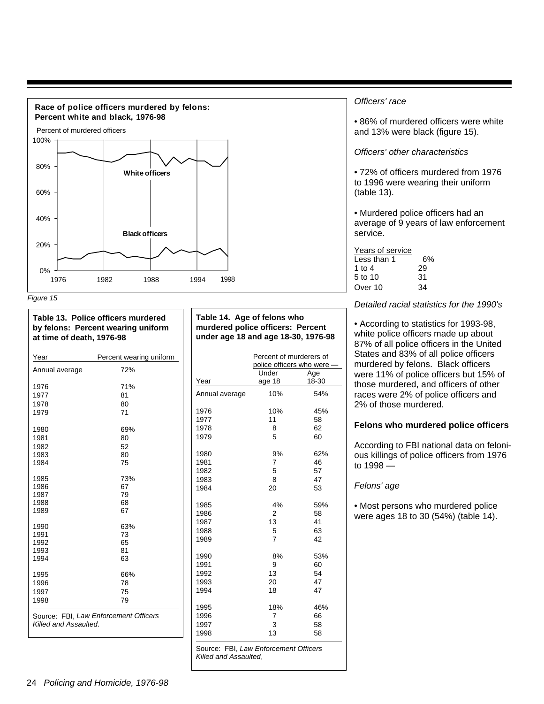



| at time of death, 1976-98       | Table 13. Police officers murdered<br>by felons: Percent wearing uniform |
|---------------------------------|--------------------------------------------------------------------------|
| $\lambda$ $\lambda$ $  \lambda$ | Deservatives and a constitution of the season                            |

| Year                  | Percent wearing uniform               |
|-----------------------|---------------------------------------|
| Annual average        | 72%                                   |
| 1976                  | 71%                                   |
| 1977                  | 81                                    |
| 1978                  | 80                                    |
| 1979                  | 71                                    |
| 1980                  | 69%                                   |
| 1981                  | 80                                    |
| 1982                  | 52                                    |
| 1983                  | 80                                    |
| 1984                  | 75                                    |
| 1985                  | 73%                                   |
| 1986                  | 67                                    |
| 1987                  | 79                                    |
| 1988                  | 68                                    |
| 1989                  | 67                                    |
| 1990                  | 63%                                   |
| 1991                  | 73                                    |
| 1992                  | 65                                    |
| 1993                  | 81                                    |
| 1994                  | 63                                    |
| 1995                  | 66%                                   |
| 1996                  | 78                                    |
| 1997                  | 75                                    |
| 1998                  | 79                                    |
| Killed and Assaulted. | Source: FBI, Law Enforcement Officers |

#### **Table 14. Age of felons who murdered police officers: Percent under age 18 and age 18-30, 1976-98**

|                | Percent of murderers of<br>police officers who were |       |
|----------------|-----------------------------------------------------|-------|
|                | Under                                               | Age   |
| Year           | age 18                                              | 18-30 |
| Annual average | 10%                                                 | 54%   |
| 1976           | 10%                                                 | 45%   |
| 1977           | 11                                                  | 58    |
| 1978           | 8                                                   | 62    |
| 1979           | 5                                                   | 60    |
| 1980           | 9%                                                  | 62%   |
| 1981           | 7                                                   | 46    |
| 1982           | 5                                                   | 57    |
| 1983           | 8                                                   | 47    |
| 1984           | 20                                                  | 53    |
| 1985           | 4%                                                  | 59%   |
| 1986           | 2                                                   | 58    |
| 1987           | 13                                                  | 41    |
| 1988           | 5                                                   | 63    |
| 1989           | $\overline{7}$                                      | 42    |
| 1990           | 8%                                                  | 53%   |
| 1991           | 9                                                   | 60    |
| 1992           | 13                                                  | 54    |
| 1993           | 20                                                  | 47    |
| 1994           | 18                                                  | 47    |
| 1995           | 18%                                                 | 46%   |
| 1996           | 7                                                   | 66    |
| 1997           | 3                                                   | 58    |
| 1998           | 13                                                  | 58    |

#### Officers' race

• 86% of murdered officers were white and 13% were black (figure 15).

#### Officers' other characteristics

• 72% of officers murdered from 1976 to 1996 were wearing their uniform (table 13).

• Murdered police officers had an average of 9 years of law enforcement service.

#### Years of service Less than  $1$  6%<br>1 to 4 29 1 to 4 29<br>5 to 10 31  $5$  to  $10$ Over 10 34

Detailed racial statistics for the 1990's

• According to statistics for 1993-98, white police officers made up about 87% of all police officers in the United States and 83% of all police officers murdered by felons. Black officers were 11% of police officers but 15% of those murdered, and officers of other races were 2% of police officers and 2% of those murdered.

#### **Felons who murdered police officers**

According to FBI national data on felonious killings of police officers from 1976 to 1998 —

#### Felons' age

• Most persons who murdered police were ages 18 to 30 (54%) (table 14).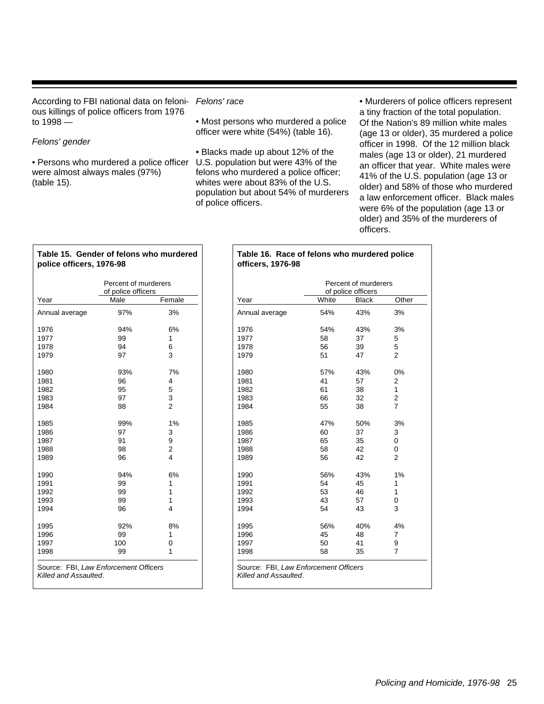According to FBI national data on felonious killings of police officers from 1976 to 1998 —

#### Felons' gender

• Persons who murdered a police officer U.S. population but were 43% of the were almost always males (97%) (table 15).

**Table 15. Gender of felons who murdered**

**police officers, 1976-98**

#### Felons' race

• Most persons who murdered a police officer were white (54%) (table 16).

• Blacks made up about 12% of the felons who murdered a police officer; whites were about 83% of the U.S. population but about 54% of murderers of police officers.

• Murderers of police officers represent a tiny fraction of the total population. Of the Nation's 89 million white males (age 13 or older), 35 murdered a police officer in 1998. Of the 12 million black males (age 13 or older), 21 murdered an officer that year. White males were 41% of the U.S. population (age 13 or older) and 58% of those who murdered a law enforcement officer. Black males were 6% of the population (age 13 or older) and 35% of the murderers of officers.

|                | Percent of murderers<br>of police officers |                         |  |
|----------------|--------------------------------------------|-------------------------|--|
| Year           | Male                                       | Female                  |  |
| Annual average | 97%                                        | 3%                      |  |
| 1976           | 94%                                        | 6%                      |  |
| 1977           | 99                                         | 1                       |  |
| 1978           | 94                                         | 6                       |  |
| 1979           | 97                                         | 3                       |  |
| 1980           | 93%                                        | 7%                      |  |
| 1981           | 96                                         | 4                       |  |
| 1982           | 95                                         | 5                       |  |
| 1983           | 97                                         | 3                       |  |
| 1984           | 98                                         | $\mathfrak{p}$          |  |
| 1985           | 99%                                        | 1%                      |  |
| 1986           | 97                                         | 3                       |  |
| 1987           | 91                                         | 9                       |  |
| 1988           | 98                                         | $\overline{\mathbf{c}}$ |  |
| 1989           | 96                                         | 4                       |  |
| 1990           | 94%                                        | 6%                      |  |
| 1991           | 99                                         | 1                       |  |
| 1992           | 99                                         | 1                       |  |
| 1993           | 99                                         | 1                       |  |
| 1994           | 96                                         | 4                       |  |
| 1995           | 92%                                        | 8%                      |  |
| 1996           | 99                                         | 1                       |  |
| 1997           | 100                                        | 0                       |  |
| 1998           | 99                                         | 1                       |  |

## **Table 16. Race of felons who murdered police officers, 1976-98**

|                |       | Percent of murderers<br>of police officers |                |  |
|----------------|-------|--------------------------------------------|----------------|--|
| Year           | White | <b>Black</b>                               | Other          |  |
| Annual average | 54%   | 43%                                        | 3%             |  |
| 1976           | 54%   | 43%                                        | 3%             |  |
| 1977           | 58    | 37                                         | 5              |  |
| 1978           | 56    | 39                                         | 5              |  |
| 1979           | 51    | 47                                         | $\overline{2}$ |  |
| 1980           | 57%   | 43%                                        | 0%             |  |
| 1981           | 41    | 57                                         | 2              |  |
| 1982           | 61    | 38                                         | 1              |  |
| 1983           | 66    | 32                                         | 2              |  |
| 1984           | 55    | 38                                         | $\overline{7}$ |  |
| 1985           | 47%   | 50%                                        | 3%             |  |
| 1986           | 60    | 37                                         | 3              |  |
| 1987           | 65    | 35                                         | 0              |  |
| 1988           | 58    | 42                                         | 0              |  |
| 1989           | 56    | 42                                         | $\overline{2}$ |  |
| 1990           | 56%   | 43%                                        | 1%             |  |
| 1991           | 54    | 45                                         | 1              |  |
| 1992           | 53    | 46                                         | 1              |  |
| 1993           | 43    | 57                                         | 0              |  |
| 1994           | 54    | 43                                         | 3              |  |
| 1995           | 56%   | 40%                                        | 4%             |  |
| 1996           | 45    | 48                                         | 7              |  |
| 1997           | 50    | 41                                         | 9              |  |
| 1998           | 58    | 35                                         | 7              |  |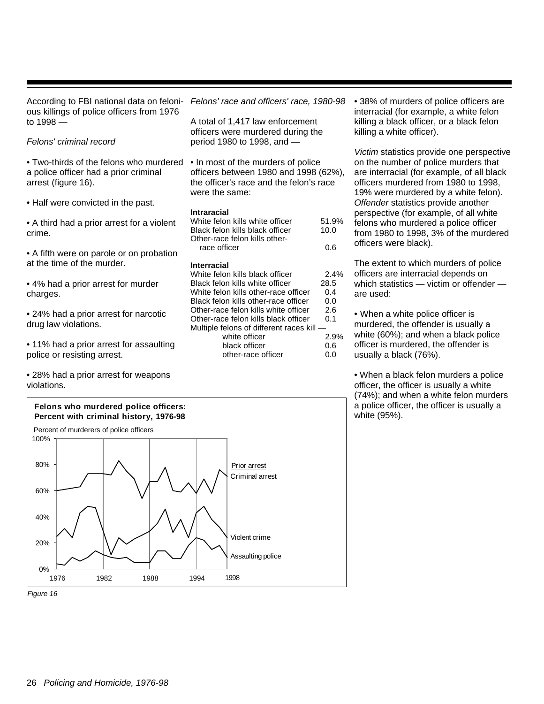| According to FBI national data on feloni-<br>ous killings of police officers from 1976                          | Felons                                             |
|-----------------------------------------------------------------------------------------------------------------|----------------------------------------------------|
| to 1998 —                                                                                                       | A total<br>officers                                |
| Felons' criminal record                                                                                         | period                                             |
| $\bullet$ Two-thirds of the felons who murdered<br>a police officer had a prior criminal<br>arrest (figure 16). | $\bullet$ In mc<br>officers<br>the offi<br>were th |
| • Half were convicted in the past.                                                                              |                                                    |
| • A third had a prior arrest for a violent<br>crime.                                                            | <b>Intrara</b><br>White f<br>Black fe<br>Other-ra  |
| • A fifth were on parole or on probation                                                                        | race                                               |
| at the time of the murder.                                                                                      | Interra<br>White f                                 |
| And the theory of the second former and the                                                                     |                                                    |

charges.

• 11% had a prior arrest for assaulting police or resisting arrest.

• 28% had a prior arrest for weapons violations.



• 38% of murders of police officers are interracial (for example, a white felon killing a black officer, or a black felon killing a white officer).

Victim statistics provide one perspective on the number of police murders that are interracial (for example, of all black officers murdered from 1980 to 1998, 19% were murdered by a white felon). Offender statistics provide another perspective (for example, of all white felons who murdered a police officer from 1980 to 1998, 3% of the murdered officers were black).

The extent to which murders of police officers are interracial depends on which statistics — victim or offender are used:

• When a white police officer is murdered, the offender is usually a white (60%); and when a black police officer is murdered, the offender is usually a black (76%).

• When a black felon murders a police officer, the officer is usually a white (74%); and when a white felon murders a police officer, the officer is usually a white (95%).

• 4% had a prior arrest for murder

• 24% had a prior arrest for narcotic drug law violations.

' race and officers' race, 1980-98

of 1,417 law enforcement s were murdered during the 1980 to 1998, and —

ost of the murders of police s between 1980 and 1998 (62%), icer's race and the felon's race he same:

#### **Intraracial**

| White felon kills white officer | 51.9% |
|---------------------------------|-------|
| Black felon kills black officer | 10.0  |
| Other-race felon kills other-   |       |
| race officer                    | 0.6   |

#### cial

| White felon kills black officer           | 2.4% |
|-------------------------------------------|------|
| Black felon kills white officer           | 28.5 |
| White felon kills other-race officer      | 0.4  |
| Black felon kills other-race officer      | 0.0  |
| Other-race felon kills white officer      | 2.6  |
| Other-race felon kills black officer      | 0.1  |
| Multiple felons of different races kill — |      |
| white officer                             | 2.9% |
| black officer                             | 0.6  |
| other-race officer                        | 0.0  |
|                                           |      |

Assaulting police

1998

1976 1982 1988 1994

Figure 16

0%

20%

40%

60%

80%

100%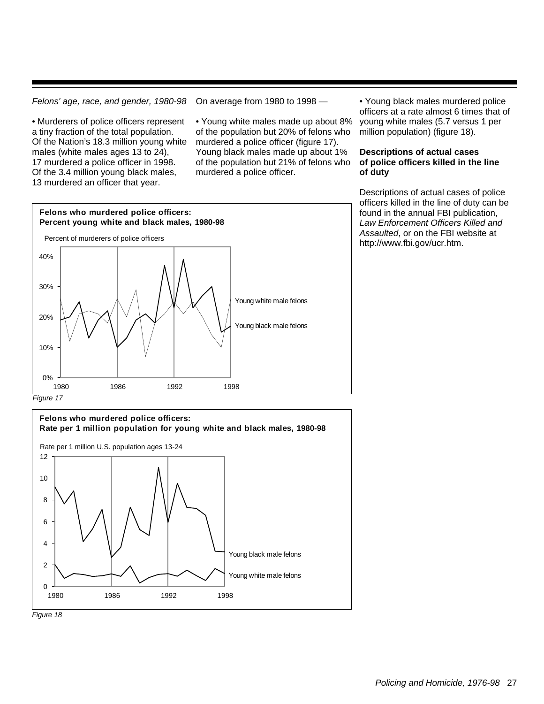Felons' age, race, and gender, 1980-98

• Murderers of police officers represent a tiny fraction of the total population. Of the Nation's 18.3 million young white males (white males ages 13 to 24), 17 murdered a police officer in 1998. Of the 3.4 million young black males, 13 murdered an officer that year.

On average from 1980 to 1998 —

• Young white males made up about 8% of the population but 20% of felons who murdered a police officer (figure 17). Young black males made up about 1% of the population but 21% of felons who murdered a police officer.

• Young black males murdered police officers at a rate almost 6 times that of young white males (5.7 versus 1 per million population) (figure 18).

#### **Descriptions of actual cases of police officers killed in the line of duty**

Descriptions of actual cases of police officers killed in the line of duty can be found in the annual FBI publication, Law Enforcement Officers Killed and Assaulted, or on the FBI website at http://www.fbi.gov/ucr.htm.



Figure 17



Figure 18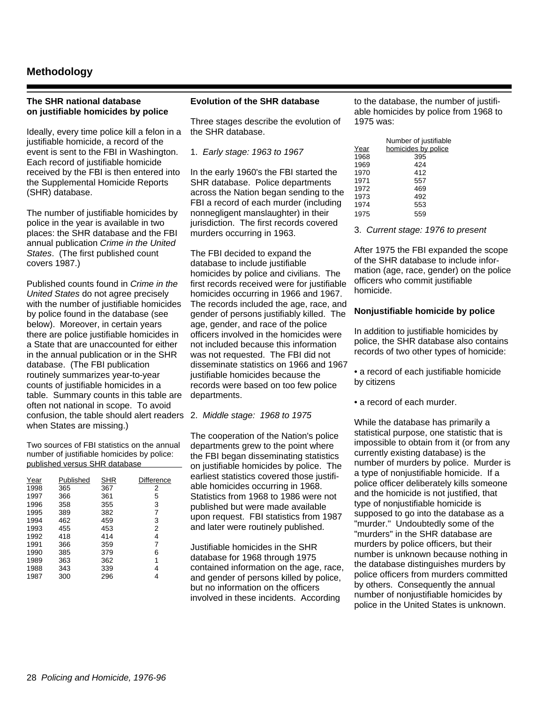#### **Methodology**

#### **The SHR national database on justifiable homicides by police**

Ideally, every time police kill a felon in a justifiable homicide, a record of the event is sent to the FBI in Washington. Each record of justifiable homicide received by the FBI is then entered into the Supplemental Homicide Reports (SHR) database.

The number of justifiable homicides by police in the year is available in two places: the SHR database and the FBI annual publication Crime in the United States. (The first published count covers 1987.)

Published counts found in Crime in the United States do not agree precisely with the number of justifiable homicides by police found in the database (see below). Moreover, in certain years there are police justifiable homicides in a State that are unaccounted for either in the annual publication or in the SHR database. (The FBI publication routinely summarizes year-to-year counts of justifiable homicides in a table. Summary counts in this table are often not national in scope. To avoid confusion, the table should alert readers 2. Middle stage: 1968 to 1975 when States are missing.)

Two sources of FBI statistics on the annual number of justifiable homicides by police: published versus SHR database

| Year | Published | <b>SHR</b> | Difference |
|------|-----------|------------|------------|
| 1998 | 365       | 367        | 2          |
| 1997 | 366       | 361        | 5          |
| 1996 | 358       | 355        | 3          |
| 1995 | 389       | 382        | 7          |
| 1994 | 462       | 459        | 3          |
| 1993 | 455       | 453        | 2          |
| 1992 | 418       | 414        | 4          |
| 1991 | 366       | 359        | 7          |
| 1990 | 385       | 379        | 6          |
| 1989 | 363       | 362        | 1          |
| 1988 | 343       | 339        | 4          |
| 1987 | 300       | 296        |            |

#### **Evolution of the SHR database**

Three stages describe the evolution of the SHR database.

1. Early stage: 1963 to 1967

In the early 1960's the FBI started the SHR database. Police departments across the Nation began sending to the FBI a record of each murder (including nonnegligent manslaughter) in their jurisdiction. The first records covered murders occurring in 1963.

The FBI decided to expand the database to include justifiable homicides by police and civilians. The first records received were for justifiable homicides occurring in 1966 and 1967. The records included the age, race, and gender of persons justifiably killed. The age, gender, and race of the police officers involved in the homicides were not included because this information was not requested. The FBI did not disseminate statistics on 1966 and 1967 justifiable homicides because the records were based on too few police departments.

The cooperation of the Nation's police departments grew to the point where the FBI began disseminating statistics on justifiable homicides by police. The earliest statistics covered those justifiable homicides occurring in 1968. Statistics from 1968 to 1986 were not published but were made available upon request. FBI statistics from 1987 and later were routinely published.

Justifiable homicides in the SHR database for 1968 through 1975 contained information on the age, race, and gender of persons killed by police, but no information on the officers involved in these incidents. According

to the database, the number of justifiable homicides by police from 1968 to 1975 was:

|      | Number of justifiable |
|------|-----------------------|
| Year | homicides by police   |
| 1968 | 395                   |
| 1969 | 424                   |
| 1970 | 412                   |
| 1971 | 557                   |
| 1972 | 469                   |
| 1973 | 492                   |
| 1974 | 553                   |
| 1975 | 559                   |
|      |                       |

3. Current stage: 1976 to present

After 1975 the FBI expanded the scope of the SHR database to include information (age, race, gender) on the police officers who commit justifiable homicide.

#### **Nonjustifiable homicide by police**

In addition to justifiable homicides by police, the SHR database also contains records of two other types of homicide:

• a record of each justifiable homicide by citizens

• a record of each murder.

While the database has primarily a statistical purpose, one statistic that is impossible to obtain from it (or from any currently existing database) is the number of murders by police. Murder is a type of nonjustifiable homicide. If a police officer deliberately kills someone and the homicide is not justified, that type of nonjustifiable homicide is supposed to go into the database as a "murder." Undoubtedly some of the "murders" in the SHR database are murders by police officers, but their number is unknown because nothing in the database distinguishes murders by police officers from murders committed by others. Consequently the annual number of nonjustifiable homicides by police in the United States is unknown.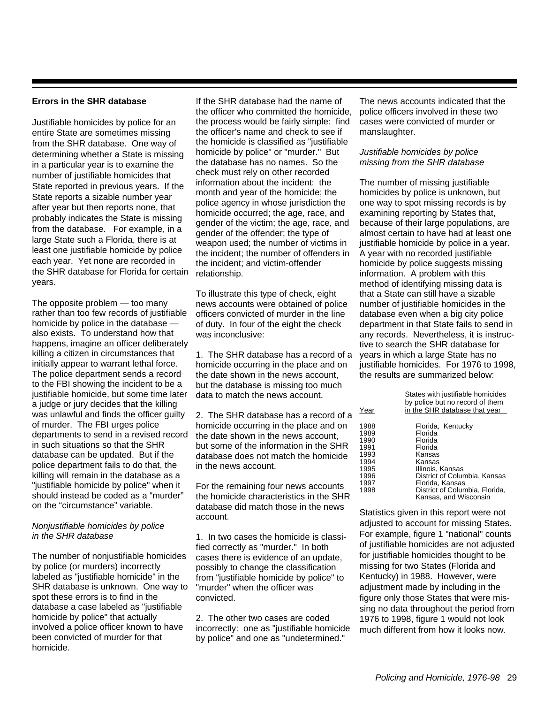#### **Errors in the SHR database**

Justifiable homicides by police for an entire State are sometimes missing from the SHR database. One way of determining whether a State is missing in a particular year is to examine the number of justifiable homicides that State reported in previous years. If the State reports a sizable number year after year but then reports none, that probably indicates the State is missing from the database. For example, in a large State such a Florida, there is at least one justifiable homicide by police each year. Yet none are recorded in the SHR database for Florida for certain years.

The opposite problem — too many rather than too few records of justifiable homicide by police in the database also exists. To understand how that happens, imagine an officer deliberately killing a citizen in circumstances that initially appear to warrant lethal force. The police department sends a record to the FBI showing the incident to be a justifiable homicide, but some time later a judge or jury decides that the killing was unlawful and finds the officer guilty of murder. The FBI urges police departments to send in a revised record in such situations so that the SHR database can be updated. But if the police department fails to do that, the killing will remain in the database as a "justifiable homicide by police" when it should instead be coded as a "murder" on the "circumstance" variable.

#### Nonjustifiable homicides by police in the SHR database

The number of nonjustifiable homicides by police (or murders) incorrectly labeled as "justifiable homicide" in the SHR database is unknown. One way to spot these errors is to find in the database a case labeled as "justifiable homicide by police" that actually involved a police officer known to have been convicted of murder for that homicide.

If the SHR database had the name of the officer who committed the homicide, the process would be fairly simple: find the officer's name and check to see if the homicide is classified as "justifiable homicide by police" or "murder." But the database has no names. So the check must rely on other recorded information about the incident: the month and year of the homicide; the police agency in whose jurisdiction the homicide occurred; the age, race, and gender of the victim; the age, race, and gender of the offender; the type of weapon used; the number of victims in the incident; the number of offenders in the incident; and victim-offender relationship.

To illustrate this type of check, eight news accounts were obtained of police officers convicted of murder in the line of duty. In four of the eight the check was inconclusive:

1. The SHR database has a record of a homicide occurring in the place and on the date shown in the news account, but the database is missing too much data to match the news account.

2. The SHR database has a record of a homicide occurring in the place and on the date shown in the news account, but some of the information in the SHR database does not match the homicide in the news account.

For the remaining four news accounts the homicide characteristics in the SHR database did match those in the news account.

1. In two cases the homicide is classified correctly as "murder." In both cases there is evidence of an update, possibly to change the classification from "justifiable homicide by police" to "murder" when the officer was convicted.

2. The other two cases are coded incorrectly: one as "justifiable homicide by police" and one as "undetermined."

The news accounts indicated that the police officers involved in these two cases were convicted of murder or manslaughter.

#### Justifiable homicides by police missing from the SHR database

The number of missing justifiable homicides by police is unknown, but one way to spot missing records is by examining reporting by States that, because of their large populations, are almost certain to have had at least one justifiable homicide by police in a year. A year with no recorded justifiable homicide by police suggests missing information. A problem with this method of identifying missing data is that a State can still have a sizable number of justifiable homicides in the database even when a big city police department in that State fails to send in any records. Nevertheless, it is instructive to search the SHR database for years in which a large State has no justifiable homicides. For 1976 to 1998, the results are summarized below:

|      | States with justifiable homicides<br>by police but no record of them |
|------|----------------------------------------------------------------------|
| Year | in the SHR database that year                                        |
| 1988 | Florida, Kentucky                                                    |
| 1989 | Florida                                                              |
| 1990 | Florida                                                              |
| 1991 | Florida                                                              |
| 1993 | Kansas                                                               |
| 1994 | Kansas                                                               |
| 1995 | Illinois, Kansas                                                     |
| 1996 | District of Columbia, Kansas                                         |
| 1997 | Florida, Kansas                                                      |
| 1998 | District of Columbia, Florida,<br>Kansas, and Wisconsin              |

Statistics given in this report were not adjusted to account for missing States. For example, figure 1 "national" counts of justifiable homicides are not adjusted for justifiable homicides thought to be missing for two States (Florida and Kentucky) in 1988. However, were adjustment made by including in the figure only those States that were missing no data throughout the period from 1976 to 1998, figure 1 would not look much different from how it looks now.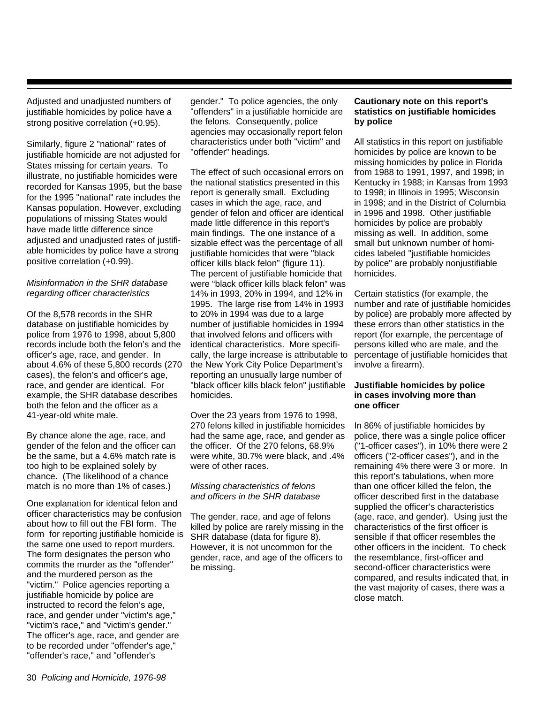Adjusted and unadjusted numbers of justifiable homicides by police have a strong positive correlation (+0.95).

Similarly, figure 2 "national" rates of justifiable homicide are not adjusted for States missing for certain years. To illustrate, no justifiable homicides were recorded for Kansas 1995, but the base for the 1995 "national" rate includes the Kansas population. However, excluding populations of missing States would have made little difference since adjusted and unadjusted rates of justifiable homicides by police have a strong positive correlation (+0.99).

#### Misinformation in the SHR database regarding officer characteristics

Of the 8,578 records in the SHR database on justifiable homicides by police from 1976 to 1998, about 5,800 records include both the felon's and the officer's age, race, and gender. In about 4.6% of these 5,800 records (270 cases), the felon's and officer's age, race, and gender are identical. For example, the SHR database describes both the felon and the officer as a 41-year-old white male.

By chance alone the age, race, and gender of the felon and the officer can be the same, but a 4.6% match rate is too high to be explained solely by chance. (The likelihood of a chance match is no more than 1% of cases.)

One explanation for identical felon and officer characteristics may be confusion about how to fill out the FBI form. The form for reporting justifiable homicide is the same one used to report murders. The form designates the person who commits the murder as the "offender" and the murdered person as the "victim." Police agencies reporting a justifiable homicide by police are instructed to record the felon's age, race, and gender under "victim's age," "victim's race," and "victim's gender." The officer's age, race, and gender are to be recorded under "offender's age," "offender's race," and "offender's

gender." To police agencies, the only "offenders" in a justifiable homicide are the felons. Consequently, police agencies may occasionally report felon characteristics under both "victim" and "offender" headings.

The effect of such occasional errors on the national statistics presented in this report is generally small. Excluding cases in which the age, race, and gender of felon and officer are identical made little difference in this report's main findings. The one instance of a sizable effect was the percentage of all justifiable homicides that were "black officer kills black felon" (figure 11). The percent of justifiable homicide that were "black officer kills black felon" was 14% in 1993, 20% in 1994, and 12% in 1995. The large rise from 14% in 1993 to 20% in 1994 was due to a large number of justifiable homicides in 1994 that involved felons and officers with identical characteristics. More specifically, the large increase is attributable to the New York City Police Department's reporting an unusually large number of "black officer kills black felon" justifiable homicides.

Over the 23 years from 1976 to 1998, 270 felons killed in justifiable homicides had the same age, race, and gender as the officer. Of the 270 felons, 68.9% were white, 30.7% were black, and .4% were of other races.

#### Missing characteristics of felons and officers in the SHR database

The gender, race, and age of felons killed by police are rarely missing in the SHR database (data for figure 8). However, it is not uncommon for the gender, race, and age of the officers to be missing.

#### **Cautionary note on this report's statistics on justifiable homicides by police**

All statistics in this report on justifiable homicides by police are known to be missing homicides by police in Florida from 1988 to 1991, 1997, and 1998; in Kentucky in 1988; in Kansas from 1993 to 1998; in Illinois in 1995; Wisconsin in 1998; and in the District of Columbia in 1996 and 1998. Other justifiable homicides by police are probably missing as well. In addition, some small but unknown number of homicides labeled "justifiable homicides by police" are probably nonjustifiable homicides.

Certain statistics (for example, the number and rate of justifiable homicides by police) are probably more affected by these errors than other statistics in the report (for example, the percentage of persons killed who are male, and the percentage of justifiable homicides that involve a firearm).

#### **Justifiable homicides by police in cases involving more than one officer**

In 86% of justifiable homicides by police, there was a single police officer ("1-officer cases"), in 10% there were 2 officers ("2-officer cases"), and in the remaining 4% there were 3 or more. In this report's tabulations, when more than one officer killed the felon, the officer described first in the database supplied the officer's characteristics (age, race, and gender). Using just the characteristics of the first officer is sensible if that officer resembles the other officers in the incident. To check the resemblance, first-officer and second-officer characteristics were compared, and results indicated that, in the vast majority of cases, there was a close match.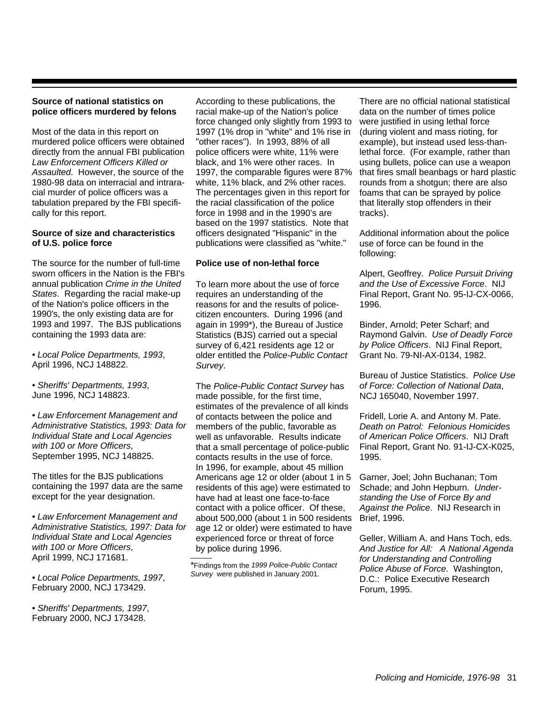#### **Source of national statistics on police officers murdered by felons**

Most of the data in this report on murdered police officers were obtained directly from the annual FBI publication Law Enforcement Officers Killed or Assaulted. However, the source of the 1980-98 data on interracial and intraracial murder of police officers was a tabulation prepared by the FBI specifically for this report.

#### **Source of size and characteristics of U.S. police force**

The source for the number of full-time sworn officers in the Nation is the FBI's annual publication Crime in the United States. Regarding the racial make-up of the Nation's police officers in the 1990's, the only existing data are for 1993 and 1997. The BJS publications containing the 1993 data are:

• Local Police Departments, 1993, April 1996, NCJ 148822.

• Sheriffs' Departments, 1993, June 1996, NCJ 148823.

• Law Enforcement Management and Administrative Statistics, 1993: Data for Individual State and Local Agencies with 100 or More Officers, September 1995, NCJ 148825.

The titles for the BJS publications containing the 1997 data are the same except for the year designation.

• Law Enforcement Management and Administrative Statistics, 1997: Data for Individual State and Local Agencies with 100 or More Officers, April 1999, NCJ 171681.

• Local Police Departments, 1997, February 2000, NCJ 173429.

• Sheriffs' Departments, 1997, February 2000, NCJ 173428.

According to these publications, the racial make-up of the Nation's police force changed only slightly from 1993 to 1997 (1% drop in "white" and 1% rise in "other races"). In 1993, 88% of all police officers were white, 11% were black, and 1% were other races. In 1997, the comparable figures were 87% white, 11% black, and 2% other races. The percentages given in this report for the racial classification of the police force in 1998 and in the 1990's are based on the 1997 statistics. Note that officers designated "Hispanic" in the publications were classified as "white."

#### **Police use of non-lethal force**

To learn more about the use of force requires an understanding of the reasons for and the results of policecitizen encounters. During 1996 (and again in 1999\*), the Bureau of Justice Statistics (BJS) carried out a special survey of 6,421 residents age 12 or older entitled the Police-Public Contact Survey.

The Police-Public Contact Survey has made possible, for the first time, estimates of the prevalence of all kinds of contacts between the police and members of the public, favorable as well as unfavorable. Results indicate that a small percentage of police-public contacts results in the use of force. In 1996, for example, about 45 million Americans age 12 or older (about 1 in 5 residents of this age) were estimated to have had at least one face-to-face contact with a police officer. Of these, about 500,000 (about 1 in 500 residents age 12 or older) were estimated to have experienced force or threat of force by police during 1996.

\*Findings from the 1999 Police-Public Contact Survey were published in January 2001.

There are no official national statistical data on the number of times police were justified in using lethal force (during violent and mass rioting, for example), but instead used less-thanlethal force. (For example, rather than using bullets, police can use a weapon that fires small beanbags or hard plastic rounds from a shotgun; there are also foams that can be sprayed by police that literally stop offenders in their tracks).

Additional information about the police use of force can be found in the following:

Alpert, Geoffrey. Police Pursuit Driving and the Use of Excessive Force. NIJ Final Report, Grant No. 95-IJ-CX-0066, 1996.

Binder, Arnold; Peter Scharf; and Raymond Galvin. Use of Deadly Force by Police Officers. NIJ Final Report, Grant No. 79-NI-AX-0134, 1982.

Bureau of Justice Statistics. Police Use of Force: Collection of National Data, NCJ 165040, November 1997.

Fridell, Lorie A. and Antony M. Pate. Death on Patrol: Felonious Homicides of American Police Officers. NIJ Draft Final Report, Grant No. 91-IJ-CX-K025, 1995.

Garner, Joel; John Buchanan; Tom Schade; and John Hepburn. Understanding the Use of Force By and Against the Police. NIJ Research in Brief, 1996.

Geller, William A. and Hans Toch, eds. And Justice for All: A National Agenda for Understanding and Controlling Police Abuse of Force. Washington, D.C.: Police Executive Research Forum, 1995.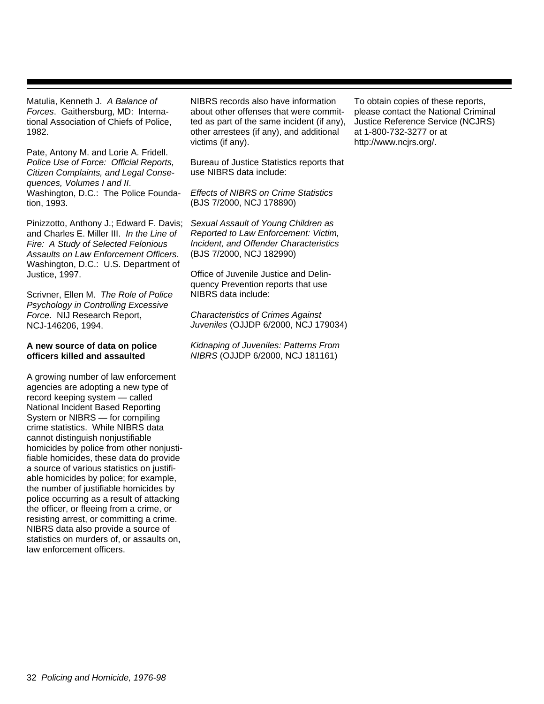Matulia, Kenneth J. A Balance of Forces. Gaithersburg, MD: International Association of Chiefs of Police, 1982.

Pate, Antony M. and Lorie A. Fridell. Police Use of Force: Official Reports, Citizen Complaints, and Legal Consequences, Volumes I and II. Washington, D.C.: The Police Foundation, 1993.

Pinizzotto, Anthony J.; Edward F. Davis; and Charles E. Miller III. In the Line of Fire: A Study of Selected Felonious Assaults on Law Enforcement Officers. Washington, D.C.: U.S. Department of Justice, 1997.

Scrivner, Ellen M. The Role of Police Psychology in Controlling Excessive Force. NIJ Research Report, NCJ-146206, 1994.

#### **A new source of data on police officers killed and assaulted**

A growing number of law enforcement agencies are adopting a new type of record keeping system — called National Incident Based Reporting System or NIBRS — for compiling crime statistics. While NIBRS data cannot distinguish nonjustifiable homicides by police from other nonjustifiable homicides, these data do provide a source of various statistics on justifiable homicides by police; for example, the number of justifiable homicides by police occurring as a result of attacking the officer, or fleeing from a crime, or resisting arrest, or committing a crime. NIBRS data also provide a source of statistics on murders of, or assaults on, law enforcement officers.

NIBRS records also have information about other offenses that were committed as part of the same incident (if any), other arrestees (if any), and additional victims (if any).

Bureau of Justice Statistics reports that use NIBRS data include:

Effects of NIBRS on Crime Statistics (BJS 7/2000, NCJ 178890)

Sexual Assault of Young Children as Reported to Law Enforcement: Victim, Incident, and Offender Characteristics (BJS 7/2000, NCJ 182990)

Office of Juvenile Justice and Delinquency Prevention reports that use NIBRS data include:

Characteristics of Crimes Against Juveniles (OJJDP 6/2000, NCJ 179034)

Kidnaping of Juveniles: Patterns From NIBRS (OJJDP 6/2000, NCJ 181161)

To obtain copies of these reports, please contact the National Criminal Justice Reference Service (NCJRS) at 1-800-732-3277 or at http://www.ncjrs.org/.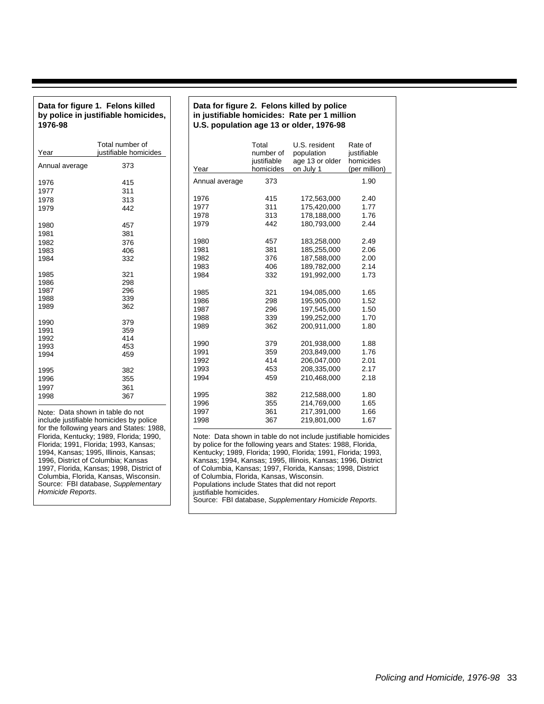#### **Data for figure 1. Felons killed by police in justifiable homicides, 1976-98**

| Year           | Total number of<br>justifiable homicides |
|----------------|------------------------------------------|
| Annual average | 373                                      |
| 1976           | 415                                      |
| 1977           | 311                                      |
| 1978           | 313                                      |
| 1979           | 442                                      |
| 1980           | 457                                      |
| 1981           | 381                                      |
| 1982           | 376                                      |
| 1983           | 406                                      |
| 1984           | 332                                      |
| 1985           | 321                                      |
| 1986           | 298                                      |
| 1987           | 296                                      |
| 1988           | 339                                      |
| 1989           | 362                                      |
| 1990           | 379                                      |
| 1991           | 359                                      |
| 1992           | 414                                      |
| 1993           | 453                                      |
| 1994           | 459                                      |
| 1995           | 382                                      |
| 1996           | 355                                      |
| 1997           | 361                                      |
| 1998           | 367                                      |

Note: Data shown in table do not include justifiable homicides by police for the following years and States: 1988, Florida, Kentucky; 1989, Florida; 1990, Florida; 1991, Florida; 1993, Kansas; 1994, Kansas; 1995, Illinois, Kansas; 1996, District of Columbia; Kansas 1997, Florida, Kansas; 1998, District of Columbia, Florida, Kansas, Wisconsin. Source: FBI database, Supplementary Homicide Reports.

#### **Data for figure 2. Felons killed by police in justifiable homicides: Rate per 1 million U.S. population age 13 or older, 1976-98**

| Year                                                 | Total<br>number of<br>justifiable<br>homicides | U.S. resident<br>population<br>age 13 or older<br>on July 1                                                                    | Rate of<br>justifiable<br>homicides<br>(per million) |
|------------------------------------------------------|------------------------------------------------|--------------------------------------------------------------------------------------------------------------------------------|------------------------------------------------------|
| Annual average                                       | 373                                            |                                                                                                                                | 1.90                                                 |
| 1976                                                 | 415                                            | 172,563,000                                                                                                                    | 2.40                                                 |
| 1977                                                 | 311                                            | 175,420,000                                                                                                                    | 1.77                                                 |
| 1978                                                 | 313                                            | 178,188,000                                                                                                                    | 1.76                                                 |
| 1979                                                 | 442                                            | 180,793,000                                                                                                                    | 2.44                                                 |
| 1980                                                 | 457                                            | 183,258,000                                                                                                                    | 2.49                                                 |
| 1981                                                 | 381                                            | 185,255,000                                                                                                                    | 2.06                                                 |
| 1982                                                 | 376                                            | 187,588,000                                                                                                                    | 2.00                                                 |
| 1983                                                 | 406                                            | 189,782,000                                                                                                                    | 2.14                                                 |
| 1984                                                 | 332                                            | 191,992,000                                                                                                                    | 1.73                                                 |
| 1985                                                 | 321                                            | 194,085,000                                                                                                                    | 1.65                                                 |
| 1986                                                 | 298                                            | 195,905,000                                                                                                                    | 1.52                                                 |
| 1987                                                 | 296                                            | 197,545,000                                                                                                                    | 1.50                                                 |
| 1988                                                 | 339                                            | 199,252,000                                                                                                                    | 1.70                                                 |
| 1989                                                 | 362                                            | 200,911,000                                                                                                                    | 1.80                                                 |
| 1990                                                 | 379                                            | 201,938,000                                                                                                                    | 1.88                                                 |
| 1991                                                 | 359                                            | 203.849.000                                                                                                                    | 1.76                                                 |
| 1992                                                 | 414                                            | 206,047,000                                                                                                                    | 2.01                                                 |
| 1993                                                 | 453                                            | 208,335,000                                                                                                                    | 2.17                                                 |
| 1994                                                 | 459                                            | 210.468.000                                                                                                                    | 2.18                                                 |
| 1995                                                 | 382                                            | 212,588,000                                                                                                                    | 1.80                                                 |
| 1996                                                 | 355                                            | 214,769,000                                                                                                                    | 1.65                                                 |
| 1997                                                 | 361                                            | 217,391,000                                                                                                                    | 1.66                                                 |
| 1998                                                 | 367                                            | 219,801,000                                                                                                                    | 1.67                                                 |
| Kentucky 1989 Florida 1990 Florida 1991 Florida 1993 |                                                | Note: Data shown in table do not include justifiable homicides<br>by police for the following years and States: 1988, Florida, |                                                      |

Kentucky; 1989, Florida; 1990, Florida; 1991, Florida; 1993, Kansas; 1994, Kansas; 1995, Illinois, Kansas; 1996, District of Columbia, Kansas; 1997, Florida, Kansas; 1998, District of Columbia, Florida, Kansas, Wisconsin. Populations include States that did not report justifiable homicides. Source: FBI database, Supplementary Homicide Reports.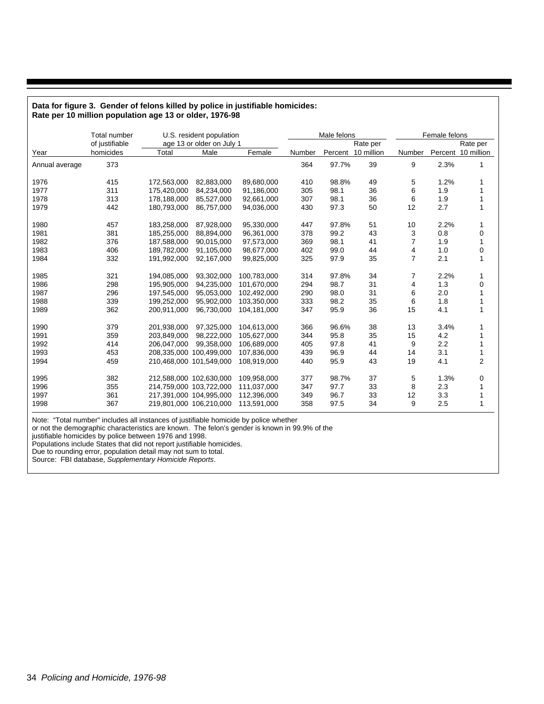| $\frac{1}{2}$ and $\frac{1}{2}$ is a set of proportional and $\frac{1}{2}$ is the proportional and $\frac{1}{2}$ is the proportional and $\frac{1}{2}$ |                     |                         |                           |             |        |             |                    |                |               |                    |  |  |
|--------------------------------------------------------------------------------------------------------------------------------------------------------|---------------------|-------------------------|---------------------------|-------------|--------|-------------|--------------------|----------------|---------------|--------------------|--|--|
|                                                                                                                                                        | <b>Total number</b> |                         | U.S. resident population  |             |        | Male felons |                    |                | Female felons |                    |  |  |
|                                                                                                                                                        | of justifiable      |                         | age 13 or older on July 1 |             |        |             | Rate per           | Rate per       |               |                    |  |  |
| Year                                                                                                                                                   | homicides           | Total                   | Male                      | Female      | Number |             | Percent 10 million | Number         |               | Percent 10 million |  |  |
| Annual average                                                                                                                                         | 373                 |                         |                           |             | 364    | 97.7%       | 39                 | 9              | 2.3%          | 1                  |  |  |
| 1976                                                                                                                                                   | 415                 | 172,563,000             | 82.883.000                | 89.680.000  | 410    | 98.8%       | 49                 | 5              | 1.2%          | 1                  |  |  |
| 1977                                                                                                                                                   | 311                 | 175,420,000             | 84,234,000                | 91,186,000  | 305    | 98.1        | 36                 | 6              | 1.9           | 1                  |  |  |
| 1978                                                                                                                                                   | 313                 | 178,188,000             | 85,527,000                | 92,661,000  | 307    | 98.1        | 36                 | 6              | 1.9           | 1                  |  |  |
| 1979                                                                                                                                                   | 442                 | 180,793,000             | 86,757,000                | 94,036,000  | 430    | 97.3        | 50                 | 12             | 2.7           | $\mathbf{1}$       |  |  |
| 1980                                                                                                                                                   | 457                 | 183,258,000             | 87,928,000                | 95,330,000  | 447    | 97.8%       | 51                 | 10             | 2.2%          | 1                  |  |  |
| 1981                                                                                                                                                   | 381                 | 185,255,000             | 88,894,000                | 96,361,000  | 378    | 99.2        | 43                 | 3              | 0.8           | 0                  |  |  |
| 1982                                                                                                                                                   | 376                 | 187,588,000             | 90.015.000                | 97.573.000  | 369    | 98.1        | 41                 | 7              | 1.9           | 1                  |  |  |
| 1983                                                                                                                                                   | 406                 | 189,782,000             | 91,105,000                | 98,677,000  | 402    | 99.0        | 44                 | 4              | 1.0           | 0                  |  |  |
| 1984                                                                                                                                                   | 332                 | 191,992,000             | 92,167,000                | 99,825,000  | 325    | 97.9        | 35                 | $\overline{7}$ | 2.1           | $\mathbf{1}$       |  |  |
| 1985                                                                                                                                                   | 321                 | 194,085,000             | 93,302,000                | 100.783.000 | 314    | 97.8%       | 34                 | 7              | 2.2%          | 1                  |  |  |
| 1986                                                                                                                                                   | 298                 | 195,905,000             | 94.235.000                | 101,670,000 | 294    | 98.7        | 31                 | 4              | 1.3           | 0                  |  |  |
| 1987                                                                                                                                                   | 296                 | 197,545,000             | 95,053,000                | 102,492,000 | 290    | 98.0        | 31                 | 6              | 2.0           | 1                  |  |  |
| 1988                                                                                                                                                   | 339                 | 199,252,000             | 95,902,000                | 103,350,000 | 333    | 98.2        | 35                 | 6              | 1.8           | 1                  |  |  |
| 1989                                                                                                                                                   | 362                 | 200,911,000             | 96,730,000                | 104,181,000 | 347    | 95.9        | 36                 | 15             | 4.1           | $\mathbf{1}$       |  |  |
| 1990                                                                                                                                                   | 379                 | 201,938,000             | 97,325,000                | 104,613,000 | 366    | 96.6%       | 38                 | 13             | 3.4%          | 1                  |  |  |
| 1991                                                                                                                                                   | 359                 | 203,849,000             | 98,222,000                | 105,627,000 | 344    | 95.8        | 35                 | 15             | 4.2           | 1                  |  |  |
| 1992                                                                                                                                                   | 414                 | 206,047,000             | 99,358,000                | 106,689,000 | 405    | 97.8        | 41                 | 9              | 2.2           | 1                  |  |  |
| 1993                                                                                                                                                   | 453                 | 208,335,000 100,499,000 |                           | 107,836,000 | 439    | 96.9        | 44                 | 14             | 3.1           | 1                  |  |  |
| 1994                                                                                                                                                   | 459                 | 210,468,000 101,549,000 |                           | 108,919,000 | 440    | 95.9        | 43                 | 19             | 4.1           | $\overline{2}$     |  |  |
| 1995                                                                                                                                                   | 382                 | 212,588,000 102,630,000 |                           | 109,958,000 | 377    | 98.7%       | 37                 | 5              | 1.3%          | 0                  |  |  |
| 1996                                                                                                                                                   | 355                 | 214,759,000 103,722,000 |                           | 111,037,000 | 347    | 97.7        | 33                 | 8              | 2.3           | 1                  |  |  |
| 1997                                                                                                                                                   | 361                 | 217,391,000 104,995,000 |                           | 112,396,000 | 349    | 96.7        | 33                 | 12             | 3.3           | 1                  |  |  |
| 1998                                                                                                                                                   | 367                 | 219,801,000 106,210,000 |                           | 113,591,000 | 358    | 97.5        | 34                 | 9              | 2.5           | 1                  |  |  |

#### **Data for figure 3. Gender of felons killed by police in justifiable homicides: Rate per 10 million population age 13 or older, 1976-98**

Note: "Total number" includes all instances of justifiable homicide by police whether

or not the demographic characteristics are known. The felon's gender is known in 99.9% of the

justifiable homicides by police between 1976 and 1998.

Populations include States that did not report justifiable homicides.

Due to rounding error, population detail may not sum to total.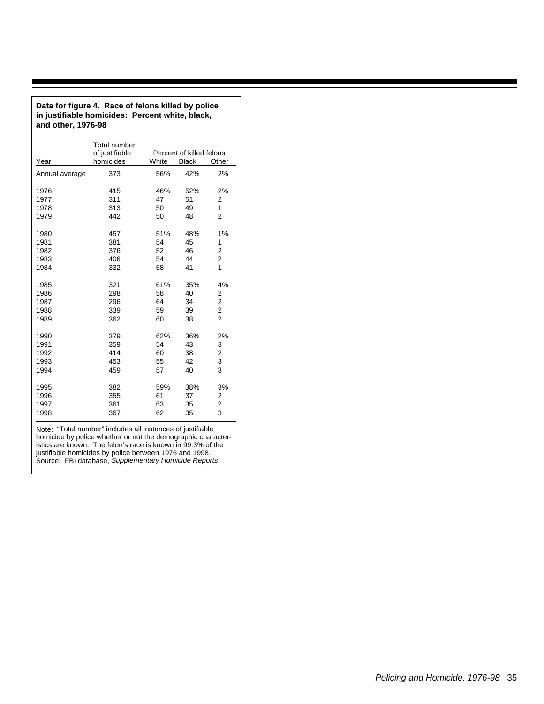| in justifiable homicides: Percent white, black,<br>and other, 1976-98 |                                       |       |                          |                         |  |  |  |  |  |  |  |  |
|-----------------------------------------------------------------------|---------------------------------------|-------|--------------------------|-------------------------|--|--|--|--|--|--|--|--|
|                                                                       | <b>Total number</b><br>of justifiable |       | Percent of killed felons |                         |  |  |  |  |  |  |  |  |
| Year                                                                  | homicides                             | White | <b>Black</b>             | Other                   |  |  |  |  |  |  |  |  |
| Annual average                                                        | 373                                   | 56%   | 42%                      | 2%                      |  |  |  |  |  |  |  |  |
| 1976                                                                  | 415                                   | 46%   | 52%                      | 2%                      |  |  |  |  |  |  |  |  |
| 1977                                                                  | 311                                   | 47    | 51                       | 2                       |  |  |  |  |  |  |  |  |
| 1978                                                                  | 313                                   | 50    | 49                       | 1                       |  |  |  |  |  |  |  |  |
| 1979                                                                  | 442                                   | 50    | 48                       | $\overline{2}$          |  |  |  |  |  |  |  |  |
| 1980                                                                  | 457                                   | 51%   | 48%                      | 1%                      |  |  |  |  |  |  |  |  |
| 1981                                                                  | 381                                   | 54    | 45                       | 1                       |  |  |  |  |  |  |  |  |
| 1982                                                                  | 376                                   | 52    | 46                       | 2                       |  |  |  |  |  |  |  |  |
| 1983                                                                  | 406                                   | 54    | 44                       | $\overline{c}$          |  |  |  |  |  |  |  |  |
| 1984                                                                  | 332                                   | 58    | 41                       | 1                       |  |  |  |  |  |  |  |  |
| 1985                                                                  | 321                                   | 61%   | 35%                      | 4%                      |  |  |  |  |  |  |  |  |
| 1986                                                                  | 298                                   | 58    | 40                       | 2                       |  |  |  |  |  |  |  |  |
| 1987                                                                  | 296                                   | 64    | 34                       | $\overline{\mathbf{c}}$ |  |  |  |  |  |  |  |  |
| 1988                                                                  | 339                                   | 59    | 39                       | $\overline{\mathbf{c}}$ |  |  |  |  |  |  |  |  |
| 1989                                                                  | 362                                   | 60    | 38                       | $\overline{2}$          |  |  |  |  |  |  |  |  |
| 1990                                                                  | 379                                   | 62%   | 36%                      | 2%                      |  |  |  |  |  |  |  |  |
| 1991                                                                  | 359                                   | 54    | 43                       | 3                       |  |  |  |  |  |  |  |  |
| 1992                                                                  | 414                                   | 60    | 38                       | $\overline{\mathbf{c}}$ |  |  |  |  |  |  |  |  |
| 1993                                                                  | 453                                   | 55    | 42                       | 3                       |  |  |  |  |  |  |  |  |
| 1994                                                                  | 459                                   | 57    | 40                       | 3                       |  |  |  |  |  |  |  |  |
| 1995                                                                  | 382                                   | 59%   | 38%                      | 3%                      |  |  |  |  |  |  |  |  |
| 1996                                                                  | 355                                   | 61    | 37                       | 2                       |  |  |  |  |  |  |  |  |
| 1997                                                                  | 361                                   | 63    | 35                       | 2                       |  |  |  |  |  |  |  |  |
| 1998                                                                  | 367                                   | 62    | 35                       | 3                       |  |  |  |  |  |  |  |  |

Note: "Total number" includes all instances of justifiable homicide by police whether or not the demographic characteristics are known. The felon's race is known in 99.3% of the justifiable homicides by police between 1976 and 1998. Source: FBI database, Supplementary Homicide Reports.

**Data for figure 4. Race of felons killed by police**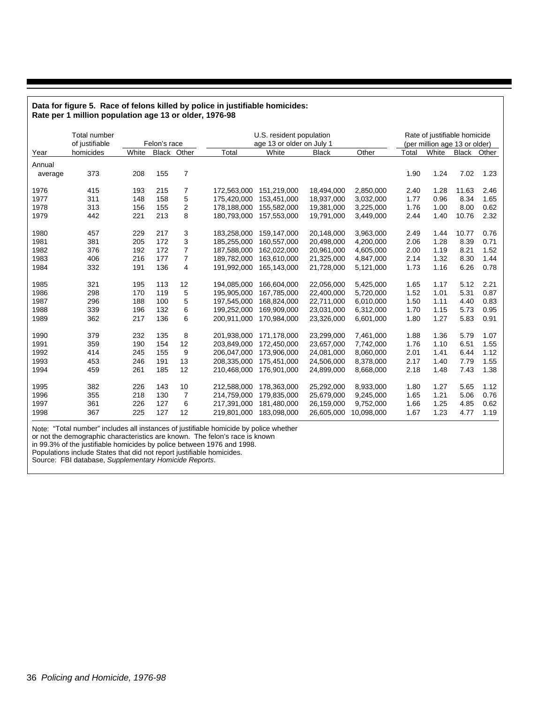|         | Rate per 1 million population age 13 or older, 1976-98 |       |              |                |             |                                                       |              |            |       |       |                                                               |      |  |  |  |
|---------|--------------------------------------------------------|-------|--------------|----------------|-------------|-------------------------------------------------------|--------------|------------|-------|-------|---------------------------------------------------------------|------|--|--|--|
|         | Total number<br>of justifiable                         |       | Felon's race |                |             | U.S. resident population<br>age 13 or older on July 1 |              |            |       |       | Rate of justifiable homicide<br>(per million age 13 or older) |      |  |  |  |
| Year    | homicides                                              | White |              | Black Other    | Total       | White                                                 | <b>Black</b> | Other      | Total | White | Black Other                                                   |      |  |  |  |
| Annual  |                                                        |       |              |                |             |                                                       |              |            |       |       |                                                               |      |  |  |  |
| average | 373                                                    | 208   | 155          | 7              |             |                                                       |              |            | 1.90  | 1.24  | 7.02                                                          | 1.23 |  |  |  |
| 1976    | 415                                                    | 193   | 215          | 7              | 172,563,000 | 151,219,000                                           | 18,494,000   | 2,850,000  | 2.40  | 1.28  | 11.63                                                         | 2.46 |  |  |  |
| 1977    | 311                                                    | 148   | 158          | 5              | 175.420.000 | 153,451,000                                           | 18,937,000   | 3,032,000  | 1.77  | 0.96  | 8.34                                                          | 1.65 |  |  |  |
| 1978    | 313                                                    | 156   | 155          | 2              | 178,188,000 | 155,582,000                                           | 19,381,000   | 3,225,000  | 1.76  | 1.00  | 8.00                                                          | 0.62 |  |  |  |
| 1979    | 442                                                    | 221   | 213          | 8              | 180,793,000 | 157,553,000                                           | 19,791,000   | 3,449,000  | 2.44  | 1.40  | 10.76                                                         | 2.32 |  |  |  |
| 1980    | 457                                                    | 229   | 217          | 3              | 183,258,000 | 159,147,000                                           | 20,148,000   | 3,963,000  | 2.49  | 1.44  | 10.77                                                         | 0.76 |  |  |  |
| 1981    | 381                                                    | 205   | 172          | 3              | 185,255,000 | 160,557,000                                           | 20,498,000   | 4,200,000  | 2.06  | 1.28  | 8.39                                                          | 0.71 |  |  |  |
| 1982    | 376                                                    | 192   | 172          | 7              | 187,588,000 | 162,022,000                                           | 20,961,000   | 4,605,000  | 2.00  | 1.19  | 8.21                                                          | 1.52 |  |  |  |
| 1983    | 406                                                    | 216   | 177          | 7              | 189,782,000 | 163,610,000                                           | 21,325,000   | 4,847,000  | 2.14  | 1.32  | 8.30                                                          | 1.44 |  |  |  |
| 1984    | 332                                                    | 191   | 136          | 4              | 191,992,000 | 165,143,000                                           | 21,728,000   | 5,121,000  | 1.73  | 1.16  | 6.26                                                          | 0.78 |  |  |  |
| 1985    | 321                                                    | 195   | 113          | 12             | 194,085,000 | 166,604,000                                           | 22,056,000   | 5,425,000  | 1.65  | 1.17  | 5.12                                                          | 2.21 |  |  |  |
| 1986    | 298                                                    | 170   | 119          | 5              | 195,905,000 | 167,785,000                                           | 22,400,000   | 5,720,000  | 1.52  | 1.01  | 5.31                                                          | 0.87 |  |  |  |
| 1987    | 296                                                    | 188   | 100          | 5              | 197,545,000 | 168,824,000                                           | 22,711,000   | 6,010,000  | 1.50  | 1.11  | 4.40                                                          | 0.83 |  |  |  |
| 1988    | 339                                                    | 196   | 132          | 6              | 199,252,000 | 169,909,000                                           | 23,031,000   | 6,312,000  | 1.70  | 1.15  | 5.73                                                          | 0.95 |  |  |  |
| 1989    | 362                                                    | 217   | 136          | 6              | 200,911,000 | 170,984,000                                           | 23,326,000   | 6,601,000  | 1.80  | 1.27  | 5.83                                                          | 0.91 |  |  |  |
| 1990    | 379                                                    | 232   | 135          | 8              | 201,938,000 | 171,178,000                                           | 23,299,000   | 7,461,000  | 1.88  | 1.36  | 5.79                                                          | 1.07 |  |  |  |
| 1991    | 359                                                    | 190   | 154          | 12             | 203.849.000 | 172.450.000                                           | 23.657.000   | 7.742.000  | 1.76  | 1.10  | 6.51                                                          | 1.55 |  |  |  |
| 1992    | 414                                                    | 245   | 155          | 9              | 206.047.000 | 173,906,000                                           | 24,081,000   | 8.060.000  | 2.01  | 1.41  | 6.44                                                          | 1.12 |  |  |  |
| 1993    | 453                                                    | 246   | 191          | 13             | 208,335,000 | 175,451,000                                           | 24,506,000   | 8,378,000  | 2.17  | 1.40  | 7.79                                                          | 1.55 |  |  |  |
| 1994    | 459                                                    | 261   | 185          | 12             | 210,468,000 | 176,901,000                                           | 24,899,000   | 8,668,000  | 2.18  | 1.48  | 7.43                                                          | 1.38 |  |  |  |
| 1995    | 382                                                    | 226   | 143          | 10             | 212,588,000 | 178,363,000                                           | 25,292,000   | 8,933,000  | 1.80  | 1.27  | 5.65                                                          | 1.12 |  |  |  |
| 1996    | 355                                                    | 218   | 130          | $\overline{7}$ | 214,759,000 | 179,835,000                                           | 25,679,000   | 9,245,000  | 1.65  | 1.21  | 5.06                                                          | 0.76 |  |  |  |
| 1997    | 361                                                    | 226   | 127          | 6              | 217,391,000 | 181,480,000                                           | 26,159,000   | 9,752,000  | 1.66  | 1.25  | 4.85                                                          | 0.62 |  |  |  |
| 1998    | 367                                                    | 225   | 127          | 12             | 219,801,000 | 183,098,000                                           | 26,605,000   | 10,098,000 | 1.67  | 1.23  | 4.77                                                          | 1.19 |  |  |  |

# **Data for figure 5. Race of felons killed by police in justifiable homicides:**

Note: "Total number" includes all instances of justifiable homicide by police whether

or not the demographic characteristics are known. The felon's race is known

in 99.3% of the justifiable homicides by police between 1976 and 1998.

Populations include States that did not report justifiable homicides.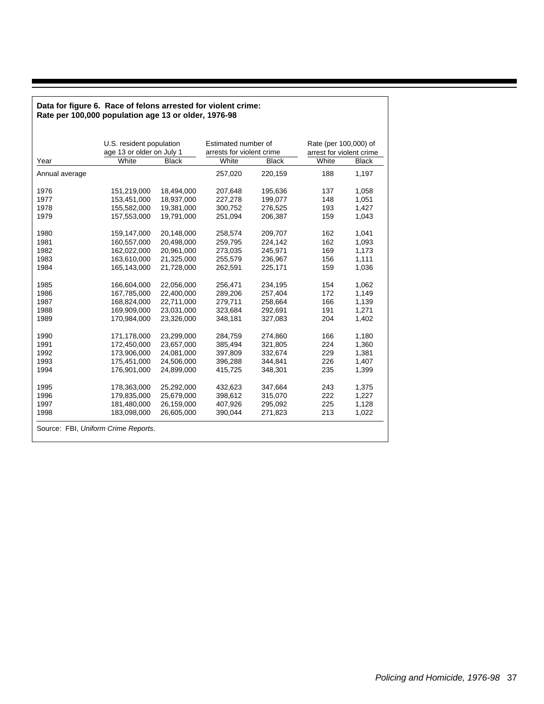#### **Data for figure 6. Race of felons arrested for violent crime: Rate per 100,000 population age 13 or older, 1976-98**

|                                     | U.S. resident population<br>age 13 or older on July 1 |              | Estimated number of<br>arrests for violent crime |              | Rate (per 100,000) of<br>arrest for violent crime |              |
|-------------------------------------|-------------------------------------------------------|--------------|--------------------------------------------------|--------------|---------------------------------------------------|--------------|
| Year                                | White                                                 | <b>Black</b> | White                                            | <b>Black</b> | White                                             | <b>Black</b> |
| Annual average                      |                                                       |              | 257,020                                          | 220,159      | 188                                               | 1.197        |
| 1976                                | 151,219,000                                           | 18,494,000   | 207,648                                          | 195,636      | 137                                               | 1,058        |
| 1977                                | 153.451.000                                           | 18.937.000   | 227,278                                          | 199.077      | 148                                               | 1.051        |
| 1978                                | 155,582,000                                           | 19,381,000   | 300,752                                          | 276,525      | 193                                               | 1,427        |
| 1979                                | 157,553,000                                           | 19,791,000   | 251,094                                          | 206,387      | 159                                               | 1,043        |
| 1980                                | 159,147,000                                           | 20,148,000   | 258,574                                          | 209,707      | 162                                               | 1,041        |
| 1981                                | 160,557,000                                           | 20,498,000   | 259,795                                          | 224,142      | 162                                               | 1,093        |
| 1982                                | 162,022,000                                           | 20,961,000   | 273,035                                          | 245,971      | 169                                               | 1,173        |
| 1983                                | 163,610,000                                           | 21,325,000   | 255,579                                          | 236,967      | 156                                               | 1,111        |
| 1984                                | 165.143.000                                           | 21.728.000   | 262.591                                          | 225,171      | 159                                               | 1,036        |
| 1985                                | 166,604,000                                           | 22.056.000   | 256,471                                          | 234.195      | 154                                               | 1.062        |
| 1986                                | 167,785,000                                           | 22,400,000   | 289,206                                          | 257,404      | 172                                               | 1,149        |
| 1987                                | 168,824,000                                           | 22,711,000   | 279,711                                          | 258.664      | 166                                               | 1,139        |
| 1988                                | 169,909,000                                           | 23,031,000   | 323,684                                          | 292,691      | 191                                               | 1,271        |
| 1989                                | 170,984,000                                           | 23,326,000   | 348,181                                          | 327,083      | 204                                               | 1,402        |
| 1990                                | 171,178,000                                           | 23,299,000   | 284,759                                          | 274,860      | 166                                               | 1,180        |
| 1991                                | 172,450,000                                           | 23,657,000   | 385,494                                          | 321,805      | 224                                               | 1,360        |
| 1992                                | 173,906,000                                           | 24,081,000   | 397,809                                          | 332,674      | 229                                               | 1,381        |
| 1993                                | 175,451,000                                           | 24,506,000   | 396,288                                          | 344,841      | 226                                               | 1,407        |
| 1994                                | 176,901,000                                           | 24.899.000   | 415.725                                          | 348.301      | 235                                               | 1,399        |
| 1995                                | 178,363,000                                           | 25,292,000   | 432.623                                          | 347.664      | 243                                               | 1,375        |
| 1996                                | 179,835,000                                           | 25,679,000   | 398,612                                          | 315,070      | 222                                               | 1,227        |
| 1997                                | 181,480,000                                           | 26,159,000   | 407,926                                          | 295,092      | 225                                               | 1,128        |
| 1998                                | 183,098,000                                           | 26,605,000   | 390,044                                          | 271,823      | 213                                               | 1,022        |
| Source: FBI, Uniform Crime Reports. |                                                       |              |                                                  |              |                                                   |              |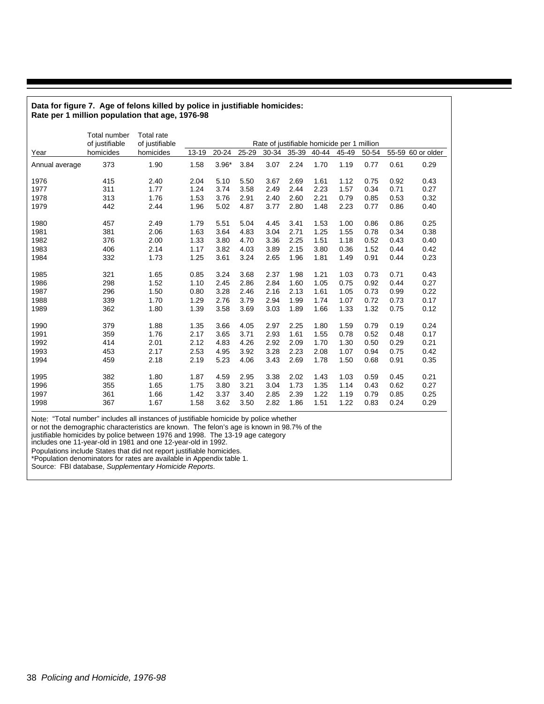#### **Data for figure 7. Age of felons killed by police in justifiable homicides: Rate per 1 million population that age, 1976-98**

|                | Total number<br>of justifiable | <b>Total rate</b><br>of justifiable |       |         |       |       |       |       | Rate of justifiable homicide per 1 million |       |      |                   |
|----------------|--------------------------------|-------------------------------------|-------|---------|-------|-------|-------|-------|--------------------------------------------|-------|------|-------------------|
| Year           | homicides                      | homicides                           | 13-19 | 20-24   | 25-29 | 30-34 | 35-39 | 40-44 | 45-49                                      | 50-54 |      | 55-59 60 or older |
| Annual average | 373                            | 1.90                                | 1.58  | $3.96*$ | 3.84  | 3.07  | 2.24  | 1.70  | 1.19                                       | 0.77  | 0.61 | 0.29              |
| 1976           | 415                            | 2.40                                | 2.04  | 5.10    | 5.50  | 3.67  | 2.69  | 1.61  | 1.12                                       | 0.75  | 0.92 | 0.43              |
| 1977           | 311                            | 1.77                                | 1.24  | 3.74    | 3.58  | 2.49  | 2.44  | 2.23  | 1.57                                       | 0.34  | 0.71 | 0.27              |
| 1978           | 313                            | 1.76                                | 1.53  | 3.76    | 2.91  | 2.40  | 2.60  | 2.21  | 0.79                                       | 0.85  | 0.53 | 0.32              |
| 1979           | 442                            | 2.44                                | 1.96  | 5.02    | 4.87  | 3.77  | 2.80  | 1.48  | 2.23                                       | 0.77  | 0.86 | 0.40              |
| 1980           | 457                            | 2.49                                | 1.79  | 5.51    | 5.04  | 4.45  | 3.41  | 1.53  | 1.00                                       | 0.86  | 0.86 | 0.25              |
| 1981           | 381                            | 2.06                                | 1.63  | 3.64    | 4.83  | 3.04  | 2.71  | 1.25  | 1.55                                       | 0.78  | 0.34 | 0.38              |
| 1982           | 376                            | 2.00                                | 1.33  | 3.80    | 4.70  | 3.36  | 2.25  | 1.51  | 1.18                                       | 0.52  | 0.43 | 0.40              |
| 1983           | 406                            | 2.14                                | 1.17  | 3.82    | 4.03  | 3.89  | 2.15  | 3.80  | 0.36                                       | 1.52  | 0.44 | 0.42              |
| 1984           | 332                            | 1.73                                | 1.25  | 3.61    | 3.24  | 2.65  | 1.96  | 1.81  | 1.49                                       | 0.91  | 0.44 | 0.23              |
| 1985           | 321                            | 1.65                                | 0.85  | 3.24    | 3.68  | 2.37  | 1.98  | 1.21  | 1.03                                       | 0.73  | 0.71 | 0.43              |
| 1986           | 298                            | 1.52                                | 1.10  | 2.45    | 2.86  | 2.84  | 1.60  | 1.05  | 0.75                                       | 0.92  | 0.44 | 0.27              |
| 1987           | 296                            | 1.50                                | 0.80  | 3.28    | 2.46  | 2.16  | 2.13  | 1.61  | 1.05                                       | 0.73  | 0.99 | 0.22              |
| 1988           | 339                            | 1.70                                | 1.29  | 2.76    | 3.79  | 2.94  | 1.99  | 1.74  | 1.07                                       | 0.72  | 0.73 | 0.17              |
| 1989           | 362                            | 1.80                                | 1.39  | 3.58    | 3.69  | 3.03  | 1.89  | 1.66  | 1.33                                       | 1.32  | 0.75 | 0.12              |
| 1990           | 379                            | 1.88                                | 1.35  | 3.66    | 4.05  | 2.97  | 2.25  | 1.80  | 1.59                                       | 0.79  | 0.19 | 0.24              |
| 1991           | 359                            | 1.76                                | 2.17  | 3.65    | 3.71  | 2.93  | 1.61  | 1.55  | 0.78                                       | 0.52  | 0.48 | 0.17              |
| 1992           | 414                            | 2.01                                | 2.12  | 4.83    | 4.26  | 2.92  | 2.09  | 1.70  | 1.30                                       | 0.50  | 0.29 | 0.21              |
| 1993           | 453                            | 2.17                                | 2.53  | 4.95    | 3.92  | 3.28  | 2.23  | 2.08  | 1.07                                       | 0.94  | 0.75 | 0.42              |
| 1994           | 459                            | 2.18                                | 2.19  | 5.23    | 4.06  | 3.43  | 2.69  | 1.78  | 1.50                                       | 0.68  | 0.91 | 0.35              |
| 1995           | 382                            | 1.80                                | 1.87  | 4.59    | 2.95  | 3.38  | 2.02  | 1.43  | 1.03                                       | 0.59  | 0.45 | 0.21              |
| 1996           | 355                            | 1.65                                | 1.75  | 3.80    | 3.21  | 3.04  | 1.73  | 1.35  | 1.14                                       | 0.43  | 0.62 | 0.27              |
| 1997           | 361                            | 1.66                                | 1.42  | 3.37    | 3.40  | 2.85  | 2.39  | 1.22  | 1.19                                       | 0.79  | 0.85 | 0.25              |
| 1998           | 367                            | 1.67                                | 1.58  | 3.62    | 3.50  | 2.82  | 1.86  | 1.51  | 1.22                                       | 0.83  | 0.24 | 0.29              |

Note: "Total number" includes all instances of justifiable homicide by police whether

or not the demographic characteristics are known. The felon's age is known in 98.7% of the

justifiable homicides by police between 1976 and 1998. The 13-19 age category

includes one 11-year-old in 1981 and one 12-year-old in 1992.

Populations include States that did not report justifiable homicides.

\*Population denominators for rates are available in Appendix table 1.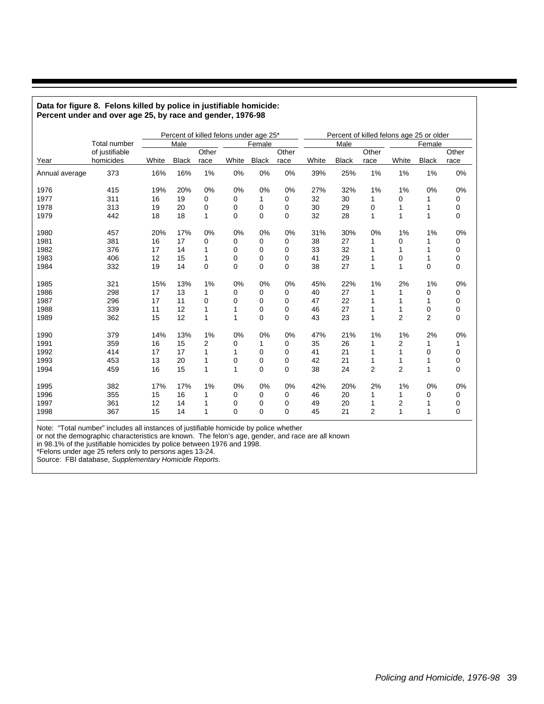|                |                     | Percent of killed felons under age 25* |              |       |             |              |             |       |              |       | Percent of killed felons age 25 or older |                |       |  |
|----------------|---------------------|----------------------------------------|--------------|-------|-------------|--------------|-------------|-------|--------------|-------|------------------------------------------|----------------|-------|--|
|                | <b>Total number</b> |                                        | Male         |       |             | Female       |             |       | Male         |       |                                          | Female         |       |  |
|                | of justifiable      |                                        |              | Other |             |              | Other       |       |              | Other |                                          |                | Other |  |
| Year           | homicides           | White                                  | <b>Black</b> | race  | White       | <b>Black</b> | race        | White | <b>Black</b> | race  | White                                    | <b>Black</b>   | race  |  |
| Annual average | 373                 | 16%                                    | 16%          | 1%    | 0%          | 0%           | 0%          | 39%   | 25%          | 1%    | 1%                                       | 1%             | 0%    |  |
| 1976           | 415                 | 19%                                    | 20%          | 0%    | 0%          | 0%           | 0%          | 27%   | 32%          | 1%    | 1%                                       | 0%             | 0%    |  |
| 1977           | 311                 | 16                                     | 19           | 0     | 0           | 1            | 0           | 32    | 30           | 1     | 0                                        | 1              | 0     |  |
| 1978           | 313                 | 19                                     | 20           | 0     | 0           | 0            | 0           | 30    | 29           | 0     | 1                                        | 1              | 0     |  |
| 1979           | 442                 | 18                                     | 18           | 1     | $\mathbf 0$ | 0            | $\Omega$    | 32    | 28           | 1     | 1                                        | 1              | 0     |  |
| 1980           | 457                 | 20%                                    | 17%          | 0%    | 0%          | 0%           | 0%          | 31%   | 30%          | 0%    | 1%                                       | 1%             | 0%    |  |
| 1981           | 381                 | 16                                     | 17           | 0     | 0           | 0            | 0           | 38    | 27           | 1     | 0                                        | 1              | 0     |  |
| 1982           | 376                 | 17                                     | 14           | 1     | 0           | 0            | 0           | 33    | 32           | 1     | 1                                        | 1              | 0     |  |
| 1983           | 406                 | 12                                     | 15           | 1     | 0           | 0            | $\mathbf 0$ | 41    | 29           | 1     | 0                                        | 1              | 0     |  |
| 1984           | 332                 | 19                                     | 14           | 0     | 0           | 0            | $\mathbf 0$ | 38    | 27           | 1     | 1                                        | 0              | 0     |  |
| 1985           | 321                 | 15%                                    | 13%          | 1%    | 0%          | 0%           | 0%          | 45%   | 22%          | 1%    | 2%                                       | 1%             | 0%    |  |
| 1986           | 298                 | 17                                     | 13           | 1     | 0           | 0            | 0           | 40    | 27           | 1     | 1                                        | 0              | 0     |  |
| 1987           | 296                 | 17                                     | 11           | 0     | 0           | 0            | 0           | 47    | 22           |       | 1                                        | 1              | 0     |  |
| 1988           | 339                 | 11                                     | 12           | 1     | 1           | 0            | 0           | 46    | 27           | 1     | 1                                        | 0              | 0     |  |
| 1989           | 362                 | 15                                     | 12           | 1     | 1           | 0            | 0           | 43    | 23           | 1     | $\overline{2}$                           | $\overline{2}$ | 0     |  |
| 1990           | 379                 | 14%                                    | 13%          | 1%    | 0%          | 0%           | 0%          | 47%   | 21%          | 1%    | 1%                                       | 2%             | 0%    |  |
| 1991           | 359                 | 16                                     | 15           | 2     | 0           | 1            | 0           | 35    | 26           | 1     | 2                                        | 1              | 1     |  |
| 1992           | 414                 | 17                                     | 17           | 1     | 1           | 0            | $\Omega$    | 41    | 21           | 1     | 1                                        | 0              | 0     |  |
| 1993           | 453                 | 13                                     | 20           | 1     | 0           | 0            | $\Omega$    | 42    | 21           | 1     | 1                                        | 1              | 0     |  |
| 1994           | 459                 | 16                                     | 15           | 1     | 1           | 0            | 0           | 38    | 24           | 2     | $\overline{2}$                           | 1              | 0     |  |
| 1995           | 382                 | 17%                                    | 17%          | 1%    | 0%          | 0%           | 0%          | 42%   | 20%          | 2%    | 1%                                       | 0%             | 0%    |  |
| 1996           | 355                 | 15                                     | 16           | 1     | 0           | 0            | 0           | 46    | 20           | 1     | 1                                        | 0              | 0     |  |
| 1997           | 361                 | 12                                     | 14           | 1     | 0           | 0            | 0           | 49    | 20           | 1     | 2                                        | 1              | 0     |  |
| 1998           | 367                 | 15                                     | 14           | 1     | 0           | 0            | 0           | 45    | 21           | 2     | 1                                        | 1              | 0     |  |

#### **Data for figure 8. Felons killed by police in justifiable homicide: Percent under and over age 25, by race and gender, 1976-98**

Note: "Total number" includes all instances of justifiable homicide by police whether

or not the demographic characteristics are known. The felon's age, gender, and race are all known

in 98.1% of the justifiable homicides by police between 1976 and 1998.

\*Felons under age 25 refers only to persons ages 13-24.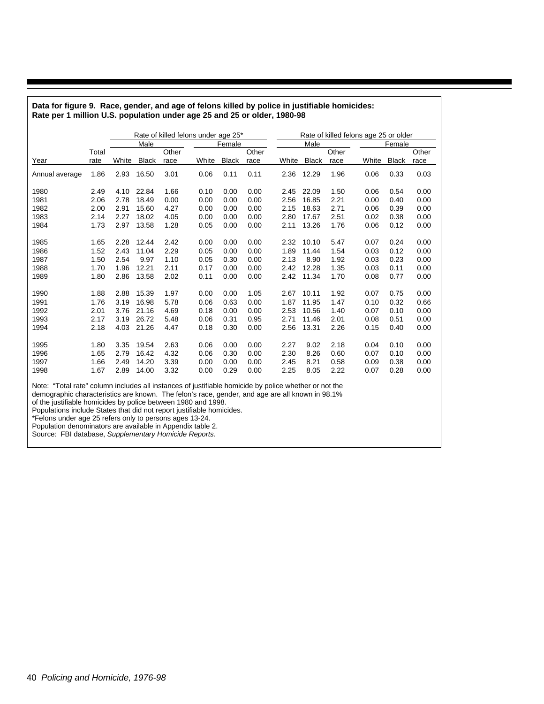| www.por<br>o.o. populution<br>◡.<br>$490 - 6$ |       |       |              |       |                                     |              |       |       |              |       |                                       |              |       |  |
|-----------------------------------------------|-------|-------|--------------|-------|-------------------------------------|--------------|-------|-------|--------------|-------|---------------------------------------|--------------|-------|--|
|                                               |       |       |              |       | Rate of killed felons under age 25* |              |       |       |              |       | Rate of killed felons age 25 or older |              |       |  |
|                                               |       |       | Male         |       |                                     | Female       |       |       | Male         |       |                                       | Female       |       |  |
|                                               | Total |       |              | Other |                                     |              | Other |       |              | Other |                                       |              | Other |  |
| Year                                          | rate  | White | <b>Black</b> | race  | White                               | <b>Black</b> | race  | White | <b>Black</b> | race  | White                                 | <b>Black</b> | race  |  |
| Annual average                                | 1.86  | 2.93  | 16.50        | 3.01  | 0.06                                | 0.11         | 0.11  | 2.36  | 12.29        | 1.96  | 0.06                                  | 0.33         | 0.03  |  |
| 1980                                          | 2.49  | 4.10  | 22.84        | 1.66  | 0.10                                | 0.00         | 0.00  | 2.45  | 22.09        | 1.50  | 0.06                                  | 0.54         | 0.00  |  |
| 1981                                          | 2.06  | 2.78  | 18.49        | 0.00  | 0.00                                | 0.00         | 0.00  | 2.56  | 16.85        | 2.21  | 0.00                                  | 0.40         | 0.00  |  |
| 1982                                          | 2.00  | 2.91  | 15.60        | 4.27  | 0.00                                | 0.00         | 0.00  | 2.15  | 18.63        | 2.71  | 0.06                                  | 0.39         | 0.00  |  |
| 1983                                          | 2.14  | 2.27  | 18.02        | 4.05  | 0.00                                | 0.00         | 0.00  | 2.80  | 17.67        | 2.51  | 0.02                                  | 0.38         | 0.00  |  |
| 1984                                          | 1.73  | 2.97  | 13.58        | 1.28  | 0.05                                | 0.00         | 0.00  | 2.11  | 13.26        | 1.76  | 0.06                                  | 0.12         | 0.00  |  |
| 1985                                          | 1.65  | 2.28  | 12.44        | 2.42  | 0.00                                | 0.00         | 0.00  | 2.32  | 10.10        | 5.47  | 0.07                                  | 0.24         | 0.00  |  |
| 1986                                          | 1.52  | 2.43  | 11.04        | 2.29  | 0.05                                | 0.00         | 0.00  | 1.89  | 11.44        | 1.54  | 0.03                                  | 0.12         | 0.00  |  |
| 1987                                          | 1.50  | 2.54  | 9.97         | 1.10  | 0.05                                | 0.30         | 0.00  | 2.13  | 8.90         | 1.92  | 0.03                                  | 0.23         | 0.00  |  |
| 1988                                          | 1.70  | 1.96  | 12.21        | 2.11  | 0.17                                | 0.00         | 0.00  | 2.42  | 12.28        | 1.35  | 0.03                                  | 0.11         | 0.00  |  |
| 1989                                          | 1.80  | 2.86  | 13.58        | 2.02  | 0.11                                | 0.00         | 0.00  | 2.42  | 11.34        | 1.70  | 0.08                                  | 0.77         | 0.00  |  |
| 1990                                          | 1.88  | 2.88  | 15.39        | 1.97  | 0.00                                | 0.00         | 1.05  | 2.67  | 10.11        | 1.92  | 0.07                                  | 0.75         | 0.00  |  |
| 1991                                          | 1.76  | 3.19  | 16.98        | 5.78  | 0.06                                | 0.63         | 0.00  | 1.87  | 11.95        | 1.47  | 0.10                                  | 0.32         | 0.66  |  |
| 1992                                          | 2.01  | 3.76  | 21.16        | 4.69  | 0.18                                | 0.00         | 0.00  | 2.53  | 10.56        | 1.40  | 0.07                                  | 0.10         | 0.00  |  |
| 1993                                          | 2.17  | 3.19  | 26.72        | 5.48  | 0.06                                | 0.31         | 0.95  | 2.71  | 11.46        | 2.01  | 0.08                                  | 0.51         | 0.00  |  |
| 1994                                          | 2.18  | 4.03  | 21.26        | 4.47  | 0.18                                | 0.30         | 0.00  | 2.56  | 13.31        | 2.26  | 0.15                                  | 0.40         | 0.00  |  |
|                                               |       |       |              |       |                                     |              |       |       |              |       |                                       |              |       |  |
| 1995                                          | 1.80  | 3.35  | 19.54        | 2.63  | 0.06                                | 0.00         | 0.00  | 2.27  | 9.02         | 2.18  | 0.04                                  | 0.10         | 0.00  |  |
| 1996                                          | 1.65  | 2.79  | 16.42        | 4.32  | 0.06                                | 0.30         | 0.00  | 2.30  | 8.26         | 0.60  | 0.07                                  | 0.10         | 0.00  |  |
| 1997                                          | 1.66  | 2.49  | 14.20        | 3.39  | 0.00                                | 0.00         | 0.00  | 2.45  | 8.21         | 0.58  | 0.09                                  | 0.38         | 0.00  |  |
| 1998                                          | 1.67  | 2.89  | 14.00        | 3.32  | 0.00                                | 0.29         | 0.00  | 2.25  | 8.05         | 2.22  | 0.07                                  | 0.28         | 0.00  |  |

**Data for figure 9. Race, gender, and age of felons killed by police in justifiable homicides: Rate per 1 million U.S. population under age 25 and 25 or older, 1980-98**

Note: "Total rate" column includes all instances of justifiable homicide by police whether or not the

demographic characteristics are known. The felon's race, gender, and age are all known in 98.1%

of the justifiable homicides by police between 1980 and 1998.

Populations include States that did not report justifiable homicides.

\*Felons under age 25 refers only to persons ages 13-24.

Population denominators are available in Appendix table 2.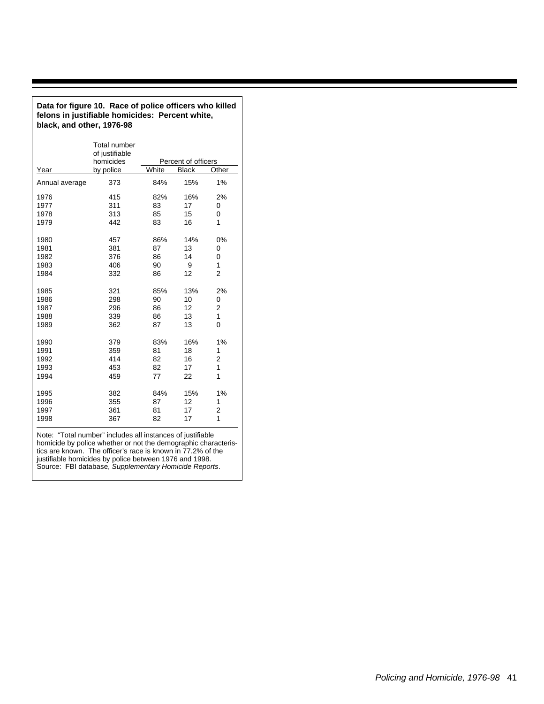| black, and other, 1976-98 |                                                    |       |                     |                |  |  |  |  |  |  |  |  |
|---------------------------|----------------------------------------------------|-------|---------------------|----------------|--|--|--|--|--|--|--|--|
|                           | <b>Total number</b><br>of justifiable<br>homicides |       | Percent of officers |                |  |  |  |  |  |  |  |  |
| Year                      | by police                                          | White | <b>Black</b>        | Other          |  |  |  |  |  |  |  |  |
| Annual average            | 373                                                | 84%   | 15%                 | 1%             |  |  |  |  |  |  |  |  |
| 1976                      | 415                                                | 82%   | 16%                 | 2%             |  |  |  |  |  |  |  |  |
| 1977                      | 311                                                | 83    | 17                  | 0              |  |  |  |  |  |  |  |  |
| 1978                      | 313                                                | 85    | 15                  | 0              |  |  |  |  |  |  |  |  |
| 1979                      | 442                                                | 83    | 16                  | 1              |  |  |  |  |  |  |  |  |
| 1980                      | 457                                                | 86%   | 14%                 | 0%             |  |  |  |  |  |  |  |  |
| 1981                      | 381                                                | 87    | 13                  | 0              |  |  |  |  |  |  |  |  |
| 1982                      | 376                                                | 86    | 14                  | 0              |  |  |  |  |  |  |  |  |
| 1983                      | 406                                                | 90    | 9                   | 1              |  |  |  |  |  |  |  |  |
| 1984                      | 332                                                | 86    | 12                  | $\overline{2}$ |  |  |  |  |  |  |  |  |
| 1985                      | 321                                                | 85%   | 13%                 | 2%             |  |  |  |  |  |  |  |  |
| 1986                      | 298                                                | 90    | 10                  | 0              |  |  |  |  |  |  |  |  |
| 1987                      | 296                                                | 86    | 12                  | $\overline{2}$ |  |  |  |  |  |  |  |  |
| 1988                      | 339                                                | 86    | 13                  | 1              |  |  |  |  |  |  |  |  |
| 1989                      | 362                                                | 87    | 13                  | 0              |  |  |  |  |  |  |  |  |
| 1990                      | 379                                                | 83%   | 16%                 | 1%             |  |  |  |  |  |  |  |  |
| 1991                      | 359                                                | 81    | 18                  | 1              |  |  |  |  |  |  |  |  |
| 1992                      | 414                                                | 82    | 16                  | 2              |  |  |  |  |  |  |  |  |
| 1993                      | 453                                                | 82    | 17                  | 1              |  |  |  |  |  |  |  |  |
| 1994                      | 459                                                | 77    | 22                  | 1              |  |  |  |  |  |  |  |  |
| 1995                      | 382                                                | 84%   | 15%                 | 1%             |  |  |  |  |  |  |  |  |
| 1996                      | 355                                                | 87    | 12                  | 1              |  |  |  |  |  |  |  |  |
| 1997                      | 361                                                | 81    | 17                  | $\overline{2}$ |  |  |  |  |  |  |  |  |
| 1998                      | 367                                                | 82    | 17                  | 1              |  |  |  |  |  |  |  |  |
|                           |                                                    |       |                     |                |  |  |  |  |  |  |  |  |

**Data for figure 10. Race of police officers who killed felons in justifiable homicides: Percent white,**

Note: "Total number" includes all instances of justifiable homicide by police whether or not the demographic characteristics are known. The officer's race is known in 77.2% of the justifiable homicides by police between 1976 and 1998. Source: FBI database, Supplementary Homicide Reports.

## Policing and Homicide, 1976-98 41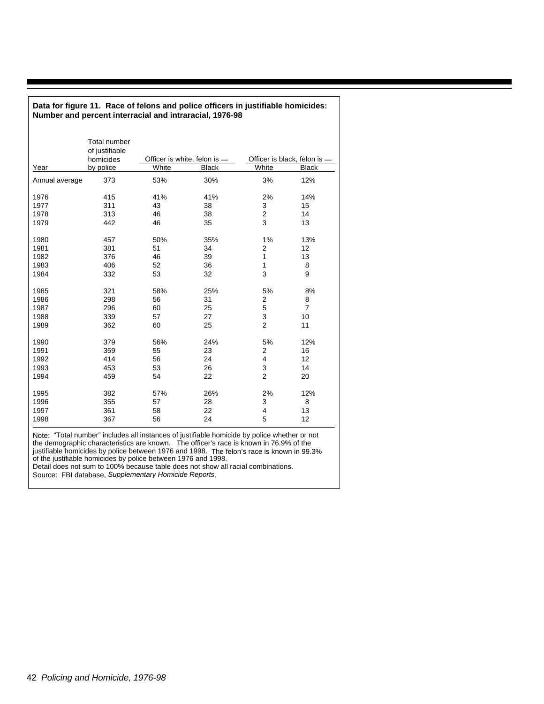| Number and percent interracial and intraracial, 1976-98 |                                                                 |                                       |              |                                       |                |  |  |  |  |  |  |
|---------------------------------------------------------|-----------------------------------------------------------------|---------------------------------------|--------------|---------------------------------------|----------------|--|--|--|--|--|--|
| Year                                                    | <b>Total number</b><br>of justifiable<br>homicides<br>by police | Officer is white, felon is -<br>White | <b>Black</b> | Officer is black, felon is -<br>White | <b>Black</b>   |  |  |  |  |  |  |
|                                                         | 373                                                             | 53%                                   | 30%          | 3%                                    | 12%            |  |  |  |  |  |  |
| Annual average                                          |                                                                 |                                       |              |                                       |                |  |  |  |  |  |  |
| 1976                                                    | 415                                                             | 41%                                   | 41%          | 2%                                    | 14%            |  |  |  |  |  |  |
| 1977                                                    | 311                                                             | 43                                    | 38           | 3                                     | 15             |  |  |  |  |  |  |
| 1978                                                    | 313                                                             | 46                                    | 38           | $\overline{c}$                        | 14             |  |  |  |  |  |  |
| 1979                                                    | 442                                                             | 46                                    | 35           | 3                                     | 13             |  |  |  |  |  |  |
| 1980                                                    | 457                                                             | 50%                                   | 35%          | 1%                                    | 13%            |  |  |  |  |  |  |
| 1981                                                    | 381                                                             | 51                                    | 34           | $\overline{2}$                        | 12             |  |  |  |  |  |  |
| 1982                                                    | 376                                                             | 46                                    | 39           | $\mathbf{1}$                          | 13             |  |  |  |  |  |  |
| 1983                                                    | 406                                                             | 52                                    | 36           | $\mathbf{1}$                          | 8              |  |  |  |  |  |  |
| 1984                                                    | 332                                                             | 53                                    | 32           | 3                                     | 9              |  |  |  |  |  |  |
| 1985                                                    | 321                                                             | 58%                                   | 25%          | 5%                                    | 8%             |  |  |  |  |  |  |
| 1986                                                    | 298                                                             | 56                                    | 31           | 2                                     | 8              |  |  |  |  |  |  |
| 1987                                                    | 296                                                             | 60                                    | 25           | 5                                     | $\overline{7}$ |  |  |  |  |  |  |
| 1988                                                    | 339                                                             | 57                                    | 27           | 3                                     | 10             |  |  |  |  |  |  |
| 1989                                                    | 362                                                             | 60                                    | 25           | $\overline{2}$                        | 11             |  |  |  |  |  |  |
| 1990                                                    | 379                                                             | 56%                                   | 24%          | 5%                                    | 12%            |  |  |  |  |  |  |
| 1991                                                    | 359                                                             | 55                                    | 23           | 2                                     | 16             |  |  |  |  |  |  |
| 1992                                                    | 414                                                             | 56                                    | 24           | 4                                     | 12             |  |  |  |  |  |  |
| 1993                                                    | 453                                                             | 53                                    | 26           | 3                                     | 14             |  |  |  |  |  |  |
| 1994                                                    | 459                                                             | 54                                    | 22           | $\overline{2}$                        | 20             |  |  |  |  |  |  |
| 1995                                                    | 382                                                             | 57%                                   | 26%          | 2%                                    | 12%            |  |  |  |  |  |  |
| 1996                                                    | 355                                                             | 57                                    | 28           | 3                                     | 8              |  |  |  |  |  |  |
| 1997                                                    | 361                                                             | 58                                    | 22           | 4                                     | 13             |  |  |  |  |  |  |
| 1998                                                    | 367                                                             | 56                                    | 24           | 5                                     | 12             |  |  |  |  |  |  |

**Data for figure 11. Race of felons and police officers in justifiable homicides:** 

Note: "Total number" includes all instances of justifiable homicide by police whether or not the demographic characteristics are known. The officer's race is known in 76.9% of the justifiable homicides by police between 1976 and 1998. The felon's race is known in 99.3% of the justifiable homicides by police between 1976 and 1998. Detail does not sum to 100% because table does not show all racial combinations.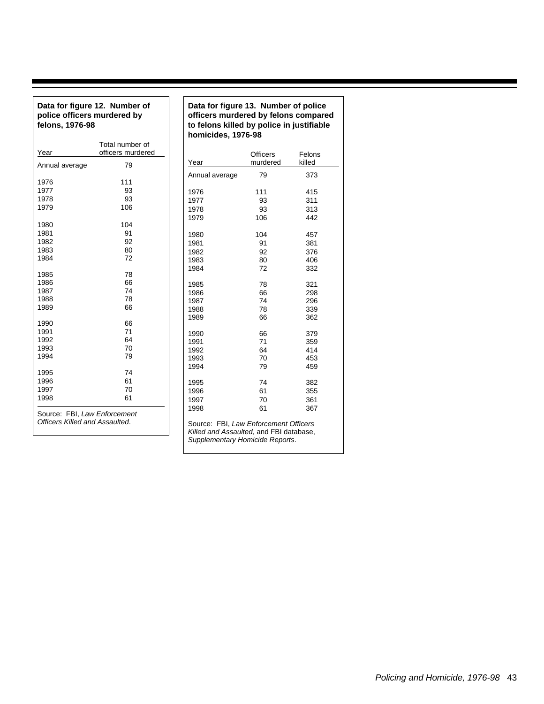#### **Data for figure 12. Number of police officers murdered by felons, 1976-98**

|                                       | Total number of   |      |                |                                      |        |
|---------------------------------------|-------------------|------|----------------|--------------------------------------|--------|
| Year                                  | officers murdered |      |                | <b>Officers</b>                      | Felon  |
| Annual average                        | 79                | Year |                | murdered                             | killed |
|                                       |                   |      | Annual average | 79                                   | 373    |
| 1976                                  | 111               |      |                |                                      |        |
| 1977                                  | 93                | 1976 |                | 111                                  | 415    |
| 1978                                  | 93                | 1977 |                | 93                                   | 311    |
| 1979                                  | 106               | 1978 |                | 93                                   | 313    |
|                                       |                   | 1979 |                | 106                                  | 442    |
| 1980                                  | 104               |      |                |                                      |        |
| 1981                                  | 91                | 1980 |                | 104                                  | 457    |
| 1982                                  | 92                | 1981 |                | 91                                   | 381    |
| 1983                                  | 80                | 1982 |                | 92                                   | 376    |
| 1984                                  | 72                | 1983 |                | 80                                   | 406    |
|                                       |                   | 1984 |                | 72                                   | 332    |
| 1985                                  | 78                |      |                |                                      |        |
| 1986                                  | 66                | 1985 |                | 78                                   | 321    |
| 1987                                  | 74                | 1986 |                | 66                                   | 298    |
| 1988                                  | 78                | 1987 |                | 74                                   | 296    |
| 1989                                  | 66                | 1988 |                | 78                                   | 339    |
|                                       |                   | 1989 |                | 66                                   | 362    |
| 1990                                  | 66                |      |                |                                      |        |
| 1991                                  | 71                | 1990 |                | 66                                   | 379    |
| 1992                                  | 64                | 1991 |                | 71                                   | 359    |
| 1993                                  | 70                | 1992 |                | 64                                   | 414    |
| 1994                                  | 79                | 1993 |                | 70                                   | 453    |
| 1995                                  | 74                | 1994 |                | 79                                   | 459    |
| 1996                                  | 61                |      |                |                                      |        |
| 1997                                  | 70                | 1995 |                | 74                                   | 382    |
| 1998                                  | 61                | 1996 |                | 61                                   | 355    |
|                                       |                   | 1997 |                | 70                                   | 361    |
| Source: FBI, Law Enforcement          |                   | 1998 |                | 61                                   | 367    |
| <b>Officers Killed and Assaulted.</b> |                   |      |                | Source: FRI Law Enforcement Officers |        |

Source: FBI, Law Enforcement Officers Killed and Assaulted, and FBI database, Supplementary Homicide Reports.

Felons killed

#### **Data for figure 13. Number of police officers murdered by felons compared to felons killed by police in justifiable homicides, 1976-98**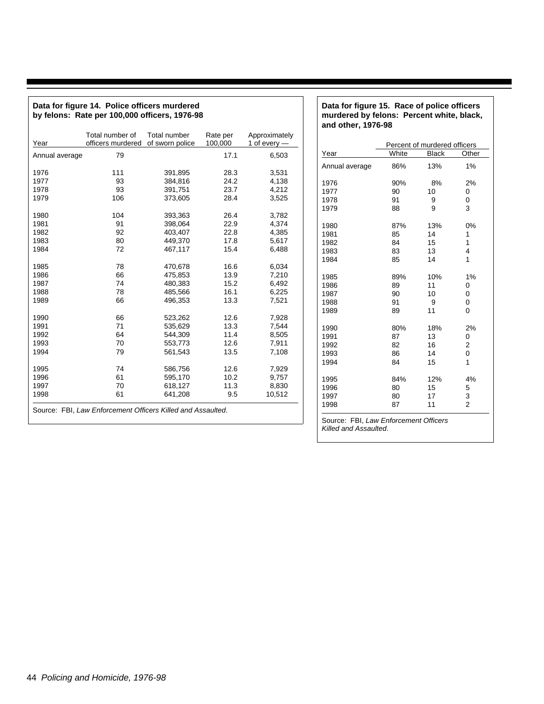| Data for figure 14. Police officers murdered<br>by felons: Rate per 100,000 officers, 1976-98 |                                      |                                 |                     |                                 |  |  |  |  |  |  |  |
|-----------------------------------------------------------------------------------------------|--------------------------------------|---------------------------------|---------------------|---------------------------------|--|--|--|--|--|--|--|
| Year                                                                                          | Total number of<br>officers murdered | Total number<br>of sworn police | Rate per<br>100,000 | Approximately<br>1 of every $-$ |  |  |  |  |  |  |  |
| Annual average                                                                                | 79                                   |                                 | 17.1                | 6,503                           |  |  |  |  |  |  |  |
| 1976                                                                                          | 111                                  | 391,895                         | 28.3                | 3,531                           |  |  |  |  |  |  |  |
| 1977                                                                                          | 93                                   | 384,816                         | 24.2                | 4,138                           |  |  |  |  |  |  |  |
| 1978                                                                                          | 93                                   | 391,751                         | 23.7                | 4,212                           |  |  |  |  |  |  |  |
| 1979                                                                                          | 106                                  | 373,605                         | 28.4                | 3,525                           |  |  |  |  |  |  |  |
| 1980                                                                                          | 104                                  | 393,363                         | 26.4                | 3,782                           |  |  |  |  |  |  |  |
| 1981                                                                                          | 91                                   | 398,064                         | 22.9                | 4,374                           |  |  |  |  |  |  |  |
| 1982                                                                                          | 92                                   | 403,407                         | 22.8                | 4,385                           |  |  |  |  |  |  |  |
| 1983                                                                                          | 80                                   | 449,370                         | 17.8                | 5,617                           |  |  |  |  |  |  |  |
| 1984                                                                                          | 72                                   | 467,117                         | 15.4                | 6,488                           |  |  |  |  |  |  |  |
| 1985                                                                                          | 78                                   | 470,678                         | 16.6                | 6,034                           |  |  |  |  |  |  |  |
| 1986                                                                                          | 66                                   | 475,853                         | 13.9                | 7,210                           |  |  |  |  |  |  |  |
| 1987                                                                                          | 74                                   | 480,383                         | 15.2                | 6,492                           |  |  |  |  |  |  |  |
| 1988                                                                                          | 78                                   | 485,566                         | 16.1                | 6,225                           |  |  |  |  |  |  |  |
| 1989                                                                                          | 66                                   | 496,353                         | 13.3                | 7,521                           |  |  |  |  |  |  |  |
| 1990                                                                                          | 66                                   | 523,262                         | 12.6                | 7,928                           |  |  |  |  |  |  |  |
| 1991                                                                                          | 71                                   | 535,629                         | 13.3                | 7,544                           |  |  |  |  |  |  |  |
| 1992                                                                                          | 64                                   | 544,309                         | 11.4                | 8,505                           |  |  |  |  |  |  |  |
| 1993                                                                                          | 70                                   | 553,773                         | 12.6                | 7,911                           |  |  |  |  |  |  |  |
| 1994                                                                                          | 79                                   | 561,543                         | 13.5                | 7,108                           |  |  |  |  |  |  |  |
| 1995                                                                                          | 74                                   | 586,756                         | 12.6                | 7,929                           |  |  |  |  |  |  |  |
| 1996                                                                                          | 61                                   | 595,170                         | 10.2                | 9,757                           |  |  |  |  |  |  |  |
| 1997                                                                                          | 70                                   | 618,127                         | 11.3                | 8,830                           |  |  |  |  |  |  |  |
| 1998                                                                                          | 61                                   | 641,208                         | 9.5                 | 10,512                          |  |  |  |  |  |  |  |
| Source: FBI, Law Enforcement Officers Killed and Assaulted.                                   |                                      |                                 |                     |                                 |  |  |  |  |  |  |  |

#### **Data for figure 15. Race of police officers murdered by felons: Percent white, black, and other, 1976-98**

| Year           | White | <b>Black</b> | Other          |
|----------------|-------|--------------|----------------|
| Annual average | 86%   | 13%          | 1%             |
|                |       |              |                |
| 1976           | 90%   | 8%           | 2%             |
| 1977           | 90    | 10           | 0              |
| 1978           | 91    | 9            | 0              |
| 1979           | 88    | 9            | 3              |
| 1980           | 87%   | 13%          | 0%             |
| 1981           | 85    | 14           | 1              |
| 1982           | 84    | 15           | 1              |
| 1983           | 83    | 13           | 4              |
| 1984           | 85    | 14           | 1              |
| 1985           | 89%   | 10%          | 1%             |
| 1986           | 89    | 11           | 0              |
| 1987           | 90    | 10           | 0              |
| 1988           | 91    | 9            | 0              |
| 1989           | 89    | 11           | $\Omega$       |
| 1990           | 80%   | 18%          | 2%             |
| 1991           | 87    | 13           | 0              |
| 1992           | 82    | 16           | 2              |
| 1993           | 86    | 14           | 0              |
| 1994           | 84    | 15           | 1              |
| 1995           | 84%   | 12%          | 4%             |
| 1996           | 80    | 15           | 5              |
| 1997           | 80    | 17           | 3              |
| 1998           | 87    | 11           | $\overline{2}$ |

Source: FBI, Law Enforcement Officers Killed and Assaulted.

┚

Policing and Homicide, 1976-98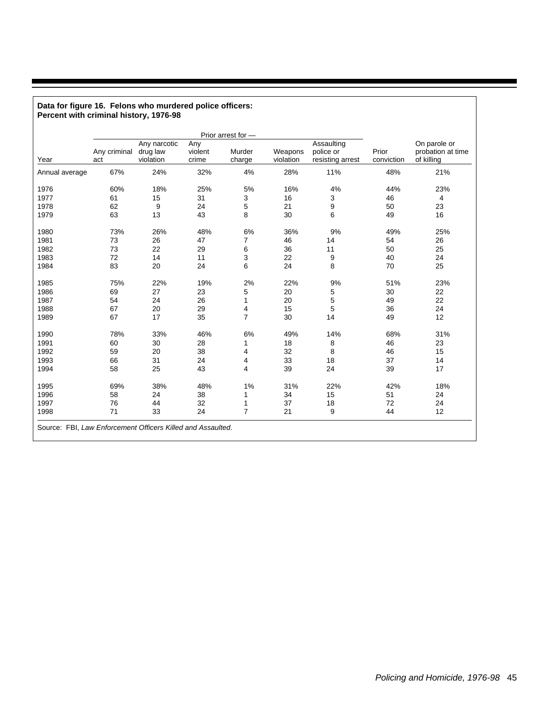|                |                     | Any narcotic          | Any              | Prior arrest for - |                      | Assaulting                    |                     | On parole or                    |
|----------------|---------------------|-----------------------|------------------|--------------------|----------------------|-------------------------------|---------------------|---------------------------------|
| Year           | Any criminal<br>act | drug law<br>violation | violent<br>crime | Murder<br>charge   | Weapons<br>violation | police or<br>resisting arrest | Prior<br>conviction | probation at time<br>of killing |
| Annual average | 67%                 | 24%                   | 32%              | 4%                 | 28%                  | 11%                           | 48%                 | 21%                             |
| 1976           | 60%                 | 18%                   | 25%              | 5%                 | 16%                  | 4%                            | 44%                 | 23%                             |
| 1977           | 61                  | 15                    | 31               | 3                  | 16                   | 3                             | 46                  | 4                               |
| 1978           | 62                  | 9                     | 24               | 5                  | 21                   | 9                             | 50                  | 23                              |
| 1979           | 63                  | 13                    | 43               | 8                  | 30                   | 6                             | 49                  | 16                              |
|                |                     |                       |                  |                    |                      |                               |                     |                                 |
| 1980           | 73%                 | 26%                   | 48%              | 6%                 | 36%                  | 9%                            | 49%                 | 25%                             |
| 1981           | 73                  | 26                    | 47               | 7                  | 46                   | 14                            | 54                  | 26                              |
| 1982           | 73                  | 22                    | 29               | 6                  | 36                   | 11                            | 50                  | 25                              |
| 1983           | 72                  | 14                    | 11               | 3                  | 22                   | 9                             | 40                  | 24                              |
| 1984           | 83                  | 20                    | 24               | 6                  | 24                   | 8                             | 70                  | 25                              |
| 1985           | 75%                 | 22%                   | 19%              | 2%                 | 22%                  | 9%                            | 51%                 | 23%                             |
| 1986           | 69                  | 27                    | 23               | 5                  | 20                   | 5                             | 30                  | 22                              |
| 1987           | 54                  | 24                    | 26               | 1                  | 20                   | 5                             | 49                  | 22                              |
| 1988           | 67                  | 20                    | 29               | 4                  | 15                   | 5                             | 36                  | 24                              |
| 1989           | 67                  | 17                    | 35               | $\overline{7}$     | 30                   | 14                            | 49                  | 12                              |
| 1990           | 78%                 | 33%                   | 46%              | 6%                 | 49%                  | 14%                           | 68%                 | 31%                             |
| 1991           | 60                  | 30                    | 28               | 1                  | 18                   | 8                             | 46                  | 23                              |
| 1992           | 59                  | 20                    | 38               | 4                  | 32                   | 8                             | 46                  | 15                              |
| 1993           | 66                  | 31                    | 24               | 4                  | 33                   | 18                            | 37                  | 14                              |
| 1994           | 58                  | 25                    | 43               | 4                  | 39                   | 24                            | 39                  | 17                              |
| 1995           | 69%                 | 38%                   | 48%              | 1%                 | 31%                  | 22%                           | 42%                 | 18%                             |
| 1996           | 58                  | 24                    | 38               | 1                  | 34                   | 15                            | 51                  | 24                              |
| 1997           | 76                  | 44                    | 32               | 1                  | 37                   | 18                            | 72                  | 24                              |
| 1998           | 71                  | 33                    | 24               | $\overline{7}$     | 21                   | 9                             | 44                  | 12                              |

#### **Data for figure 16. Felons who murdered police officers: Percent with criminal history, 1976-98**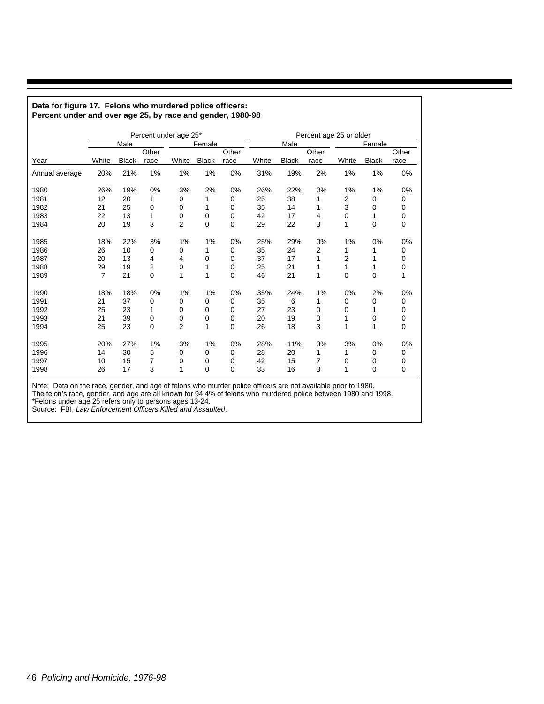| Percent under and over age 25, by race and gender, 1980-98 |                |              |        |                       |              |       |       |              |        |                         |              |             |
|------------------------------------------------------------|----------------|--------------|--------|-----------------------|--------------|-------|-------|--------------|--------|-------------------------|--------------|-------------|
|                                                            |                |              |        | Percent under age 25* |              |       |       |              |        | Percent age 25 or older |              |             |
|                                                            | Male           |              | Female |                       |              | Male  |       |              | Female |                         |              |             |
|                                                            |                |              | Other  |                       |              | Other |       |              | Other  |                         |              | Other       |
| Year                                                       | White          | <b>Black</b> | race   | White                 | <b>Black</b> | race  | White | <b>Black</b> | race   | White                   | <b>Black</b> | race        |
| Annual average                                             | 20%            | 21%          | 1%     | 1%                    | 1%           | 0%    | 31%   | 19%          | 2%     | 1%                      | 1%           | 0%          |
| 1980                                                       | 26%            | 19%          | 0%     | 3%                    | 2%           | 0%    | 26%   | 22%          | 0%     | 1%                      | 1%           | 0%          |
| 1981                                                       | 12             | 20           | 1      | 0                     | 1            | 0     | 25    | 38           | 1      | 2                       | 0            | 0           |
| 1982                                                       | 21             | 25           | 0      | 0                     | 1            | 0     | 35    | 14           | 1      | 3                       | 0            | 0           |
| 1983                                                       | 22             | 13           | 1      | 0                     | 0            | 0     | 42    | 17           | 4      | 0                       | 1            | 0           |
| 1984                                                       | 20             | 19           | 3      | $\overline{2}$        | 0            | 0     | 29    | 22           | 3      | 1                       | $\mathbf 0$  | 0           |
| 1985                                                       | 18%            | 22%          | 3%     | 1%                    | 1%           | 0%    | 25%   | 29%          | 0%     | 1%                      | 0%           | 0%          |
| 1986                                                       | 26             | 10           | 0      | 0                     | 1            | 0     | 35    | 24           | 2      | 1                       |              | 0           |
| 1987                                                       | 20             | 13           | 4      | 4                     | 0            | 0     | 37    | 17           | 1      | 2                       | 1            | 0           |
| 1988                                                       | 29             | 19           | 2      | 0                     | 1            | 0     | 25    | 21           | 1      | 1                       | 1            | 0           |
| 1989                                                       | $\overline{7}$ | 21           | 0      | 1                     | 1            | 0     | 46    | 21           | 1      | 0                       | $\mathbf 0$  | 1           |
| 1990                                                       | 18%            | 18%          | 0%     | 1%                    | 1%           | 0%    | 35%   | 24%          | 1%     | 0%                      | 2%           | 0%          |
| 1991                                                       | 21             | 37           | 0      | 0                     | 0            | 0     | 35    | 6            | 1      | 0                       | 0            | 0           |
| 1992                                                       | 25             | 23           | 1      | 0                     | 0            | 0     | 27    | 23           | 0      | 0                       | 1            | 0           |
| 1993                                                       | 21             | 39           | 0      | 0                     | 0            | 0     | 20    | 19           | 0      | 1                       | 0            | 0           |
| 1994                                                       | 25             | 23           | 0      | $\overline{2}$        | 1            | 0     | 26    | 18           | 3      | 1                       | 1            | $\mathbf 0$ |
| 1995                                                       | 20%            | 27%          | 1%     | 3%                    | 1%           | 0%    | 28%   | 11%          | 3%     | 3%                      | 0%           | 0%          |
| 1996                                                       | 14             | 30           | 5      | 0                     | 0            | 0     | 28    | 20           | 1      | 1                       | 0            | 0           |
| 1997                                                       | 10             | 15           | 7      | 0                     | 0            | 0     | 42    | 15           | 7      | 0                       | 0            | 0           |
| 1998                                                       | 26             | 17           | 3      | 1                     | 0            | 0     | 33    | 16           | 3      | 1                       | 0            | 0           |

## **Data for figure 17. Felons who murdered police officers:**

Note: Data on the race, gender, and age of felons who murder police officers are not available prior to 1980.

The felon's race, gender, and age are all known for 94.4% of felons who murdered police between 1980 and 1998.

\*Felons under age 25 refers only to persons ages 13-24.

Source: FBI, Law Enforcement Officers Killed and Assaulted.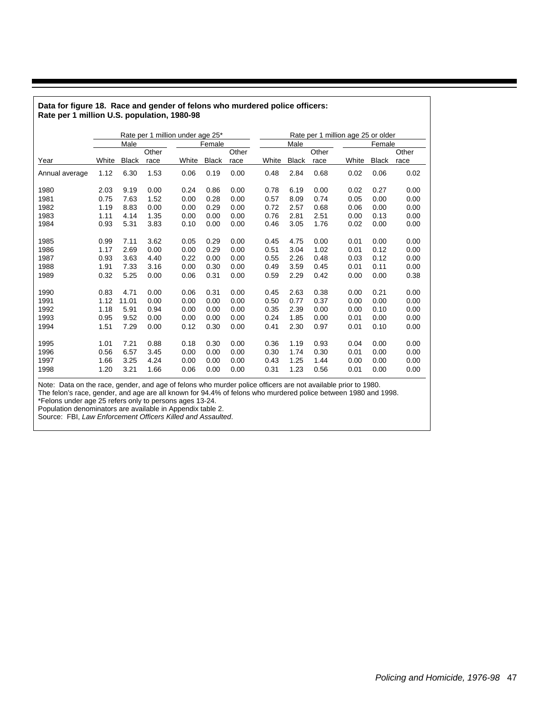|                |       |              | Rate per 1 million under age 25* |       |              |      |       |              |       | Rate per 1 million age 25 or older |              |       |
|----------------|-------|--------------|----------------------------------|-------|--------------|------|-------|--------------|-------|------------------------------------|--------------|-------|
|                |       | Male         |                                  |       | Female       |      |       | Male         |       |                                    | Female       |       |
|                |       |              | Other                            | Other |              |      |       |              | Other |                                    |              | Other |
| Year           | White | <b>Black</b> | race                             | White | <b>Black</b> | race | White | <b>Black</b> | race  | White                              | <b>Black</b> | race  |
| Annual average | 1.12  | 6.30         | 1.53                             | 0.06  | 0.19         | 0.00 | 0.48  | 2.84         | 0.68  | 0.02                               | 0.06         | 0.02  |
| 1980           | 2.03  | 9.19         | 0.00                             | 0.24  | 0.86         | 0.00 | 0.78  | 6.19         | 0.00  | 0.02                               | 0.27         | 0.00  |
| 1981           | 0.75  | 7.63         | 1.52                             | 0.00  | 0.28         | 0.00 | 0.57  | 8.09         | 0.74  | 0.05                               | 0.00         | 0.00  |
| 1982           | 1.19  | 8.83         | 0.00                             | 0.00  | 0.29         | 0.00 | 0.72  | 2.57         | 0.68  | 0.06                               | 0.00         | 0.00  |
| 1983           | 1.11  | 4.14         | 1.35                             | 0.00  | 0.00         | 0.00 | 0.76  | 2.81         | 2.51  | 0.00                               | 0.13         | 0.00  |
| 1984           | 0.93  | 5.31         | 3.83                             | 0.10  | 0.00         | 0.00 | 0.46  | 3.05         | 1.76  | 0.02                               | 0.00         | 0.00  |
|                |       |              |                                  |       |              |      |       |              |       |                                    |              |       |
| 1985           | 0.99  | 7.11         | 3.62                             | 0.05  | 0.29         | 0.00 | 0.45  | 4.75         | 0.00  | 0.01                               | 0.00         | 0.00  |
| 1986           | 1.17  | 2.69         | 0.00                             | 0.00  | 0.29         | 0.00 | 0.51  | 3.04         | 1.02  | 0.01                               | 0.12         | 0.00  |
| 1987           | 0.93  | 3.63         | 4.40                             | 0.22  | 0.00         | 0.00 | 0.55  | 2.26         | 0.48  | 0.03                               | 0.12         | 0.00  |
| 1988           | 1.91  | 7.33         | 3.16                             | 0.00  | 0.30         | 0.00 | 0.49  | 3.59         | 0.45  | 0.01                               | 0.11         | 0.00  |
| 1989           | 0.32  | 5.25         | 0.00                             | 0.06  | 0.31         | 0.00 | 0.59  | 2.29         | 0.42  | 0.00                               | 0.00         | 0.38  |
| 1990           | 0.83  | 4.71         | 0.00                             | 0.06  | 0.31         | 0.00 | 0.45  | 2.63         | 0.38  | 0.00                               | 0.21         | 0.00  |
| 1991           | 1.12  | 11.01        | 0.00                             | 0.00  | 0.00         | 0.00 | 0.50  | 0.77         | 0.37  | 0.00                               | 0.00         | 0.00  |
| 1992           | 1.18  | 5.91         | 0.94                             | 0.00  | 0.00         | 0.00 | 0.35  | 2.39         | 0.00  | 0.00                               | 0.10         | 0.00  |
| 1993           | 0.95  | 9.52         | 0.00                             | 0.00  | 0.00         | 0.00 | 0.24  | 1.85         | 0.00  | 0.01                               | 0.00         | 0.00  |
| 1994           | 1.51  | 7.29         | 0.00                             | 0.12  | 0.30         | 0.00 | 0.41  | 2.30         | 0.97  | 0.01                               | 0.10         | 0.00  |
|                |       |              |                                  |       |              |      |       |              |       |                                    |              |       |
| 1995           | 1.01  | 7.21         | 0.88                             | 0.18  | 0.30         | 0.00 | 0.36  | 1.19         | 0.93  | 0.04                               | 0.00         | 0.00  |
| 1996           | 0.56  | 6.57         | 3.45                             | 0.00  | 0.00         | 0.00 | 0.30  | 1.74         | 0.30  | 0.01                               | 0.00         | 0.00  |
| 1997           | 1.66  | 3.25         | 4.24                             | 0.00  | 0.00         | 0.00 | 0.43  | 1.25         | 1.44  | 0.00                               | 0.00         | 0.00  |
| 1998           | 1.20  | 3.21         | 1.66                             | 0.06  | 0.00         | 0.00 | 0.31  | 1.23         | 0.56  | 0.01                               | 0.00         | 0.00  |

#### **Data for figure 18. Race and gender of felons who murdered police officers: Rate per 1 million U.S. population, 1980-98**

Note: Data on the race, gender, and age of felons who murder police officers are not available prior to 1980.

The felon's race, gender, and age are all known for 94.4% of felons who murdered police between 1980 and 1998.

\*Felons under age 25 refers only to persons ages 13-24.

Population denominators are available in Appendix table 2.

Source: FBI, Law Enforcement Officers Killed and Assaulted.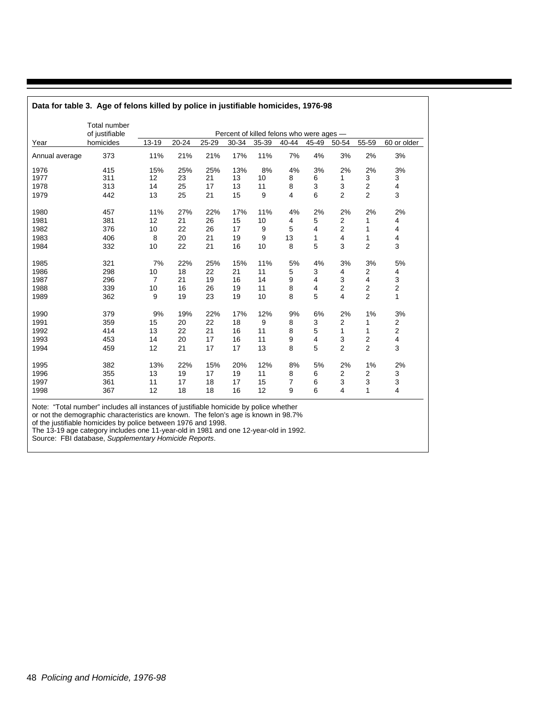|                | <b>Total number</b> |                |       |       |       |       |                                          |       |                |                |                         |
|----------------|---------------------|----------------|-------|-------|-------|-------|------------------------------------------|-------|----------------|----------------|-------------------------|
|                | of justifiable      |                |       |       |       |       | Percent of killed felons who were ages - |       |                |                |                         |
| Year           | homicides           | 13-19          | 20-24 | 25-29 | 30-34 | 35-39 | 40-44                                    | 45-49 | 50-54          | 55-59          | 60 or older             |
| Annual average | 373                 | 11%            | 21%   | 21%   | 17%   | 11%   | 7%                                       | 4%    | 3%             | 2%             | 3%                      |
| 1976           | 415                 | 15%            | 25%   | 25%   | 13%   | 8%    | 4%                                       | 3%    | 2%             | 2%             | 3%                      |
| 1977           | 311                 | 12             | 23    | 21    | 13    | 10    | 8                                        | 6     | 1              | 3              | 3                       |
| 1978           | 313                 | 14             | 25    | 17    | 13    | 11    | 8                                        | 3     | 3              | 2              | 4                       |
| 1979           | 442                 | 13             | 25    | 21    | 15    | 9     | 4                                        | 6     | $\overline{2}$ | $\overline{2}$ | 3                       |
| 1980           | 457                 | 11%            | 27%   | 22%   | 17%   | 11%   | 4%                                       | 2%    | 2%             | 2%             | 2%                      |
| 1981           | 381                 | 12             | 21    | 26    | 15    | 10    | 4                                        | 5     | $\overline{2}$ | 1              | 4                       |
| 1982           | 376                 | 10             | 22    | 26    | 17    | 9     | 5                                        | 4     | $\overline{2}$ | 1              | 4                       |
| 1983           | 406                 | 8              | 20    | 21    | 19    | 9     | 13                                       | 1     | 4              | 1              | 4                       |
| 1984           | 332                 | 10             | 22    | 21    | 16    | 10    | 8                                        | 5     | 3              | 2              | 3                       |
| 1985           | 321                 | 7%             | 22%   | 25%   | 15%   | 11%   | 5%                                       | 4%    | 3%             | 3%             | 5%                      |
| 1986           | 298                 | 10             | 18    | 22    | 21    | 11    | 5                                        | 3     | 4              | 2              | 4                       |
| 1987           | 296                 | $\overline{7}$ | 21    | 19    | 16    | 14    | 9                                        | 4     | 3              | 4              | 3                       |
| 1988           | 339                 | 10             | 16    | 26    | 19    | 11    | 8                                        | 4     | $\overline{2}$ | 2              | $\mathbf 2$             |
| 1989           | 362                 | 9              | 19    | 23    | 19    | 10    | 8                                        | 5     | 4              | $\overline{c}$ | 1                       |
| 1990           | 379                 | 9%             | 19%   | 22%   | 17%   | 12%   | 9%                                       | 6%    | 2%             | 1%             | 3%                      |
| 1991           | 359                 | 15             | 20    | 22    | 18    | 9     | 8                                        | 3     | $\overline{2}$ | 1              | $\overline{\mathbf{c}}$ |
| 1992           | 414                 | 13             | 22    | 21    | 16    | 11    | 8                                        | 5     | $\mathbf{1}$   | 1              | 2                       |
| 1993           | 453                 | 14             | 20    | 17    | 16    | 11    | 9                                        | 4     | 3              | 2              | $\overline{\mathbf{4}}$ |
| 1994           | 459                 | 12             | 21    | 17    | 17    | 13    | 8                                        | 5     | $\overline{2}$ | $\overline{c}$ | 3                       |
| 1995           | 382                 | 13%            | 22%   | 15%   | 20%   | 12%   | 8%                                       | 5%    | 2%             | 1%             | 2%                      |
| 1996           | 355                 | 13             | 19    | 17    | 19    | 11    | 8                                        | 6     | $\overline{2}$ | 2              | 3                       |
| 1997           | 361                 | 11             | 17    | 18    | 17    | 15    | 7                                        | 6     | 3              | 3              | 3                       |
| 1998           | 367                 | 12             | 18    | 18    | 16    | 12    | 9                                        | 6     | 4              | 1              | 4                       |

Note: "Total number" includes all instances of justifiable homicide by police whether

or not the demographic characteristics are known. The felon's age is known in 98.7%

of the justifiable homicides by police between 1976 and 1998.

The 13-19 age category includes one 11-year-old in 1981 and one 12-year-old in 1992.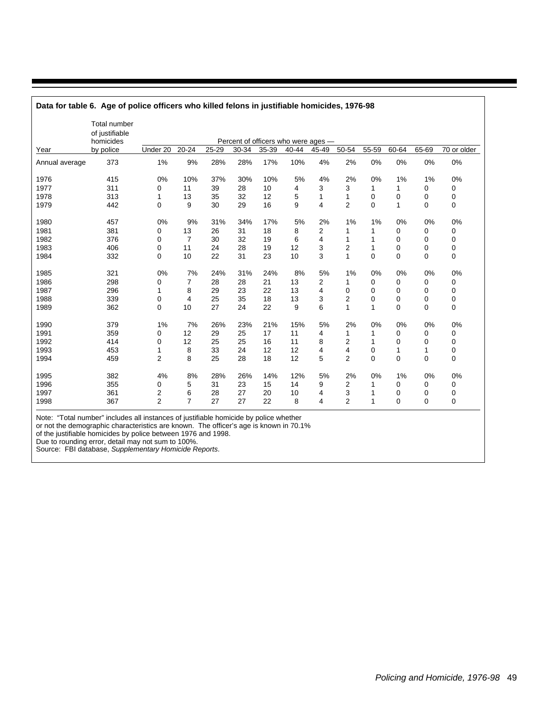|                | <b>Total number</b><br>of justifiable<br>homicides |                |                |       | Percent of officers who were ages - |       |       |       |                |              |                |             |             |
|----------------|----------------------------------------------------|----------------|----------------|-------|-------------------------------------|-------|-------|-------|----------------|--------------|----------------|-------------|-------------|
| Year           | by police                                          | Under 20       | $20 - 24$      | 25-29 | 30-34                               | 35-39 | 40-44 | 45-49 | 50-54          | 55-59        | 60-64          | 65-69       | 70 or older |
| Annual average | 373                                                | 1%             | 9%             | 28%   | 28%                                 | 17%   | 10%   | 4%    | 2%             | 0%           | 0%             | 0%          | 0%          |
| 1976           | 415                                                | 0%             | 10%            | 37%   | 30%                                 | 10%   | 5%    | 4%    | 2%             | 0%           | 1%             | 1%          | 0%          |
| 1977           | 311                                                | 0              | 11             | 39    | 28                                  | 10    | 4     | 3     | 3              | 1            | 1              | 0           | $\mathbf 0$ |
| 1978           | 313                                                | 1              | 13             | 35    | 32                                  | 12    | 5     | 1     | 1              | 0            | 0              | 0           | 0           |
| 1979           | 442                                                | 0              | 9              | 30    | 29                                  | 16    | 9     | 4     | $\overline{2}$ | 0            | 1              | $\mathbf 0$ | 0           |
| 1980           | 457                                                | 0%             | 9%             | 31%   | 34%                                 | 17%   | 5%    | 2%    | 1%             | 1%           | 0%             | 0%          | 0%          |
| 1981           | 381                                                | 0              | 13             | 26    | 31                                  | 18    | 8     | 2     | 1              | 1            | 0              | 0           | 0           |
| 1982           | 376                                                | 0              | 7              | 30    | 32                                  | 19    | 6     | 4     | 1              | 1            | 0              | $\Omega$    | 0           |
| 1983           | 406                                                | 0              | 11             | 24    | 28                                  | 19    | 12    | 3     | $\overline{2}$ | 1            | 0              | $\Omega$    | 0           |
| 1984           | 332                                                | $\Omega$       | 10             | 22    | 31                                  | 23    | 10    | 3     | 1              | $\Omega$     | $\Omega$       | $\Omega$    | 0           |
| 1985           | 321                                                | 0%             | 7%             | 24%   | 31%                                 | 24%   | 8%    | 5%    | 1%             | 0%           | 0%             | 0%          | 0%          |
| 1986           | 298                                                | 0              | 7              | 28    | 28                                  | 21    | 13    | 2     | 1              | 0            | 0              | $\mathbf 0$ | 0           |
| 1987           | 296                                                | 1              | 8              | 29    | 23                                  | 22    | 13    | 4     | 0              | 0            | 0              | 0           | 0           |
| 1988           | 339                                                | 0              | 4              | 25    | 35                                  | 18    | 13    | 3     | 2              | 0            | 0              | $\Omega$    | 0           |
| 1989           | 362                                                | $\Omega$       | 10             | 27    | 24                                  | 22    | 9     | 6     | 1              | 1            | $\overline{0}$ | $\Omega$    | $\mathbf 0$ |
| 1990           | 379                                                | 1%             | 7%             | 26%   | 23%                                 | 21%   | 15%   | 5%    | 2%             | 0%           | 0%             | 0%          | 0%          |
| 1991           | 359                                                | 0              | 12             | 29    | 25                                  | 17    | 11    | 4     | 1              | 1            | 0              | 0           | 0           |
| 1992           | 414                                                | 0              | 12             | 25    | 25                                  | 16    | 11    | 8     | 2              | $\mathbf{1}$ | 0              | $\mathbf 0$ | $\mathbf 0$ |
| 1993           | 453                                                | 1              | 8              | 33    | 24                                  | 12    | 12    | 4     | 4              | 0            | 1              | 1           | $\mathbf 0$ |
| 1994           | 459                                                | $\overline{2}$ | 8              | 25    | 28                                  | 18    | 12    | 5     | $\overline{2}$ | 0            | 0              | $\mathbf 0$ | $\pmb{0}$   |
| 1995           | 382                                                | 4%             | 8%             | 28%   | 26%                                 | 14%   | 12%   | 5%    | 2%             | 0%           | 1%             | 0%          | 0%          |
| 1996           | 355                                                | 0              | 5              | 31    | 23                                  | 15    | 14    | 9     | 2              |              | 0              | 0           | 0           |
| 1997           | 361                                                | $\overline{2}$ | 6              | 28    | 27                                  | 20    | 10    | 4     | 3              |              | 0              | $\mathbf 0$ | 0           |
| 1998           | 367                                                | $\overline{2}$ | $\overline{7}$ | 27    | 27                                  | 22    | 8     | 4     | $\overline{2}$ | 1            | 0              | $\Omega$    | $\mathbf 0$ |

**Data for table 6. Age of police officers who killed felons in justifiable homicides, 1976-98**

Note: "Total number" includes all instances of justifiable homicide by police whether

or not the demographic characteristics are known. The officer's age is known in 70.1%

of the justifiable homicides by police between 1976 and 1998.

Due to rounding error, detail may not sum to 100%.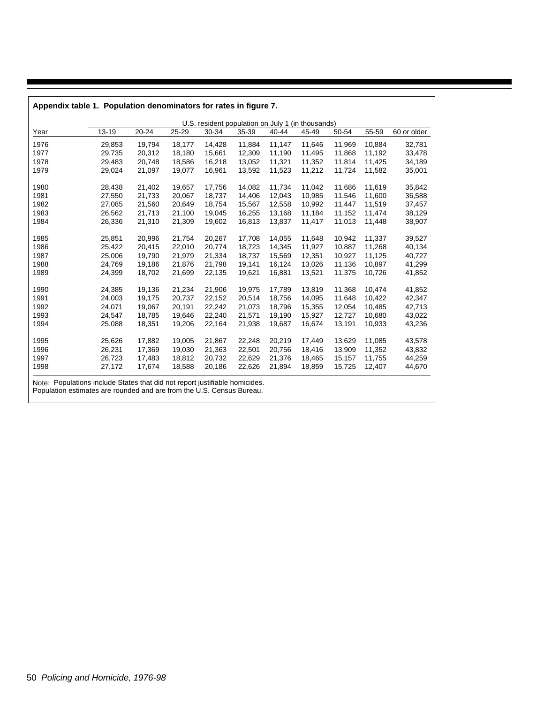|      |        |           |        | U.S. resident population on July 1 (in thousands) |        |        |        |        |        |             |
|------|--------|-----------|--------|---------------------------------------------------|--------|--------|--------|--------|--------|-------------|
| Year | 13-19  | $20 - 24$ | 25-29  | 30-34                                             | 35-39  | 40-44  | 45-49  | 50-54  | 55-59  | 60 or older |
| 1976 | 29,853 | 19,794    | 18,177 | 14,428                                            | 11,884 | 11,147 | 11,646 | 11,969 | 10,884 | 32,781      |
| 1977 | 29,735 | 20,312    | 18,180 | 15,661                                            | 12,309 | 11,190 | 11,495 | 11,868 | 11,192 | 33,478      |
| 1978 | 29,483 | 20,748    | 18,586 | 16,218                                            | 13,052 | 11,321 | 11,352 | 11,814 | 11,425 | 34,189      |
| 1979 | 29,024 | 21,097    | 19,077 | 16,961                                            | 13,592 | 11,523 | 11,212 | 11,724 | 11,582 | 35,001      |
| 1980 | 28,438 | 21,402    | 19,657 | 17,756                                            | 14,082 | 11,734 | 11,042 | 11,686 | 11,619 | 35,842      |
| 1981 | 27,550 | 21,733    | 20,067 | 18,737                                            | 14,406 | 12,043 | 10,985 | 11,546 | 11,600 | 36,588      |
| 1982 | 27,085 | 21,560    | 20,649 | 18,754                                            | 15,567 | 12,558 | 10,992 | 11,447 | 11,519 | 37,457      |
| 1983 | 26,562 | 21,713    | 21,100 | 19,045                                            | 16,255 | 13,168 | 11,184 | 11,152 | 11,474 | 38,129      |
| 1984 | 26,336 | 21,310    | 21,309 | 19,602                                            | 16,813 | 13,837 | 11,417 | 11,013 | 11,448 | 38,907      |
| 1985 | 25,851 | 20,996    | 21,754 | 20,267                                            | 17,708 | 14,055 | 11,648 | 10,942 | 11,337 | 39,527      |
| 1986 | 25,422 | 20,415    | 22,010 | 20,774                                            | 18,723 | 14,345 | 11,927 | 10,887 | 11,268 | 40,134      |
| 1987 | 25,006 | 19,790    | 21,979 | 21,334                                            | 18,737 | 15,569 | 12,351 | 10,927 | 11,125 | 40,727      |
| 1988 | 24,769 | 19,186    | 21,876 | 21,798                                            | 19,141 | 16,124 | 13,026 | 11,136 | 10,897 | 41,299      |
| 1989 | 24,399 | 18,702    | 21,699 | 22,135                                            | 19,621 | 16,881 | 13,521 | 11,375 | 10,726 | 41,852      |
| 1990 | 24,385 | 19,136    | 21,234 | 21,906                                            | 19,975 | 17,789 | 13,819 | 11,368 | 10,474 | 41,852      |
| 1991 | 24,003 | 19,175    | 20,737 | 22,152                                            | 20,514 | 18,756 | 14,095 | 11,648 | 10,422 | 42,347      |
| 1992 | 24,071 | 19,067    | 20,191 | 22,242                                            | 21,073 | 18,796 | 15,355 | 12,054 | 10,485 | 42,713      |
| 1993 | 24,547 | 18,785    | 19,646 | 22,240                                            | 21,571 | 19,190 | 15,927 | 12,727 | 10,680 | 43,022      |
| 1994 | 25,088 | 18,351    | 19,206 | 22,164                                            | 21,938 | 19,687 | 16,674 | 13,191 | 10,933 | 43,236      |
| 1995 | 25,626 | 17,882    | 19,005 | 21,867                                            | 22,248 | 20,219 | 17,449 | 13,629 | 11,085 | 43,578      |
| 1996 | 26,231 | 17,369    | 19,030 | 21,363                                            | 22,501 | 20,756 | 18,416 | 13,909 | 11,352 | 43,832      |
| 1997 | 26,723 | 17,483    | 18,812 | 20,732                                            | 22,629 | 21,376 | 18,465 | 15,157 | 11,755 | 44,259      |
| 1998 | 27,172 | 17,674    | 18,588 | 20,186                                            | 22,626 | 21,894 | 18,859 | 15,725 | 12,407 | 44,670      |

Policing and Homicide, 1976-98